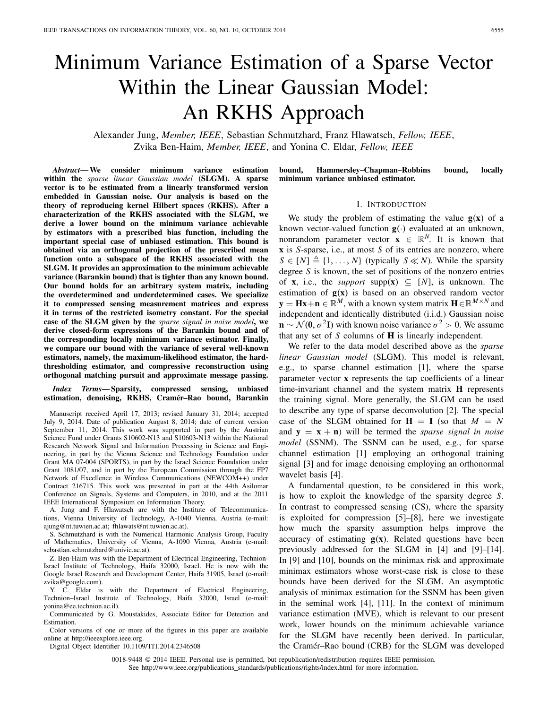# Minimum Variance Estimation of a Sparse Vector Within the Linear Gaussian Model: An RKHS Approach

Alexander Jung, *Member, IEEE*, Sebastian Schmutzhard, Franz Hlawatsch, *Fellow, IEEE*, Zvika Ben-Haim, *Member, IEEE*, and Yonina C. Eldar, *Fellow, IEEE*

*Abstract***— We consider minimum variance estimation within the** *sparse linear Gaussian model* **(SLGM). A sparse vector is to be estimated from a linearly transformed version embedded in Gaussian noise. Our analysis is based on the theory of reproducing kernel Hilbert spaces (RKHS). After a characterization of the RKHS associated with the SLGM, we derive a lower bound on the minimum variance achievable by estimators with a prescribed bias function, including the important special case of unbiased estimation. This bound is obtained via an orthogonal projection of the prescribed mean function onto a subspace of the RKHS associated with the SLGM. It provides an approximation to the minimum achievable variance (Barankin bound) that is tighter than any known bound. Our bound holds for an arbitrary system matrix, including the overdetermined and underdetermined cases. We specialize it to compressed sensing measurement matrices and express it in terms of the restricted isometry constant. For the special case of the SLGM given by the** *sparse signal in noise model***, we derive closed-form expressions of the Barankin bound and of the corresponding locally minimum variance estimator. Finally, we compare our bound with the variance of several well-known estimators, namely, the maximum-likelihood estimator, the hardthresholding estimator, and compressive reconstruction using orthogonal matching pursuit and approximate message passing.**

#### *Index Terms***— Sparsity, compressed sensing, unbiased estimation, denoising, RKHS, Cramér–Rao bound, Barankin**

Manuscript received April 17, 2013; revised January 31, 2014; accepted July 9, 2014. Date of publication August 8, 2014; date of current version September 11, 2014. This work was supported in part by the Austrian Science Fund under Grants S10602-N13 and S10603-N13 within the National Research Network Signal and Information Processing in Science and Engineering, in part by the Vienna Science and Technology Foundation under Grant MA 07-004 (SPORTS), in part by the Israel Science Foundation under Grant 1081/07, and in part by the European Commission through the FP7 Network of Excellence in Wireless Communications (NEWCOM++) under Contract 216715. This work was presented in part at the 44th Asilomar Conference on Signals, Systems and Computers, in 2010, and at the 2011 IEEE International Symposium on Information Theory.

A. Jung and F. Hlawatsch are with the Institute of Telecommunications, Vienna University of Technology, A-1040 Vienna, Austria (e-mail: ajung@nt.tuwien.ac.at; fhlawats@nt.tuwien.ac.at).

S. Schmutzhard is with the Numerical Harmonic Analysis Group, Faculty of Mathematics, University of Vienna, A-1090 Vienna, Austria (e-mail: sebastian.schmutzhard@univie.ac.at).

Z. Ben-Haim was with the Department of Electrical Engineering, Technion-Israel Institute of Technology, Haifa 32000, Israel. He is now with the Google Israel Research and Development Center, Haifa 31905, Israel (e-mail: zvika@google.com).

Y. C. Eldar is with the Department of Electrical Engineering, Technion–Israel Institute of Technology, Haifa 32000, Israel (e-mail: yonina@ee.technion.ac.il).

Communicated by G. Moustakides, Associate Editor for Detection and Estimation.

Color versions of one or more of the figures in this paper are available online at http://ieeexplore.ieee.org.

Digital Object Identifier 10.1109/TIT.2014.2346508

**bound, Hammersley–Chapman–Robbins bound, locally minimum variance unbiased estimator.**

#### I. INTRODUCTION

We study the problem of estimating the value  $g(x)$  of a known vector-valued function **g**(·) evaluated at an unknown, nonrandom parameter vector  $\mathbf{x} \in \mathbb{R}^N$ . It is known that **x** is *S*-sparse, i.e., at most *S* of its entries are nonzero, where  $S \in [N] \triangleq \{1, \ldots, N\}$  (typically  $S \ll N$ ). While the sparsity degree *S* is known, the set of positions of the nonzero entries of **x**, i.e., the *support* supp $(x) \subseteq [N]$ , is unknown. The estimation of  $g(x)$  is based on an observed random vector  $\mathbf{y} = \mathbf{H}\mathbf{x} + \mathbf{n} \in \mathbb{R}^M$ , with a known system matrix  $\mathbf{H} \in \mathbb{R}^{M \times N}$  and independent and identically distributed (i.i.d.) Gaussian noise  $\mathbf{n} \sim \mathcal{N}(\mathbf{0}, \sigma^2 \mathbf{I})$  with known noise variance  $\sigma^2 > 0$ . We assume that any set of *S* columns of **H** is linearly independent.

We refer to the data model described above as the *sparse linear Gaussian model* (SLGM). This model is relevant, e.g., to sparse channel estimation [1], where the sparse parameter vector **x** represents the tap coefficients of a linear time-invariant channel and the system matrix **H** represents the training signal. More generally, the SLGM can be used to describe any type of sparse deconvolution [2]. The special case of the SLGM obtained for  $H = I$  (so that  $M = N$ and  $y = x + n$ ) will be termed the *sparse signal in noise model* (SSNM). The SSNM can be used, e.g., for sparse channel estimation [1] employing an orthogonal training signal [3] and for image denoising employing an orthonormal wavelet basis [4].

A fundamental question, to be considered in this work, is how to exploit the knowledge of the sparsity degree *S*. In contrast to compressed sensing (CS), where the sparsity is exploited for compression [5]–[8], here we investigate how much the sparsity assumption helps improve the accuracy of estimating  $g(x)$ . Related questions have been previously addressed for the SLGM in [4] and [9]–[14]. In [9] and [10], bounds on the minimax risk and approximate minimax estimators whose worst-case risk is close to these bounds have been derived for the SLGM. An asymptotic analysis of minimax estimation for the SSNM has been given in the seminal work [4], [11]. In the context of minimum variance estimation (MVE), which is relevant to our present work, lower bounds on the minimum achievable variance for the SLGM have recently been derived. In particular, the Cramér–Rao bound (CRB) for the SLGM was developed

0018-9448 © 2014 IEEE. Personal use is permitted, but republication/redistribution requires IEEE permission. See http://www.ieee.org/publications\_standards/publications/rights/index.html for more information.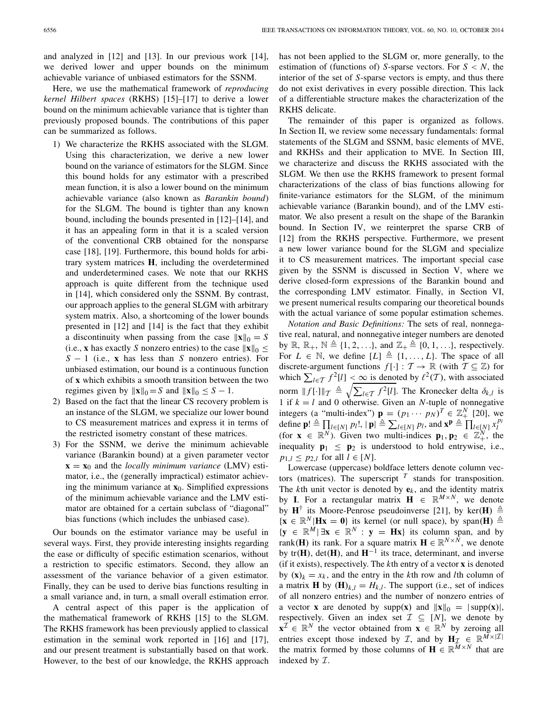and analyzed in [12] and [13]. In our previous work [14], we derived lower and upper bounds on the minimum achievable variance of unbiased estimators for the SSNM.

Here, we use the mathematical framework of *reproducing kernel Hilbert spaces* (RKHS) [15]–[17] to derive a lower bound on the minimum achievable variance that is tighter than previously proposed bounds. The contributions of this paper can be summarized as follows.

- 1) We characterize the RKHS associated with the SLGM. Using this characterization, we derive a new lower bound on the variance of estimators for the SLGM. Since this bound holds for any estimator with a prescribed mean function, it is also a lower bound on the minimum achievable variance (also known as *Barankin bound*) for the SLGM. The bound is tighter than any known bound, including the bounds presented in [12]–[14], and it has an appealing form in that it is a scaled version of the conventional CRB obtained for the nonsparse case [18], [19]. Furthermore, this bound holds for arbitrary system matrices **H**, including the overdetermined and underdetermined cases. We note that our RKHS approach is quite different from the technique used in [14], which considered only the SSNM. By contrast, our approach applies to the general SLGM with arbitrary system matrix. Also, a shortcoming of the lower bounds presented in [12] and [14] is the fact that they exhibit a discontinuity when passing from the case  $\|\mathbf{x}\|_0 = S$ (i.e., **x** has exactly *S* nonzero entries) to the case  $||\mathbf{x}||_0 \le$ *S* − 1 (i.e., **x** has less than *S* nonzero entries). For unbiased estimation, our bound is a continuous function of **x** which exhibits a smooth transition between the two regimes given by  $\|\mathbf{x}\|_0 = S$  and  $\|\mathbf{x}\|_0 \leq S - 1$ .
- 2) Based on the fact that the linear CS recovery problem is an instance of the SLGM, we specialize our lower bound to CS measurement matrices and express it in terms of the restricted isometry constant of these matrices.
- 3) For the SSNM, we derive the minimum achievable variance (Barankin bound) at a given parameter vector  $\mathbf{x} = \mathbf{x}_0$  and the *locally minimum variance* (LMV) estimator, i.e., the (generally impractical) estimator achieving the minimum variance at **x**0. Simplified expressions of the minimum achievable variance and the LMV estimator are obtained for a certain subclass of "diagonal" bias functions (which includes the unbiased case).

Our bounds on the estimator variance may be useful in several ways. First, they provide interesting insights regarding the ease or difficulty of specific estimation scenarios, without a restriction to specific estimators. Second, they allow an assessment of the variance behavior of a given estimator. Finally, they can be used to derive bias functions resulting in a small variance and, in turn, a small overall estimation error.

A central aspect of this paper is the application of the mathematical framework of RKHS [15] to the SLGM. The RKHS framework has been previously applied to classical estimation in the seminal work reported in [16] and [17], and our present treatment is substantially based on that work. However, to the best of our knowledge, the RKHS approach has not been applied to the SLGM or, more generally, to the estimation of (functions of) *S*-sparse vectors. For *S* < *N*, the interior of the set of *S*-sparse vectors is empty, and thus there do not exist derivatives in every possible direction. This lack of a differentiable structure makes the characterization of the RKHS delicate.

The remainder of this paper is organized as follows. In Section II, we review some necessary fundamentals: formal statements of the SLGM and SSNM, basic elements of MVE, and RKHSs and their application to MVE. In Section III, we characterize and discuss the RKHS associated with the SLGM. We then use the RKHS framework to present formal characterizations of the class of bias functions allowing for finite-variance estimators for the SLGM, of the minimum achievable variance (Barankin bound), and of the LMV estimator. We also present a result on the shape of the Barankin bound. In Section IV, we reinterpret the sparse CRB of [12] from the RKHS perspective. Furthermore, we present a new lower variance bound for the SLGM and specialize it to CS measurement matrices. The important special case given by the SSNM is discussed in Section V, where we derive closed-form expressions of the Barankin bound and the corresponding LMV estimator. Finally, in Section VI, we present numerical results comparing our theoretical bounds with the actual variance of some popular estimation schemes.

*Notation and Basic Definitions:* The sets of real, nonnegative real, natural, and nonnegative integer numbers are denoted by  $\mathbb{R}, \mathbb{R}_+, \mathbb{N} \triangleq \{1, 2, \ldots\}$ , and  $\mathbb{Z}_+ \triangleq \{0, 1, \ldots\}$ , respectively. For  $L \in \mathbb{N}$ , we define  $[L] \triangleq \{1, ..., L\}$ . The space of all discrete-argument functions  $f[\cdot] : \mathcal{T} \to \mathbb{R}$  (with  $\mathcal{T} \subseteq \mathbb{Z}$ ) for which  $\sum_{l \in \mathcal{T}} f^2[l] \leq \infty$  is denoted by  $\ell^2(\mathcal{T})$ , with associated norm  $|| f[ \cdot ] ||_{\mathcal{T}} \triangleq \sqrt{\sum_{l \in \mathcal{T}} f^2[l]}$ . The Kronecker delta  $\delta_{k,l}$  is 1 if  $k = l$  and 0 otherwise. Given an *N*-tuple of nonnegative integers (a "multi-index")  $\mathbf{p} = (p_1 \cdots p_N)^T \in \mathbb{Z}_+^N$  [20], we define  $\mathbf{p}! \triangleq \prod_{l \in [N]} p_l!$ ,  $|\mathbf{p}| \triangleq \sum_{l \in [N]} p_l$ , and  $\mathbf{x}^{\mathbf{p}} \triangleq \prod_{l \in [N]} x_l^{p_l}$ <br>(for  $\mathbf{x} \in \mathbb{R}^N$ ). Given two multi-indices  $\mathbf{p}_1, \mathbf{p}_2 \in \mathbb{Z}_+^N$ , the inequality  $\mathbf{p}_1 \leq \mathbf{p}_2$  is understood to hold entrywise, i.e.,  $p_{1,l} \leq p_{2,l}$  for all  $l \in [N]$ .

Lowercase (uppercase) boldface letters denote column vectors (matrices). The superscript  $<sup>T</sup>$  stands for transposition.</sup> The *k*th unit vector is denoted by  $e_k$ , and the identity matrix by **I**. For a rectangular matrix  $\mathbf{H} \in \mathbb{R}^{M \times N}$ , we denote by  $H^{\dagger}$  its Moore-Penrose pseudoinverse [21], by ker $(H) \triangleq$  $\{ \mathbf{x} \in \mathbb{R}^N | \mathbf{H}\mathbf{x} = \mathbf{0} \}$  its kernel (or null space), by span( $\mathbf{H}$ )  $\triangleq$  ${\bf y} \in \mathbb{R}^M | \exists {\bf x} \in \mathbb{R}^N : {\bf y} = {\bf H}{\bf x} \}$  its column span, and by rank(**H**) its rank. For a square matrix  $\mathbf{H} \in \mathbb{R}^{N \times \bar{N}}$ , we denote by tr( $\mathbf{H}$ ), det( $\mathbf{H}$ ), and  $\mathbf{H}^{-1}$  its trace, determinant, and inverse (if it exists), respectively. The *k*th entry of a vector **x** is denoted by  $({\bf x})_k = x_k$ , and the entry in the *k*th row and *l*th column of a matrix **H** by  $(H)_{k,l} = H_{k,l}$ . The support (i.e., set of indices of all nonzero entries) and the number of nonzero entries of a vector **x** are denoted by supp(**x**) and  $\|\mathbf{x}\|_0 = |\text{supp}(\mathbf{x})|$ , respectively. Given an index set  $\mathcal{I} \subseteq [N]$ , we denote by  $\mathbf{x}^{\mathcal{I}} \in \mathbb{R}^{N}$  the vector obtained from  $\mathbf{x} \in \mathbb{R}^{N}$  by zeroing all entries except those indexed by *I*, and by  $H_{\mathcal{I}} \in \mathbb{R}^{M \times |\mathcal{I}|}$ the matrix formed by those columns of  $\mathbf{H} \in \mathbb{R}^{M \times N}$  that are indexed by *I*.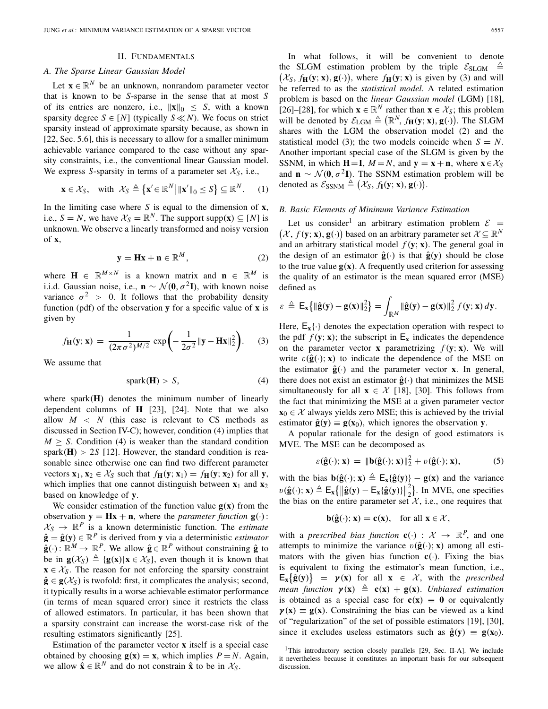#### II. FUNDAMENTALS

## *A. The Sparse Linear Gaussian Model*

Let  $\mathbf{x} \in \mathbb{R}^N$  be an unknown, nonrandom parameter vector that is known to be *S*-sparse in the sense that at most *S* of its entries are nonzero, i.e.,  $\|\mathbf{x}\|_0 \leq S$ , with a known sparsity degree  $S \in [N]$  (typically  $S \ll N$ ). We focus on strict sparsity instead of approximate sparsity because, as shown in [22, Sec. 5.6], this is necessary to allow for a smaller minimum achievable variance compared to the case without any sparsity constraints, i.e., the conventional linear Gaussian model. We express *S*-sparsity in terms of a parameter set  $X<sub>S</sub>$ , i.e.,

$$
\mathbf{x} \in \mathcal{X}_S, \quad \text{with} \quad \mathcal{X}_S \triangleq \left\{ \mathbf{x}' \in \mathbb{R}^N \, \middle| \, \|\mathbf{x}'\|_0 \leq S \right\} \subseteq \mathbb{R}^N. \tag{1}
$$

In the limiting case where *S* is equal to the dimension of **x**, i.e., *S* = *N*, we have  $X_S = \mathbb{R}^N$ . The support supp(**x**)  $\subseteq [N]$  is unknown. We observe a linearly transformed and noisy version of **x**,

$$
y = Hx + n \in \mathbb{R}^M,
$$
 (2)

where  $\mathbf{H} \in \mathbb{R}^{M \times N}$  is a known matrix and  $\mathbf{n} \in \mathbb{R}^{M}$  is i.i.d. Gaussian noise, i.e., **n** ∼  $\mathcal{N}(\mathbf{0}, \sigma^2 \mathbf{I})$ , with known noise variance  $\sigma^2 > 0$ . It follows that the probability density function (pdf) of the observation **y** for a specific value of **x** is given by

$$
f_{\mathbf{H}}(\mathbf{y}; \mathbf{x}) = \frac{1}{(2\pi\sigma^2)^{M/2}} \exp\left(-\frac{1}{2\sigma^2} \|\mathbf{y} - \mathbf{H}\mathbf{x}\|_2^2\right).
$$
 (3)

We assume that

$$
spark(\mathbf{H}) > S,\tag{4}
$$

where  $spark(\mathbf{H})$  denotes the minimum number of linearly dependent columns of **H** [23], [24]. Note that we also allow  $M \leq N$  (this case is relevant to CS methods as discussed in Section IV-C); however, condition (4) implies that  $M > S$ . Condition (4) is weaker than the standard condition spark $(H) > 2S$  [12]. However, the standard condition is reasonable since otherwise one can find two different parameter vectors  $\mathbf{x}_1, \mathbf{x}_2 \in \mathcal{X}_S$  such that  $f_{\mathbf{H}}(\mathbf{y}; \mathbf{x}_1) = f_{\mathbf{H}}(\mathbf{y}; \mathbf{x}_2)$  for all y, which implies that one cannot distinguish between  $x_1$  and  $x_2$ based on knowledge of **y**.

We consider estimation of the function value  $g(x)$  from the observation  $\mathbf{y} = \mathbf{H}\mathbf{x} + \mathbf{n}$ , where the *parameter function*  $\mathbf{g}(\cdot)$ :  $X_{\mathcal{S}} \rightarrow \mathbb{R}^P$  is a known deterministic function. The *estimate*  $\hat{\mathbf{g}} = \hat{\mathbf{g}}(\mathbf{y}) \in \mathbb{R}^P$  is derived from **y** via a deterministic *estimator*  $\ddot{\mathbf{g}}(\cdot)$ :  $\ddot{\mathbb{R}}^M \to \mathbb{R}^P$ . We allow  $\dot{\mathbf{g}} \in \mathbb{R}^P$  without constraining  $\dot{\mathbf{g}}$  to be in  $g(\mathcal{X}_S) \triangleq {g(\mathbf{x}) | \mathbf{x} \in \mathcal{X}_S}$ , even though it is known that  $\mathbf{x} \in \mathcal{X}_S$ . The reason for not enforcing the sparsity constraint  $\hat{\mathbf{g}} \in \mathbf{g}(\mathcal{X}_S)$  is twofold: first, it complicates the analysis; second, it typically results in a worse achievable estimator performance (in terms of mean squared error) since it restricts the class of allowed estimators. In particular, it has been shown that a sparsity constraint can increase the worst-case risk of the resulting estimators significantly [25].

Estimation of the parameter vector **x** itself is a special case obtained by choosing  $g(x) = x$ , which implies  $P = N$ . Again, we allow  $\hat{\mathbf{x}} \in \mathbb{R}^N$  and do not constrain  $\hat{\mathbf{x}}$  to be in  $\mathcal{X}_S$ .

In what follows, it will be convenient to denote the SLGM estimation problem by the triple  $\mathcal{E}_{\text{SLGM}} \triangleq$  $(\mathcal{X}_S, f_\mathbf{H}(\mathbf{y}; \mathbf{x}), \mathbf{g}(\cdot)),$  where  $f_\mathbf{H}(\mathbf{y}; \mathbf{x})$  is given by (3) and will be referred to as the *statistical model*. A related estimation problem is based on the *linear Gaussian model* (LGM) [18], [26]–[28], for which  $\mathbf{x} \in \mathbb{R}^N$  rather than  $\mathbf{x} \in \mathcal{X}_S$ ; this problem will be denoted by  $\mathcal{E}_{\text{LGM}} \triangleq (\mathbb{R}^N, f_{\text{H}}(\textbf{y}; \textbf{x}), \textbf{g}(\cdot)).$  The SLGM shares with the LGM the observation model (2) and the statistical model (3); the two models coincide when  $S = N$ . Another important special case of the SLGM is given by the SSNM, in which **H**=**I**,  $M = N$ , and  $y = x + n$ , where  $x \in \mathcal{X}_S$ and  $\mathbf{n} \sim \mathcal{N}(\mathbf{0}, \sigma^2 \mathbf{I})$ . The SSNM estimation problem will be denoted as  $\mathcal{E}_{SSNM} \triangleq (\mathcal{X}_S, f_{\mathbf{I}}(\mathbf{y}; \mathbf{x}), \mathbf{g}(\cdot)).$ 

#### *B. Basic Elements of Minimum Variance Estimation*

Let us consider<sup>1</sup> an arbitrary estimation problem  $\mathcal{E} = (\mathcal{X}, f(\mathbf{y}; \mathbf{x}), \mathbf{g}(\cdot))$  based on an arbitrary parameter set  $\mathcal{X} \subseteq \mathbb{R}^N$  $(\mathcal{X}, f(\mathbf{y}; \mathbf{x}), \mathbf{g}(\cdot))$  based on an arbitrary parameter set  $\mathcal{X} \subseteq \mathbb{R}^N$ and an arbitrary statistical model  $f(\mathbf{y}; \mathbf{x})$ . The general goal in the design of an estimator  $\hat{\mathbf{g}}(\cdot)$  is that  $\hat{\mathbf{g}}(\mathbf{y})$  should be close to the true value  $g(x)$ . A frequently used criterion for assessing the quality of an estimator is the mean squared error (MSE) defined as

$$
\varepsilon \triangleq \mathsf{E}_{\mathbf{x}}\big\{\|\hat{\mathbf{g}}(\mathbf{y})-\mathbf{g}(\mathbf{x})\|_2^2\big\} = \int_{\mathbb{R}^M}\|\hat{\mathbf{g}}(\mathbf{y})-\mathbf{g}(\mathbf{x})\|_2^2 f(\mathbf{y}; \mathbf{x}) d\mathbf{y}.
$$

Here,  $E_x\{\cdot\}$  denotes the expectation operation with respect to the pdf  $f(\mathbf{y}; \mathbf{x})$ ; the subscript in  $\mathbf{E}_{\mathbf{x}}$  indicates the dependence on the parameter vector **x** parametrizing  $f(\mathbf{y}; \mathbf{x})$ . We will write  $\varepsilon(\hat{\mathbf{g}}(\cdot); \mathbf{x})$  to indicate the dependence of the MSE on the estimator  $\hat{\mathbf{g}}(\cdot)$  and the parameter vector **x**. In general, there does not exist an estimator  $\hat{g}(\cdot)$  that minimizes the MSE simultaneously for all  $\mathbf{x} \in \mathcal{X}$  [18], [30]. This follows from the fact that minimizing the MSE at a given parameter vector **x**<sup>0</sup> ∈  $X$  always yields zero MSE; this is achieved by the trivial estimator  $\hat{\mathbf{g}}(\mathbf{y}) \equiv \mathbf{g}(\mathbf{x}_0)$ , which ignores the observation **y**.

A popular rationale for the design of good estimators is MVE. The MSE can be decomposed as

$$
\varepsilon(\hat{\mathbf{g}}(\cdot); \mathbf{x}) = \|\mathbf{b}(\hat{\mathbf{g}}(\cdot); \mathbf{x})\|_2^2 + v(\hat{\mathbf{g}}(\cdot); \mathbf{x}),\tag{5}
$$

with the bias  $\mathbf{b}(\hat{\mathbf{g}}(\cdot); \mathbf{x}) \triangleq \mathbf{E}_{\mathbf{x}}{\{\hat{\mathbf{g}}(\mathbf{y})\} - \mathbf{g}(\mathbf{x})}$  and the variance  $v(\hat{\mathbf{g}}(\cdot); \mathbf{x}) \triangleq \mathsf{E}_{\mathbf{x}}\{ \|\hat{\mathbf{g}}(\mathbf{y}) - \mathsf{E}_{\mathbf{x}}\{\hat{\mathbf{g}}(\mathbf{y})\}\|$ 2  $2$ . In MVE, one specifies the bias on the entire parameter set  $X$ , i.e., one requires that

$$
\mathbf{b}(\hat{\mathbf{g}}(\cdot); \mathbf{x}) = \mathbf{c}(\mathbf{x}), \quad \text{for all } \mathbf{x} \in \mathcal{X},
$$

with a *prescribed bias function*  $\mathbf{c}(\cdot) : \mathcal{X} \to \mathbb{R}^p$ , and one attempts to minimize the variance  $v(\hat{\mathbf{g}}(\cdot); \mathbf{x})$  among all estimators with the given bias function  $c(\cdot)$ . Fixing the bias is equivalent to fixing the estimator's mean function, i.e.,  $\mathsf{E}_{\mathbf{x}}\{\hat{\mathbf{g}}(\mathbf{y})\}$  =  $\gamma(\mathbf{x})$  for all  $\mathbf{x} \in \mathcal{X}$ , with the *prescribed mean function*  $\mathbf{y}(\mathbf{x}) \triangleq \mathbf{c}(\mathbf{x}) + \mathbf{g}(\mathbf{x})$ . *Unbiased estimation* is obtained as a special case for  $c(x) \equiv 0$  or equivalently  $\gamma(x) \equiv g(x)$ . Constraining the bias can be viewed as a kind of "regularization" of the set of possible estimators [19], [30], since it excludes useless estimators such as  $\hat{\mathbf{g}}(\mathbf{y}) \equiv \mathbf{g}(\mathbf{x}_0)$ .

<sup>&</sup>lt;sup>1</sup>This introductory section closely parallels [29, Sec. II-A]. We include it nevertheless because it constitutes an important basis for our subsequent discussion.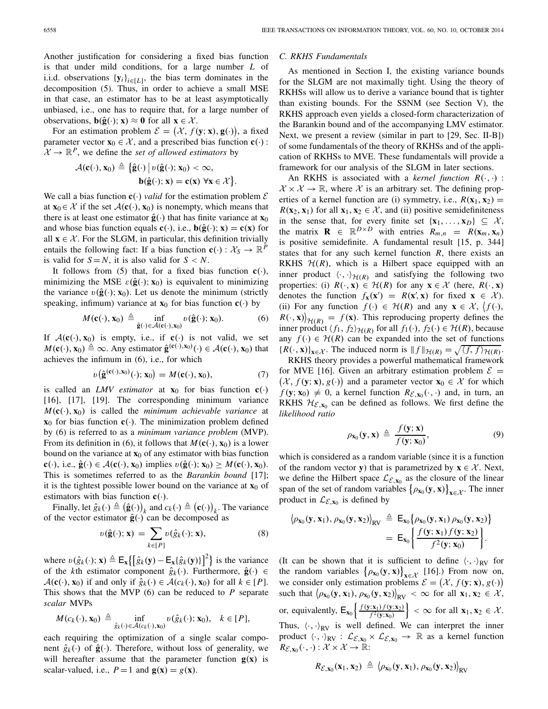Another justification for considering a fixed bias function is that under mild conditions, for a large number *L* of i.i.d. observations  ${y_i}_{i \in [L]}$ , the bias term dominates in the decomposition (5). Thus, in order to achieve a small MSE in that case, an estimator has to be at least asymptotically unbiased, i.e., one has to require that, for a large number of observations,  $\mathbf{b}(\hat{\mathbf{g}}(\cdot); \mathbf{x}) \approx 0$  for all  $\mathbf{x} \in \mathcal{X}$ .

For an estimation problem  $\mathcal{E} = (\mathcal{X}, f(\mathbf{y}; \mathbf{x}), \mathbf{g}(\cdot)),$  a fixed parameter vector  $\mathbf{x}_0 \in \mathcal{X}$ , and a prescribed bias function  $\mathbf{c}(\cdot)$ :  $\mathcal{X} \rightarrow \mathbb{R}^P$ , we define the *set of allowed estimators* by

$$
\mathcal{A}(\mathbf{c}(\cdot), \mathbf{x}_0) \triangleq \big\{ \hat{\mathbf{g}}(\cdot) \big| \, v(\hat{\mathbf{g}}(\cdot); \mathbf{x}_0) < \infty, \\ \mathbf{b}(\hat{\mathbf{g}}(\cdot); \mathbf{x}) = \mathbf{c}(\mathbf{x}) \, \forall \mathbf{x} \in \mathcal{X} \big\}.
$$

We call a bias function  $c(\cdot)$  *valid* for the estimation problem  $\mathcal E$ at **x**<sub>0</sub> ∈  $\mathcal{X}$  if the set  $\mathcal{A}$ (**c**(·), **x**<sub>0</sub>) is nonempty, which means that there is at least one estimator  $\hat{\mathbf{g}}(\cdot)$  that has finite variance at  $\mathbf{x}_0$ and whose bias function equals  $\mathbf{c}(\cdot)$ , i.e.,  $\mathbf{b}(\hat{\mathbf{g}}(\cdot); \mathbf{x}) = \mathbf{c}(\mathbf{x})$  for all  $\mathbf{x} \in \mathcal{X}$ . For the SLGM, in particular, this definition trivially entails the following fact: If a bias function  $\mathbf{c}(\cdot) : \mathcal{X}_S \to \mathbb{R}^P$ is valid for  $S = N$ , it is also valid for  $S < N$ .

It follows from (5) that, for a fixed bias function  $c(\cdot)$ , minimizing the MSE  $\varepsilon(\hat{\mathbf{g}}(\cdot); \mathbf{x}_0)$  is equivalent to minimizing the variance  $v(\hat{\mathbf{g}}(\cdot); \mathbf{x}_0)$ . Let us denote the minimum (strictly speaking, infimum) variance at  $\mathbf{x}_0$  for bias function  $\mathbf{c}(\cdot)$  by

$$
M(\mathbf{c}(\cdot), \mathbf{x}_0) \triangleq \inf_{\hat{\mathbf{g}}(\cdot) \in \mathcal{A}(\mathbf{c}(\cdot), \mathbf{x}_0)} v(\hat{\mathbf{g}}(\cdot); \mathbf{x}_0). \tag{6}
$$

If  $A(c(\cdot), x_0)$  is empty, i.e., if  $c(\cdot)$  is not valid, we set  $M(\mathbf{c}(\cdot), \mathbf{x}_0) \triangleq \infty$ . Any estimator  $\hat{\mathbf{g}}^{(\mathbf{c}(\cdot), \mathbf{x}_0)}(\cdot) \in \mathcal{A}(\mathbf{c}(\cdot), \mathbf{x}_0)$  that achieves the infimum in (6), i.e., for which

$$
v(\hat{\mathbf{g}}^{(\mathbf{c}(\cdot),\mathbf{x}_0)}(\cdot);\mathbf{x}_0) = M(\mathbf{c}(\cdot),\mathbf{x}_0),\tag{7}
$$

is called an *LMV estimator* at  $\mathbf{x}_0$  for bias function  $\mathbf{c}(\cdot)$ [16], [17], [19]. The corresponding minimum variance  $M(c(\cdot), x_0)$  is called the *minimum achievable variance* at  $\mathbf{x}_0$  for bias function  $\mathbf{c}(\cdot)$ . The minimization problem defined by (6) is referred to as a *minimum variance problem* (MVP). From its definition in (6), it follows that  $M(c(\cdot), x_0)$  is a lower bound on the variance at  $\mathbf{x}_0$  of any estimator with bias function **c**(⋅), i.e.,  $\hat{\mathbf{g}}(.)$  ∈  $\mathcal{A}(\mathbf{c}(\cdot), \mathbf{x}_0)$  implies  $v(\hat{\mathbf{g}}(\cdot); \mathbf{x}_0) \geq M(\mathbf{c}(\cdot), \mathbf{x}_0)$ . This is sometimes referred to as the *Barankin bound* [17]; it is the tightest possible lower bound on the variance at  $\mathbf{x}_0$  of estimators with bias function  $c(\cdot)$ .

Finally, let  $\hat{g}_k(\cdot) \triangleq (\hat{\mathbf{g}}(\cdot))_k$  and  $c_k(\cdot) \triangleq (\mathbf{c}(\cdot))_k$ . The variance of the vector estimator  $\hat{\mathbf{g}}(\cdot)$  can be decomposed as

$$
v(\hat{\mathbf{g}}(\cdot); \mathbf{x}) = \sum_{k \in [P]} v(\hat{g}_k(\cdot); \mathbf{x}), \tag{8}
$$

where  $v(\hat{g}_k(\cdot); \mathbf{x}) \triangleq \mathbb{E}_{\mathbf{x}}\left\{ \left[ \hat{g}_k(\mathbf{y}) - \mathbb{E}_{\mathbf{x}}\{ \hat{g}_k(\mathbf{y})\} \right]^2 \right\}$  is the variance of the *k*th estimator component  $\hat{g}_k(\cdot)$ . Furthermore,  $\hat{\mathbf{g}}(\cdot) \in$  $\mathcal{A}(\mathbf{c}(\cdot), \mathbf{x}_0)$  if and only if  $\hat{g}_k(\cdot) \in \mathcal{A}(c_k(\cdot), \mathbf{x}_0)$  for all  $k \in [P]$ . This shows that the MVP (6) can be reduced to *P* separate *scalar* MVPs

$$
M(c_k(\cdot), \mathbf{x}_0) \triangleq \inf_{\hat{g}_k(\cdot) \in \mathcal{A}(c_k(\cdot), \mathbf{x}_0)} v(\hat{g}_k(\cdot); \mathbf{x}_0), \quad k \in [P],
$$

each requiring the optimization of a single scalar component  $\hat{g}_k(\cdot)$  of  $\hat{\mathbf{g}}(\cdot)$ . Therefore, without loss of generality, we will hereafter assume that the parameter function  $g(x)$  is scalar-valued, i.e.,  $P = 1$  and  $\mathbf{g}(\mathbf{x}) = g(\mathbf{x})$ .

#### *C. RKHS Fundamentals*

As mentioned in Section I, the existing variance bounds for the SLGM are not maximally tight. Using the theory of RKHSs will allow us to derive a variance bound that is tighter than existing bounds. For the SSNM (see Section V), the RKHS approach even yields a closed-form characterization of the Barankin bound and of the accompanying LMV estimator. Next, we present a review (similar in part to [29, Sec. II-B]) of some fundamentals of the theory of RKHSs and of the application of RKHSs to MVE. These fundamentals will provide a framework for our analysis of the SLGM in later sections.

An RKHS is associated with a *kernel function*  $R(\cdot, \cdot)$ :  $\mathcal{X} \times \mathcal{X} \rightarrow \mathbb{R}$ , where  $\mathcal{X}$  is an arbitrary set. The defining properties of a kernel function are (i) symmetry, i.e.,  $R(\mathbf{x}_1, \mathbf{x}_2) =$  $R(\mathbf{x}_2, \mathbf{x}_1)$  for all  $\mathbf{x}_1, \mathbf{x}_2 \in \mathcal{X}$ , and (ii) positive semidefiniteness in the sense that, for every finite set  $\{x_1, \ldots, x_D\} \subseteq \mathcal{X}$ , the matrix **R**  $\in \mathbb{R}^{D \times D}$  with entries  $R_{m,n} = R(\mathbf{x}_m, \mathbf{x}_n)$ is positive semidefinite. A fundamental result [15, p. 344] states that for any such kernel function *R*, there exists an RKHS  $H(R)$ , which is a Hilbert space equipped with an inner product  $\langle \cdot, \cdot \rangle_{\mathcal{H}(R)}$  and satisfying the following two properties: (i)  $R(\cdot, \mathbf{x}) \in \mathcal{H}(R)$  for any  $\mathbf{x} \in \mathcal{X}$  (here,  $R(\cdot, \mathbf{x})$ denotes the function  $f_{\mathbf{x}}(\mathbf{x}') = R(\mathbf{x}', \mathbf{x})$  for fixed  $\mathbf{x} \in \mathcal{X}$ ). (ii) For any function  $f(\cdot) \in \mathcal{H}(R)$  and any  $\mathbf{x} \in \mathcal{X}, \, \big\langle f(\cdot), \big\rangle$  $R(\cdot, \mathbf{x})|_{\mathcal{H}(R)} = f(\mathbf{x})$ . This reproducing property defines the inner product  $\langle f_1, f_2 \rangle_{\mathcal{H}(R)}$  for all  $f_1(\cdot), f_2(\cdot) \in \mathcal{H}(R)$ , because any  $f(\cdot) \in \mathcal{H}(R)$  can be expanded into the set of functions  ${R(\cdot, \mathbf{x})}_{\mathbf{x} \in \mathcal{X}}$ . The induced norm is  $\|f\|_{\mathcal{H}(R)} = \sqrt{\langle f, f \rangle_{\mathcal{H}(R)}}$ .

RKHS theory provides a powerful mathematical framework for MVE [16]. Given an arbitrary estimation problem  $\mathcal{E} = (\mathcal{X}, f(\mathbf{y}; \mathbf{x}), g(\cdot))$  and a parameter vector  $\mathbf{x}_0 \in \mathcal{X}$  for which  $(\mathcal{X}, f(\mathbf{y}; \mathbf{x}), g(\cdot))$  and a parameter vector  $\mathbf{x}_0 \in \mathcal{X}$  for which  $f(\mathbf{y}; \mathbf{x}_0) \neq 0$ , a kernel function  $R_{\mathcal{E}, \mathbf{x}_0}(\cdot, \cdot)$  and, in turn, an RKHS  $\mathcal{H}_{\mathcal{E},\mathbf{x}_0}$  can be defined as follows. We first define the *likelihood ratio*

$$
\rho_{\mathbf{x}_0}(\mathbf{y}, \mathbf{x}) \triangleq \frac{f(\mathbf{y}; \mathbf{x})}{f(\mathbf{y}; \mathbf{x}_0)},
$$
\n(9)

which is considered as a random variable (since it is a function of the random vector **y**) that is parametrized by  $\mathbf{x} \in \mathcal{X}$ . Next, we define the Hilbert space  $\mathcal{L}_{\mathcal{E},\mathbf{x}_0}$  as the closure of the linear span of the set of random variables  $\{\rho_{\mathbf{x}_0}(\mathbf{y}, \mathbf{x})\}_{\mathbf{x} \in \mathcal{X}}$ . The inner product in  $\mathcal{L}_{\mathcal{E},\mathbf{x}_0}$  is defined by

$$
\langle \rho_{\mathbf{x}_0}(\mathbf{y}, \mathbf{x}_1), \rho_{\mathbf{x}_0}(\mathbf{y}, \mathbf{x}_2) \rangle_{\text{RV}} \triangleq \mathsf{E}_{\mathbf{x}_0} \{ \rho_{\mathbf{x}_0}(\mathbf{y}, \mathbf{x}_1) \, \rho_{\mathbf{x}_0}(\mathbf{y}, \mathbf{x}_2) \} \\
= \mathsf{E}_{\mathbf{x}_0} \bigg\{ \frac{f(\mathbf{y}; \mathbf{x}_1) \, f(\mathbf{y}; \mathbf{x}_2)}{f^2(\mathbf{y}; \mathbf{x}_0)} \bigg\}.
$$

(It can be shown that it is sufficient to define  $\langle \cdot, \cdot \rangle_{\text{RV}}$  for the random variables  $\{\rho_{\mathbf{x}_0}(\mathbf{y}, \mathbf{x})\}_{\mathbf{x} \in \mathcal{X}}$  [16].) From now on, we consider only estimation problems  $\mathcal{E} = (\mathcal{X}, f(\mathbf{y}; \mathbf{x}), g(\cdot))$ such that  $\langle \rho_{\mathbf{x}_0}(\mathbf{y}, \mathbf{x}_1), \rho_{\mathbf{x}_0}(\mathbf{y}, \mathbf{x}_2) \rangle_{\text{RV}} < \infty$  for all  $\mathbf{x}_1, \mathbf{x}_2 \in \mathcal{X}$ , or, equivalently,  $\mathsf{E}_{\mathbf{x}_0}\left\{\frac{f(\mathbf{y};\mathbf{x}_1)f(\mathbf{y};\mathbf{x}_2)}{f^2(\mathbf{y};\mathbf{x}_0)}\right\} < \infty$  for all  $\mathbf{x}_1, \mathbf{x}_2 \in \mathcal{X}$ . Thus,  $\langle \cdot, \cdot \rangle_{\text{RV}}$  is well defined. We can interpret the inner product  $\langle \cdot, \cdot \rangle_{RV}$  :  $\mathcal{L}_{\mathcal{E},\mathbf{x}_0} \times \mathcal{L}_{\mathcal{E},\mathbf{x}_0} \rightarrow \mathbb{R}$  as a kernel function  $R_{\mathcal{E},\mathbf{x}_0}(\cdot,\cdot): \mathcal{X} \times \mathcal{X} \to \mathbb{R}$ :

$$
R_{\mathcal{E},\mathbf{x}_0}(\mathbf{x}_1,\mathbf{x}_2) \triangleq \big \langle \rho_{\mathbf{x}_0}(\mathbf{y},\mathbf{x}_1), \rho_{\mathbf{x}_0}(\mathbf{y},\mathbf{x}_2) \big \rangle_{\text{RV}}
$$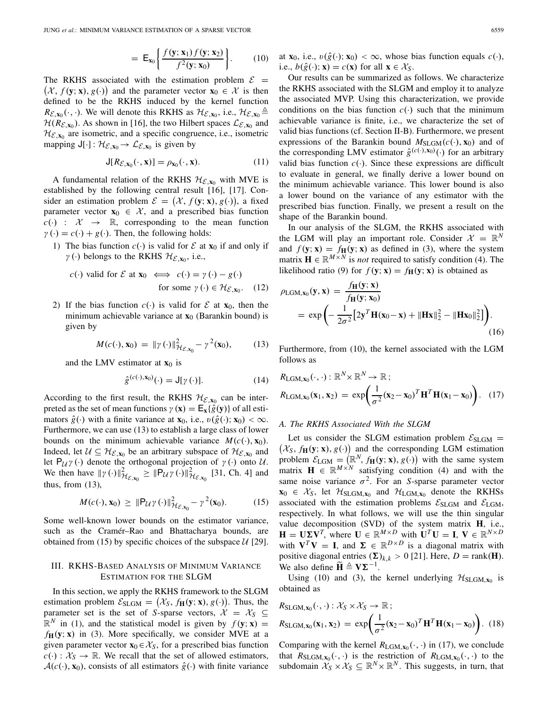$$
= \mathsf{E}_{\mathbf{x}_0} \left\{ \frac{f(\mathbf{y}; \mathbf{x}_1) f(\mathbf{y}; \mathbf{x}_2)}{f^2(\mathbf{y}; \mathbf{x}_0)} \right\}.
$$
 (10)

The RKHS associated with the estimation problem  $\mathcal{E} = (\mathcal{X}, f(\mathbf{y}; \mathbf{x}), g(\cdot))$  and the parameter vector  $\mathbf{x}_0 \in \mathcal{X}$  is then  $(\mathcal{X}, f(\mathbf{y}; \mathbf{x}), g(\cdot))$  and the parameter vector  $\mathbf{x}_0 \in \mathcal{X}$  is then defined to be the RKHS induced by the kernel function  $R_{\mathcal{E},\mathbf{x}_0}(\cdot,\cdot)$ . We will denote this RKHS as  $\mathcal{H}_{\mathcal{E},\mathbf{x}_0}$ , i.e.,  $\mathcal{H}_{\mathcal{E},\mathbf{x}_0} \triangleq$  $H(R_{\mathcal{E},\mathbf{x}_0})$ . As shown in [16], the two Hilbert spaces  $\mathcal{L}_{\mathcal{E},\mathbf{x}_0}$  and  $\mathcal{H}_{\mathcal{E},\mathbf{x}_0}$  are isometric, and a specific congruence, i.e., isometric mapping  $J[\cdot] : \mathcal{H}_{\mathcal{E},\mathbf{x}_0} \to \mathcal{L}_{\mathcal{E},\mathbf{x}_0}$  is given by

$$
\mathsf{J}[R_{\mathcal{E},\mathbf{x}_0}(\cdot,\mathbf{x})] = \rho_{\mathbf{x}_0}(\cdot,\mathbf{x}).\tag{11}
$$

A fundamental relation of the RKHS  $\mathcal{H}_{\mathcal{E},\mathbf{x}_0}$  with MVE is established by the following central result [16], [17]. Consider an estimation problem  $\mathcal{E} = (\mathcal{X}, f(\mathbf{y}; \mathbf{x}), g(\cdot))$ , a fixed parameter vector  $\mathbf{x}_0 \in \mathcal{X}$ , and a prescribed bias function  $c(\cdot)$  :  $\mathcal{X} \rightarrow \mathbb{R}$ , corresponding to the mean function  $\gamma(\cdot) = c(\cdot) + g(\cdot)$ . Then, the following holds:

1) The bias function  $c(\cdot)$  is valid for  $\mathcal E$  at  $\mathbf x_0$  if and only if  $γ(·)$  belongs to the RKHS  $H_{E, x_0}$ , i.e.,

$$
c(\cdot) \text{ valid for } \mathcal{E} \text{ at } \mathbf{x}_0 \iff c(\cdot) = \gamma(\cdot) - g(\cdot)
$$
  
for some  $\gamma(\cdot) \in \mathcal{H}_{\mathcal{E}, \mathbf{x}_0}.$  (12)

2) If the bias function  $c(\cdot)$  is valid for  $\mathcal E$  at  $\mathbf x_0$ , then the minimum achievable variance at  $x_0$  (Barankin bound) is given by

$$
M(c(\cdot), \mathbf{x}_0) = \|\gamma(\cdot)\|_{\mathcal{H}_{\mathcal{E}, \mathbf{x}_0}}^2 - \gamma^2(\mathbf{x}_0), \quad (13)
$$

and the LMV estimator at  $\mathbf{x}_0$  is

$$
\hat{g}^{(c(\cdot),\mathbf{x}_0)}(\cdot) = \mathsf{J}[\gamma(\cdot)].\tag{14}
$$

According to the first result, the RKHS  $\mathcal{H}_{\mathcal{E},\mathbf{x}_0}$  can be interpreted as the set of mean functions  $\gamma(\mathbf{x}) = \mathbf{E}_{\mathbf{x}}{\{\hat{g}(\mathbf{y})\}}$  of all estimators  $\hat{g}(\cdot)$  with a finite variance at  $\mathbf{x}_0$ , i.e.,  $v(\hat{g}(\cdot); \mathbf{x}_0) < \infty$ . Furthermore, we can use (13) to establish a large class of lower bounds on the minimum achievable variance  $M(c(\cdot), \mathbf{x}_0)$ . Indeed, let  $\mathcal{U} \subseteq \mathcal{H}_{\mathcal{E},\mathbf{x}_0}$  be an arbitrary subspace of  $\mathcal{H}_{\mathcal{E},\mathbf{x}_0}$  and let  $P_U \gamma(\cdot)$  denote the orthogonal projection of  $\gamma(\cdot)$  onto  $U$ . We then have  $||\gamma(\cdot)||_{\mathcal{H}_{\mathcal{E},\mathbf{x}_0}}^2 \geq ||\mathbf{P}_{\mathcal{U}}\gamma(\cdot)||_{\mathcal{H}_{\mathcal{E},\mathbf{x}_0}}^2$  [31, Ch. 4] and thus, from (13),

$$
M(c(\cdot), \mathbf{x}_0) \geq \|\mathbf{P}_{\mathcal{U}}\gamma(\cdot)\|_{\mathcal{H}_{\mathcal{E}, \mathbf{x}_0}}^2 - \gamma^2(\mathbf{x}_0). \tag{15}
$$

Some well-known lower bounds on the estimator variance, such as the Cramér–Rao and Bhattacharya bounds, are obtained from (15) by specific choices of the subspace *U* [29].

# III. RKHS-BASED ANALYSIS OF MINIMUM VARIANCE ESTIMATION FOR THE SLGM

In this section, we apply the RKHS framework to the SLGM estimation problem  $\mathcal{E}_{SLGM} = (\mathcal{X}_S, f_H(y; x), g(\cdot))$ . Thus, the parameter set is the set of *S*-sparse vectors,  $\mathcal{X} = \mathcal{X}_S \subseteq$  $\mathbb{R}^N$  in (1), and the statistical model is given by  $f(\mathbf{y}; \mathbf{x}) =$  $f_{\text{H}}(\textbf{y}; \textbf{x})$  in (3). More specifically, we consider MVE at a given parameter vector  $\mathbf{x}_0 \in \mathcal{X}_S$ , for a prescribed bias function  $c(\cdot): \mathcal{X}_S \to \mathbb{R}$ . We recall that the set of allowed estimators,  $A(c(\cdot), \mathbf{x}_0)$ , consists of all estimators  $\hat{g}(\cdot)$  with finite variance at  $\mathbf{x}_0$ , i.e.,  $v(\hat{g}(\cdot); \mathbf{x}_0) < \infty$ , whose bias function equals  $c(\cdot)$ , i.e.,  $b(\hat{g}(\cdot); \mathbf{x}) = c(\mathbf{x})$  for all  $\mathbf{x} \in \mathcal{X}_S$ .

Our results can be summarized as follows. We characterize the RKHS associated with the SLGM and employ it to analyze the associated MVP. Using this characterization, we provide conditions on the bias function  $c(\cdot)$  such that the minimum achievable variance is finite, i.e., we characterize the set of valid bias functions (cf. Section II-B). Furthermore, we present expressions of the Barankin bound  $M_{SLGM}(c(\cdot), \mathbf{x}_0)$  and of the corresponding LMV estimator  $\hat{g}^{(c(\cdot),\mathbf{x}_0)}(\cdot)$  for an arbitrary valid bias function  $c(\cdot)$ . Since these expressions are difficult to evaluate in general, we finally derive a lower bound on the minimum achievable variance. This lower bound is also a lower bound on the variance of any estimator with the prescribed bias function. Finally, we present a result on the shape of the Barankin bound.

In our analysis of the SLGM, the RKHS associated with the LGM will play an important role. Consider  $\mathcal{X} = \mathbb{R}^N$ and  $f(\mathbf{y}; \mathbf{x}) = f_{\mathbf{H}}(\mathbf{y}; \mathbf{x})$  as defined in (3), where the system matrix  $\mathbf{H} \in \mathbb{R}^{M \times N}$  is *not* required to satisfy condition (4). The likelihood ratio (9) for  $f(\mathbf{y}; \mathbf{x}) = f_{\mathbf{H}}(\mathbf{y}; \mathbf{x})$  is obtained as

$$
\rho_{\text{LGM},\mathbf{x}_0}(\mathbf{y}, \mathbf{x}) = \frac{f_{\mathbf{H}}(\mathbf{y}; \mathbf{x})}{f_{\mathbf{H}}(\mathbf{y}; \mathbf{x}_0)}
$$
  
=  $\exp\left(-\frac{1}{2\sigma^2} \left[2\mathbf{y}^T \mathbf{H}(\mathbf{x}_0 - \mathbf{x}) + ||\mathbf{H}\mathbf{x}||_2^2 - ||\mathbf{H}\mathbf{x}_0||_2^2\right]\right).$  (16)

Furthermore, from (10), the kernel associated with the LGM follows as

$$
R_{\text{LGM},\mathbf{x}_0}(\cdot,\cdot): \mathbb{R}^N \times \mathbb{R}^N \to \mathbb{R};
$$
  
\n
$$
R_{\text{LGM},\mathbf{x}_0}(\mathbf{x}_1,\mathbf{x}_2) = \exp\left(\frac{1}{\sigma^2}(\mathbf{x}_2-\mathbf{x}_0)^T \mathbf{H}^T \mathbf{H}(\mathbf{x}_1-\mathbf{x}_0)\right).
$$
 (17)

#### *A. The RKHS Associated With the SLGM*

Let us consider the SLGM estimation problem  $\mathcal{E}_{SLGM} = (\mathcal{X}_S, f_H(\mathbf{y}; \mathbf{x}), g(\cdot))$  and the corresponding LGM estimation  $(\mathcal{X}_S, f_\mathbf{H}(\mathbf{y}; \mathbf{x}), g(\cdot))$  and the corresponding LGM estimation problem  $\mathcal{E}_{\text{LGM}} = (\mathbb{R}^N, f_{\text{H}}(\mathbf{y}; \mathbf{x}), g(\cdot))$  with the same system matrix  $\mathbf{H} \in \mathbb{R}^{M \times N}$  satisfying condition (4) and with the same noise variance  $\sigma^2$ . For an *S*-sparse parameter vector  $\mathbf{x}_0 \in \mathcal{X}_S$ , let  $\mathcal{H}_{SLGM,x_0}$  and  $\mathcal{H}_{LGM,x_0}$  denote the RKHSs associated with the estimation problems  $\mathcal{E}_{SLGM}$  and  $\mathcal{E}_{LGM}$ , respectively. In what follows, we will use the thin singular value decomposition (SVD) of the system matrix **H**, i.e.,  $\mathbf{H} = \mathbf{U} \Sigma \mathbf{V}^T$ , where  $\mathbf{U} \in \mathbb{R}^{M \times D}$  with  $\mathbf{U}^T \mathbf{U} = \mathbf{I}, \mathbf{V} \in \mathbb{R}^{N \times D}$ with  $V^T V = I$ , and  $\Sigma \in \mathbb{R}^{D \times D}$  is a diagonal matrix with positive diagonal entries  $(\mathbf{\Sigma})_{k,k} > 0$  [21]. Here,  $D = \text{rank}(\mathbf{H})$ . We also define  $\widetilde{\mathbf{H}} \triangleq \mathbf{V}\mathbf{\Sigma}^{-1}$ .

Using (10) and (3), the kernel underlying  $H_{SLGM, x_0}$  is obtained as

$$
R_{\text{SLGM},\mathbf{x}_0}(\cdot,\cdot): \mathcal{X}_S \times \mathcal{X}_S \to \mathbb{R};
$$
  
\n
$$
R_{\text{SLGM},\mathbf{x}_0}(\mathbf{x}_1,\mathbf{x}_2) = \exp\left(\frac{1}{\sigma^2}(\mathbf{x}_2-\mathbf{x}_0)^T \mathbf{H}^T \mathbf{H}(\mathbf{x}_1-\mathbf{x}_0)\right).
$$
 (18)

Comparing with the kernel  $R_{\text{LGM},\mathbf{x}_0}(\cdot,\cdot)$  in (17), we conclude that  $R_{SLGM, x_0}(\cdot, \cdot)$  is the restriction of  $R_{LGM, x_0}(\cdot, \cdot)$  to the subdomain  $\mathcal{X}_S \times \mathcal{X}_S \subseteq \mathbb{R}^N \times \mathbb{R}^N$ . This suggests, in turn, that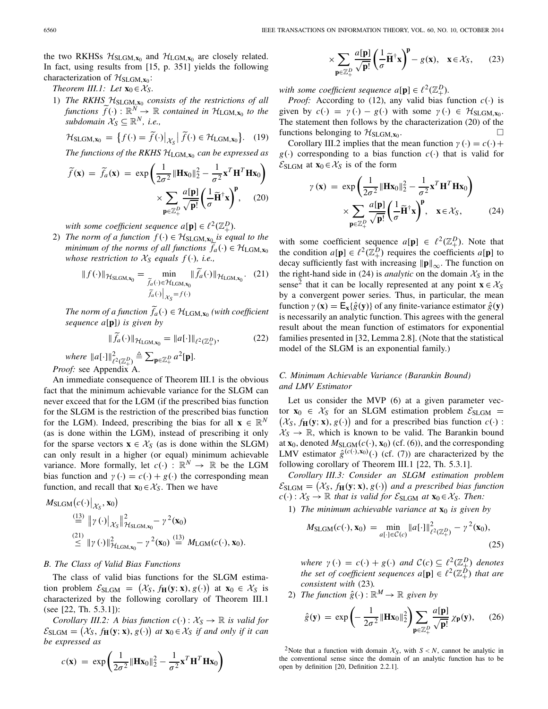the two RKHSs  $H_{SLGM,x_0}$  and  $H_{LGM,x_0}$  are closely related. In fact, using results from [15, p. 351] yields the following characterization of  $H_{SLGM,x_0}$ :

*Theorem III.1:* Let  $\mathbf{x}_0 \in \mathcal{X}_S$ .

1) *The RKHS*  $H_{SLGM,x_0}$  *consists of the restrictions of all functions*  $\widetilde{f}(\cdot): \mathbb{R}^N \to \mathbb{R}$  *contained in*  $\mathcal{H}_{\text{LGM},x_0}$  *to the subdomain*  $\mathcal{X}_S \subseteq \mathbb{R}^N$ , *i.e.*,

$$
\mathcal{H}_{\text{SLGM}, \mathbf{x}_0} = \left\{ f(\cdot) = \tilde{f}(\cdot) \big|_{\mathcal{X}_S} \middle| \tilde{f}(\cdot) \in \mathcal{H}_{\text{LGM}, \mathbf{x}_0} \right\}. \quad (19)
$$

*The functions of the RKHS*  $H_{LGM, x_0}$  *can be expressed as* 

$$
\widetilde{f}(\mathbf{x}) = \widetilde{f}_a(\mathbf{x}) = \exp\left(\frac{1}{2\sigma^2} \|\mathbf{H}\mathbf{x}_0\|_2^2 - \frac{1}{\sigma^2} \mathbf{x}^T \mathbf{H}^T \mathbf{H} \mathbf{x}_0\right) \times \sum_{\mathbf{p} \in \mathbb{Z}_+^D} \frac{a[\mathbf{p}]}{\sqrt{\mathbf{p}!}} \left(\frac{1}{\sigma} \widetilde{\mathbf{H}}^\dagger \mathbf{x}\right)^{\mathbf{p}}, \quad (20)
$$

*with some coefficient sequence*  $a[p] \in \ell^2(\mathbb{Z}_+^D)$ *.* 

2) *The norm of a function*  $f(\cdot) \in H_{SLGM,x_0}$  *is equal to the minimum of the norms of all functions*  $f_a(\cdot) \in \mathcal{H}_{\text{LGM},\mathbf{x}_0}$ *whose restriction to*  $X_S$  *equals*  $f(\cdot)$ *, i.e.,* 

$$
||f(\cdot)||_{\mathcal{H}_{\text{SLGM},\mathbf{x}_0}} = \min_{\substack{\widetilde{f}_a(\cdot) \in \mathcal{H}_{\text{LGM},\mathbf{x}_0} \\ \widetilde{f}_a(\cdot)|_{\mathcal{X}_S} = f(\cdot)}} ||\widetilde{f}_a(\cdot)||_{\mathcal{H}_{\text{LGM},\mathbf{x}_0}}. (21)
$$

*The norm of a function*  $\widetilde{f}_a(\cdot) \in \mathcal{H}_{\text{LGM},x_0}$  *(with coefficient sequence a*[**p**]*) is given by*

$$
\|\tilde{f}_a(\cdot)\|_{\mathcal{H}_{\text{LGM},x_0}} = \|a[\cdot]\|_{\ell^2(\mathbb{Z}_+^D)},\tag{22}
$$

 $\mathbb{E} \text{where } ||a[\cdot]||_{\ell^2(\mathbb{Z}_+^D)}^2 \triangleq \sum_{\mathbf{p} \in \mathbb{Z}_+^D} a^2[\mathbf{p}].$ 

*Proof:* see Appendix A.

An immediate consequence of Theorem III.1 is the obvious fact that the minimum achievable variance for the SLGM can never exceed that for the LGM (if the prescribed bias function for the SLGM is the restriction of the prescribed bias function for the LGM). Indeed, prescribing the bias for all  $\mathbf{x} \in \mathbb{R}^N$ (as is done within the LGM), instead of prescribing it only for the sparse vectors  $\mathbf{x} \in \mathcal{X}_S$  (as is done within the SLGM) can only result in a higher (or equal) minimum achievable variance. More formally, let  $c(\cdot) : \mathbb{R}^N \to \mathbb{R}$  be the LGM bias function and  $\gamma(\cdot) = c(\cdot) + g(\cdot)$  the corresponding mean function, and recall that  $\mathbf{x}_0 \in \mathcal{X}_S$ . Then we have

$$
M_{\text{SLGM}}(c(\cdot)|_{\mathcal{X}_S}, \mathbf{x}_0)
$$
  
\n
$$
\stackrel{\text{(13)}}{=} \|\gamma(\cdot)|_{\mathcal{X}_S}\|_{\mathcal{H}_{\text{SLGM}, \mathbf{x}_0}}^2 - \gamma^2(\mathbf{x}_0)
$$
  
\n
$$
\stackrel{\text{(21)}}{\leq} \|\gamma(\cdot)\|_{\mathcal{H}_{\text{LGM}, \mathbf{x}_0}}^2 - \gamma^2(\mathbf{x}_0) \stackrel{\text{(13)}}{=} M_{\text{LGM}}(c(\cdot), \mathbf{x}_0).
$$

#### *B. The Class of Valid Bias Functions*

The class of valid bias functions for the SLGM estimation problem  $\mathcal{E}_{\text{SLGM}} = (\mathcal{X}_S, f_{\text{H}}(\textbf{y}; \textbf{x}), g(\cdot))$  at  $\textbf{x}_0 \in \mathcal{X}_S$  is characterized by the following corollary of Theorem III.1 (see [22, Th. 5.3.1]):

*Corollary III.2: A bias function*  $c(\cdot): \mathcal{X}_S \to \mathbb{R}$  *is valid for*  $\mathcal{E}_{\text{SLGM}} = (\mathcal{X}_S, f_{\text{H}}(\textbf{y}; \textbf{x}), g(\cdot))$  at  $\textbf{x}_0 \in \mathcal{X}_S$  *if and only if it can be expressed as*

$$
c(\mathbf{x}) = \exp\left(\frac{1}{2\sigma^2} \|\mathbf{H}\mathbf{x}_0\|_2^2 - \frac{1}{\sigma^2} \mathbf{x}^T \mathbf{H}^T \mathbf{H} \mathbf{x}_0\right)
$$

$$
\times \sum_{\mathbf{p}\in\mathbb{Z}_{+}^{D}}\frac{a[\mathbf{p}]}{\sqrt{\mathbf{p}!}}\left(\frac{1}{\sigma}\widetilde{\mathbf{H}}^{\dagger}\mathbf{x}\right)^{\mathbf{p}}-g(\mathbf{x}), \quad \mathbf{x}\in\mathcal{X}_{S},\qquad(23)
$$

*with some coefficient sequence*  $a[p] \in \ell^2(\mathbb{Z}_+^D)$ *.* 

*Proof:* According to (12), any valid bias function  $c(\cdot)$  is given by  $c(\cdot) = \gamma(\cdot) - g(\cdot)$  with some  $\gamma(\cdot) \in \mathcal{H}_{SLGM,x_0}$ . The statement then follows by the characterization (20) of the functions belonging to  $\mathcal{H}_{SLGM, x_0}$ .

Corollary III.2 implies that the mean function  $\gamma(\cdot) = c(\cdot) +$  $g(\cdot)$  corresponding to a bias function  $c(\cdot)$  that is valid for  $\mathcal{E}_{\text{SLGM}}$  at  $\mathbf{x}_0 \in \mathcal{X}_S$  is of the form

$$
\gamma(\mathbf{x}) = \exp\left(\frac{1}{2\sigma^2} \|\mathbf{H}\mathbf{x}_0\|_2^2 - \frac{1}{\sigma^2} \mathbf{x}^T \mathbf{H}^T \mathbf{H}\mathbf{x}_0\right) \times \sum_{\mathbf{p} \in \mathbb{Z}_+^D} \frac{a[\mathbf{p}]}{\sqrt{\mathbf{p}!}} \left(\frac{1}{\sigma} \widetilde{\mathbf{H}}^\dagger \mathbf{x}\right)^{\mathbf{p}}, \quad \mathbf{x} \in \mathcal{X}_S,
$$
 (24)

with some coefficient sequence  $a[\mathbf{p}] \in \ell^2(\mathbb{Z}_+^D)$ . Note that the condition  $a[\mathbf{p}] \in \ell^2(\mathbb{Z}_+^D)$  requires the coefficients  $a[\mathbf{p}]$  to decay sufficiently fast with increasing  $\|\mathbf{p}\|_{\infty}$ . The function on the right-hand side in (24) is *analytic* on the domain  $X<sub>S</sub>$  in the sense<sup>2</sup> that it can be locally represented at any point  $\mathbf{x} \in \mathcal{X}_S$ by a convergent power series. Thus, in particular, the mean function  $\gamma(\mathbf{x}) = \mathsf{E}_{\mathbf{x}}\{\hat{g}(\mathbf{y})\}$  of any finite-variance estimator  $\hat{g}(\mathbf{y})$ is necessarily an analytic function. This agrees with the general result about the mean function of estimators for exponential families presented in [32, Lemma 2.8]. (Note that the statistical model of the SLGM is an exponential family.)

# *C. Minimum Achievable Variance (Barankin Bound) and LMV Estimator*

Let us consider the MVP (6) at a given parameter vector  $\mathbf{x}_0 \in \mathcal{X}_S$  for an SLGM estimation problem  $\mathcal{E}_{SLGM} = (\mathcal{X}_S, f_H(\mathbf{y}; \mathbf{x}), g(\cdot))$  and for a prescribed bias function  $c(\cdot)$ :  $(\mathcal{X}_S, f_\mathbf{H}(\mathbf{y}; \mathbf{x}), g(\cdot))$  and for a prescribed bias function  $c(\cdot)$ :  $\mathcal{X}_S \rightarrow \mathbb{R}$ , which is known to be valid. The Barankin bound at  $\mathbf{x}_0$ , denoted  $M_{\text{SLGM}}(c(\cdot), \mathbf{x}_0)$  (cf. (6)), and the corresponding LMV estimator  $\hat{g}^{(c(\cdot),\mathbf{x}_0)}(\cdot)$  (cf. (7)) are characterized by the following corollary of Theorem III.1 [22, Th. 5.3.1].

*Corollary III.3: Consider an SLGM estimation problem*  $\mathcal{E}_{\text{SLGM}} = (\mathcal{X}_{\text{S}}, f_{\text{H}}(\textbf{y}; \textbf{x}), g(\cdot))$  and a prescribed bias function  $c(\cdot): \mathcal{X}_S \to \mathbb{R}$  *that is valid for*  $\mathcal{E}_{SLGM}$  *at*  $\mathbf{x}_0 \in \mathcal{X}_S$ *. Then:* 

1) *The minimum achievable variance at* **x**<sup>0</sup> *is given by*

$$
M_{\text{SLGM}}(c(\cdot), \mathbf{x}_0) = \min_{a[\cdot] \in \mathcal{C}(c)} \|a[\cdot]\|_{\ell^2(\mathbb{Z}_+^D)}^2 - \gamma^2(\mathbf{x}_0),
$$
\n(25)

*where*  $\gamma(\cdot) = c(\cdot) + g(\cdot)$  *and*  $C(c) \subseteq \ell^2(\mathbb{Z}_p^D)$  *denotes the set of coefficient sequences a*[ $\mathbf{p}$ ]  $\in \ell^2(\mathbb{Z}_+^D)$  *that are consistent with* (23)*.*

2) *The function*  $\hat{g}(\cdot) : \mathbb{R}^M \to \mathbb{R}$  *given by* 

$$
\hat{g}(\mathbf{y}) = \exp\left(-\frac{1}{2\sigma^2} \|\mathbf{H}\mathbf{x}_0\|_2^2\right) \sum_{\mathbf{p} \in \mathbb{Z}_+^D} \frac{a[\mathbf{p}]}{\sqrt{\mathbf{p}!}} \chi_{\mathbf{p}}(\mathbf{y}), \quad (26)
$$

<sup>2</sup>Note that a function with domain  $\mathcal{X}_S$ , with  $S < N$ , cannot be analytic in the conventional sense since the domain of an analytic function has to be open by definition [20, Definition 2.2.1].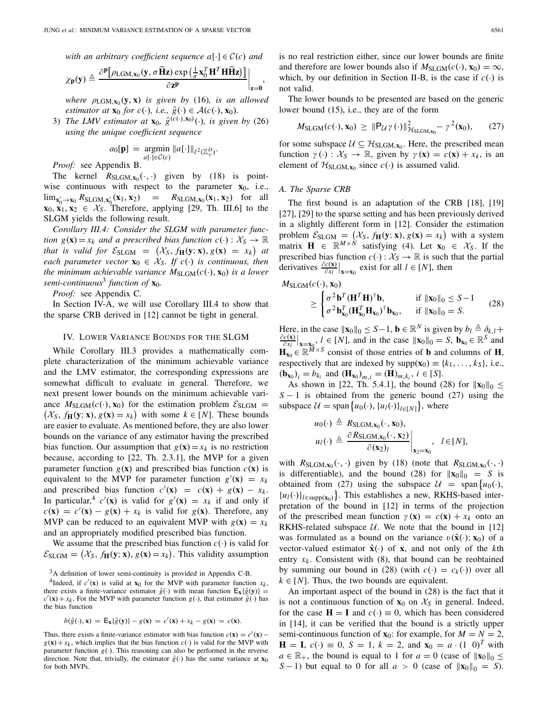*with an arbitrary coefficient sequence a*[ $\cdot$ ]  $\in \mathcal{C}(c)$  *and* 

$$
\chi_{\mathbf{p}}(\mathbf{y}) \triangleq \left. \frac{\partial^{\mathbf{p}} [\rho_{\text{LGM},x_0}(\mathbf{y}, \sigma \widetilde{\mathbf{H}} \mathbf{z}) \exp \left( \frac{1}{\sigma} \mathbf{x}_0^T \mathbf{H}^T \mathbf{H} \widetilde{\mathbf{H}} \mathbf{z} \right) \right] \bigg|_{\mathbf{z} = \mathbf{0}}.
$$

*where*  $\rho_{\text{LGM},\text{X}_0}(\textbf{y}, \textbf{x})$  *is given by* (16)*, is an allowed estimator at*  $\mathbf{x}_0$  *for c*(·)*, i.e.,*  $\hat{g}(\cdot) \in \mathcal{A}(c(\cdot), \mathbf{x}_0)$ *.* 

3) *The LMV estimator at*  $\mathbf{x}_0$ ,  $\hat{g}^{(c(\cdot),\mathbf{x}_0)}(\cdot)$ , *is given by* (26) *using the unique coefficient sequence*

$$
a_0[\mathbf{p}] = \underset{a[\cdot] \in \mathcal{C}(c)}{\operatorname{argmin}} \|a[\cdot]\|_{\ell^2(\mathbb{Z}_+^D)}.
$$

*Proof:* see Appendix B.

The kernel  $R_{SLGM, x_0}(\cdot, \cdot)$  given by (18) is pointwise continuous with respect to the parameter  $\mathbf{x}_0$ , i.e.,  $\lim_{\mathbf{x}'_0 \to \mathbf{x}_0} R_{\text{SLGM}, \mathbf{x}'_0}(\mathbf{x}_1, \mathbf{x}_2) = R_{\text{SLGM}, \mathbf{x}_0}(\mathbf{x}_1, \mathbf{x}_2)$  for all  $\mathbf{x}_0, \mathbf{x}_1, \mathbf{x}_2 \in \mathcal{X}_S$ . Therefore, applying [29, Th. III.6] to the SLGM yields the following result.

*Corollary III.4: Consider the SLGM with parameter function*  $g(\mathbf{x}) = x_k$  *and a prescribed bias function*  $c(\cdot) : \mathcal{X}_S \to \mathbb{R}$ *that is valid for*  $\mathcal{E}_{\text{SLGM}} = (\mathcal{X}_S, f_{\text{H}}(\textbf{y}; \textbf{x}), g(\textbf{x}) = x_k)$  at *each parameter vector*  $\mathbf{x}_0 \in \mathcal{X}_S$ . If  $c(\cdot)$  *is continuous, then the minimum achievable variance*  $M_{SLGM}(c(\cdot), \mathbf{x}_0)$  *is a lower semi-continuous*<sup>3</sup> *function of* **x**0*.*

*Proof:* see Appendix C.

In Section IV-A, we will use Corollary III.4 to show that the sparse CRB derived in [12] cannot be tight in general.

#### IV. LOWER VARIANCE BOUNDS FOR THE SLGM

While Corollary III.3 provides a mathematically complete characterization of the minimum achievable variance and the LMV estimator, the corresponding expressions are somewhat difficult to evaluate in general. Therefore, we next present lower bounds on the minimum achievable variance  $M_{SLGM}(c(\cdot), \mathbf{x}_0)$  for the estimation problem  $\mathcal{E}_{SLGM}$  =  $(\mathcal{X}_S, f_H(\mathbf{y}; \mathbf{x}), g(\mathbf{x}) = x_k)$  with some  $k \in [N]$ . These bounds are easier to evaluate. As mentioned before, they are also lower bounds on the variance of any estimator having the prescribed bias function. Our assumption that  $g(\mathbf{x}) = x_k$  is no restriction because, according to [22, Th. 2.3.1], the MVP for a given parameter function  $g(\mathbf{x})$  and prescribed bias function  $c(\mathbf{x})$  is equivalent to the MVP for parameter function  $g'(\mathbf{x}) = x_k$ and prescribed bias function  $c'(\mathbf{x}) = c(\mathbf{x}) + g(\mathbf{x}) - x_k$ . In particular,<sup>4</sup> *c*'(**x**) is valid for  $g'(\mathbf{x}) = x_k$  if and only if  $c(\mathbf{x}) = c'(\mathbf{x}) - g(\mathbf{x}) + x_k$  is valid for  $g(\mathbf{x})$ . Therefore, any MVP can be reduced to an equivalent MVP with  $g(\mathbf{x}) = x_k$ and an appropriately modified prescribed bias function.

We assume that the prescribed bias function  $c(\cdot)$  is valid for  $\mathcal{E}_{\text{SLGM}} = (\mathcal{X}_S, f_{\text{H}}(\textbf{y}; \textbf{x}), g(\textbf{x}) = x_k)$ . This validity assumption

$$
b(\hat{g}(\cdot), \mathbf{x}) = \mathsf{E}_{\mathbf{x}}\{\hat{g}(\mathbf{y})\} - g(\mathbf{x}) = c'(\mathbf{x}) + x_k - g(\mathbf{x}) = c(\mathbf{x}).
$$

Thus, there exists a finite-variance estimator with bias function  $c(\mathbf{x}) = c'(\mathbf{x}) - c'(\mathbf{x})$  $g(\mathbf{x}) + x_k$ , which implies that the bias function  $c(\cdot)$  is valid for the MVP with parameter function  $g(\cdot)$ . This reasoning can also be performed in the reverse direction. Note that, trivially, the estimator  $\hat{g}(\cdot)$  has the same variance at  $\mathbf{x}_0$ for both MVPs.

is no real restriction either, since our lower bounds are finite and therefore are lower bounds also if  $M_{SLGM}(c(\cdot), \mathbf{x}_0) = \infty$ , which, by our definition in Section II-B, is the case if  $c(\cdot)$  is not valid.

The lower bounds to be presented are based on the generic lower bound (15), i.e., they are of the form

$$
M_{\text{SLGM}}(c(\cdot), \mathbf{x}_0) \geq \|\mathsf{P}_{\mathcal{U}}\gamma(\cdot)\|_{\mathcal{H}_{\text{SLGM}, \mathbf{x}_0}}^2 - \gamma^2(\mathbf{x}_0), \qquad (27)
$$

for some subspace  $U \subseteq H_{SLGM, x_0}$ . Here, the prescribed mean function  $\gamma(\cdot) : \mathcal{X}_S \to \mathbb{R}$ , given by  $\gamma(\mathbf{x}) = c(\mathbf{x}) + x_k$ , is an element of  $H_{SLGM, x_0}$  since  $c(\cdot)$  is assumed valid.

#### *A. The Sparse CRB*

,

The first bound is an adaptation of the CRB [18], [19] [27], [29] to the sparse setting and has been previously derived in a slightly different form in [12]. Consider the estimation problem  $\mathcal{E}_{\text{SLGM}} = (\mathcal{X}_S, f_{\text{H}}(\textbf{y}; \textbf{x}), g(\textbf{x}) = x_k)$  with a system matrix  $\mathbf{H} \in \mathbb{R}^{M \times N}$  satisfying (4). Let  $\mathbf{x}_0 \in \mathcal{X}_S$ . If the prescribed bias function  $c(\cdot): \mathcal{X}_S \to \mathbb{R}$  is such that the partial derivatives  $\frac{\partial c(\mathbf{x})}{\partial x_l}\big|_{\mathbf{x}=\mathbf{x}_0}$  exist for all  $l \in [N]$ , then

 $M_{SLGM}(c(\cdot), \mathbf{x}_0)$ 

$$
\geq \begin{cases} \sigma^2 \mathbf{b}^T (\mathbf{H}^T \mathbf{H})^{\dagger} \mathbf{b}, & \text{if } \|\mathbf{x}_0\|_0 \leq S - 1 \\ \sigma^2 \mathbf{b}_{\mathbf{x}_0}^T (\mathbf{H}_{\mathbf{x}_0}^T \mathbf{H}_{\mathbf{x}_0})^{\dagger} \mathbf{b}_{\mathbf{x}_0}, & \text{if } \|\mathbf{x}_0\|_0 = S. \end{cases}
$$
 (28)

Here, in the case  $\|\mathbf{x}_0\|_0 \leq S-1$ ,  $\mathbf{b} \in \mathbb{R}^N$  is given by  $b_l \triangleq \delta_{k,l} +$ ∂*c*(**x**)  $\frac{\partial^2 f(x)}{\partial x_l}\Big|_{\mathbf{x}=\mathbf{x}_0}$ ,  $l \in [N]$ , and in the case  $\|\mathbf{x}_0\|_0 = S$ ,  $\mathbf{b}_{\mathbf{x}_0} \in \mathbb{R}^S$  and  $H_{\mathbf{x}_0} \in \mathbb{R}^{M \times S}$  consist of those entries of **b** and columns of **H**, respectively that are indexed by  $supp(x_0) \equiv \{k_1, \ldots, k_S\}$ , i.e.,  $(\mathbf{b}_{\mathbf{x}_0})_i = b_{k_i}$  and  $(\mathbf{H}_{\mathbf{x}_0})_{m,i} = (\mathbf{H})_{m,k_i}, i \in [S].$ 

As shown in [22, Th. 5.4.1], the bound (28) for  $||\mathbf{x}_0||_0 \le$ *S* − 1 is obtained from the generic bound (27) using the subspace  $\mathcal{U} = \text{span}\{u_0(\cdot), \{u_l(\cdot)\}_{l \in [N]}\}\$ , where

$$
u_0(\cdot) \triangleq R_{\text{SLGM},\mathbf{x}_0}(\cdot,\mathbf{x}_0),
$$
  
\n
$$
u_l(\cdot) \triangleq \frac{\partial R_{\text{SLGM},\mathbf{x}_0}(\cdot,\mathbf{x}_2)}{\partial(\mathbf{x}_2)_l}\bigg|_{\mathbf{x}_2=\mathbf{x}_0}, \quad l \in [N],
$$

with  $R_{SLGM, x_0}(\cdot, \cdot)$  given by (18) (note that  $R_{SLGM, x_0}(\cdot, \cdot)$ is differentiable), and the bound (28) for  $\|\mathbf{x}_0\|_0 = S$  is obtained from (27) using the subspace  $\mathcal{U} = \text{span}\{u_0(\cdot),\}$  ${u_l(\cdot)}_{l \in \text{supp}(\mathbf{x}_0)}$ . This establishes a new, RKHS-based interpretation of the bound in [12] in terms of the projection of the prescribed mean function  $\gamma(\mathbf{x}) = c(\mathbf{x}) + x_k$  onto an RKHS-related subspace  $U$ . We note that the bound in [12] was formulated as a bound on the variance  $v(\hat{\mathbf{x}}(\cdot); \mathbf{x}_0)$  of a vector-valued estimator  $\hat{\mathbf{x}}(\cdot)$  of **x**, and not only of the *k*th entry  $x_k$ . Consistent with  $(8)$ , that bound can be reobtained by summing our bound in (28) (with  $c(\cdot) = c_k(\cdot)$ ) over all  $k \in [N]$ . Thus, the two bounds are equivalent.

An important aspect of the bound in (28) is the fact that it is not a continuous function of  $x_0$  on  $\mathcal{X}_S$  in general. Indeed, for the case  $H = I$  and  $c(\cdot) \equiv 0$ , which has been considered in [14], it can be verified that the bound is a strictly upper semi-continuous function of  $\mathbf{x}_0$ : for example, for  $M = N = 2$ , **H** = **I**, *c*(⋅) ≡ 0, *S* = 1, *k* = 2, and  $\mathbf{x}_0 = a \cdot (1 \ 0)^T$  with  $a \in \mathbb{R}_+$ , the bound is equal to 1 for  $a = 0$  (case of  $\|\mathbf{x}_0\|_0 \leq$ *S* − 1) but equal to 0 for all *a* > 0 (case of  $||\mathbf{x}_0||_0 = S$ ).

<sup>3</sup>A definition of lower semi-continuity is provided in Appendix C-B.

<sup>&</sup>lt;sup>4</sup>Indeed, if  $c'(\mathbf{x})$  is valid at  $\mathbf{x}_0$  for the MVP with parameter function  $x_k$ , there exists a finite-variance estimator  $\hat{g}(\cdot)$  with mean function  $E_{\mathbf{x}}\{\hat{g}(\mathbf{y})\}$  =  $c'$ **(x**) +  $x_k$ . For the MVP with parameter function  $g(\cdot)$ , that estimator  $\hat{g}(\cdot)$  has the bias function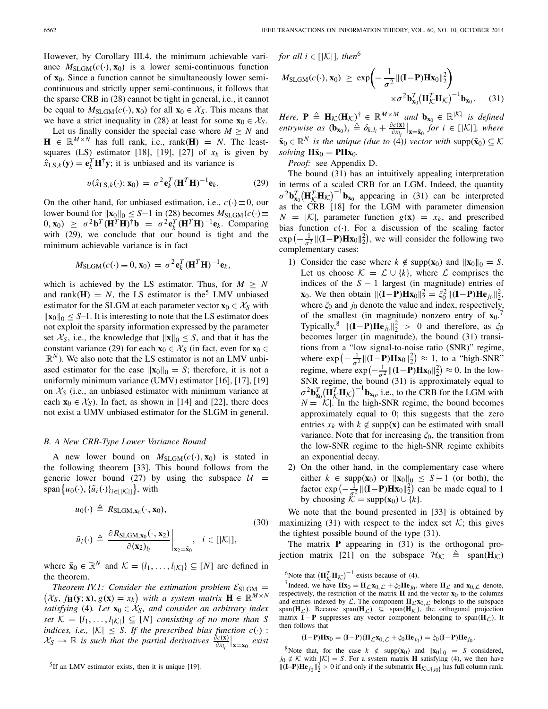However, by Corollary III.4, the minimum achievable variance  $M_{SLGM}(c(\cdot), \mathbf{x}_0)$  is a lower semi-continuous function of **x**0. Since a function cannot be simultaneously lower semicontinuous and strictly upper semi-continuous, it follows that the sparse CRB in (28) cannot be tight in general, i.e., it cannot be equal to  $M_{SLGM}(c(\cdot), \mathbf{x}_0)$  for all  $\mathbf{x}_0 \in \mathcal{X}_S$ . This means that we have a strict inequality in (28) at least for some  $\mathbf{x}_0 \in \mathcal{X}_S$ .

Let us finally consider the special case where  $M \geq N$  and  $H \in \mathbb{R}^{M \times N}$  has full rank, i.e., rank( $H$ ) = *N*. The leastsquares (LS) estimator [18], [19], [27] of  $x_k$  is given by  $\hat{x}_{LS,k}(y) = e_k^T H^{\dagger} y$ ; it is unbiased and its variance is

$$
v(\hat{x}_{LS,k}(\cdot); \mathbf{x}_0) = \sigma^2 \mathbf{e}_k^T (\mathbf{H}^T \mathbf{H})^{-1} \mathbf{e}_k.
$$
 (29)

On the other hand, for unbiased estimation, i.e.,  $c(\cdot) \equiv 0$ , our lower bound for  $||\mathbf{x}_0||_0 \leq S-1$  in (28) becomes  $M_{SLGM}(c(\cdot))$  $(0, \mathbf{x}_0) \geq \sigma^2 \mathbf{b}^T (\mathbf{H}^T \mathbf{H})^{\dagger} \mathbf{b} = \sigma^2 \mathbf{e}_k^T (\mathbf{H}^T \mathbf{H})^{-1} \mathbf{e}_k$ . Comparing with (29), we conclude that our bound is tight and the minimum achievable variance is in fact

$$
M_{\text{SLGM}}(c(\cdot) \equiv 0, \mathbf{x}_0) = \sigma^2 \mathbf{e}_k^T (\mathbf{H}^T \mathbf{H})^{-1} \mathbf{e}_k,
$$

which is achieved by the LS estimator. Thus, for  $M \geq N$ and rank $(H) = N$ , the LS estimator is the<sup>5</sup> LMV unbiased estimator for the SLGM at each parameter vector  $\mathbf{x}_0 \in \mathcal{X}_S$  with  $\|\mathbf{x}_0\|_0 \leq S-1$ . It is interesting to note that the LS estimator does not exploit the sparsity information expressed by the parameter set  $\mathcal{X}_S$ , i.e., the knowledge that  $\|\mathbf{x}\|_0 \leq S$ , and that it has the constant variance (29) for each  $\mathbf{x}_0 \in \mathcal{X}_S$  (in fact, even for  $\mathbf{x}_0 \in \mathcal{X}_S$  $\mathbb{R}^N$ ). We also note that the LS estimator is not an LMV unbiased estimator for the case  $\|\mathbf{x}_0\|_0 = S$ ; therefore, it is not a uniformly minimum variance (UMV) estimator [16], [17], [19] on  $X<sub>S</sub>$  (i.e., an unbiased estimator with minimum variance at each  $\mathbf{x}_0 \in \mathcal{X}_S$ ). In fact, as shown in [14] and [22], there does not exist a UMV unbiased estimator for the SLGM in general.

#### *B. A New CRB-Type Lower Variance Bound*

A new lower bound on  $M_{SLGM}(c(\cdot), \mathbf{x}_0)$  is stated in the following theorem [33]. This bound follows from the generic lower bound (27) by using the subspace  $U =$ span  $\{u_0(\cdot), \{\tilde{u}_i(\cdot)\}_{i\in[|\mathcal{K}|]}\}$ , with

$$
u_0(\cdot) \triangleq R_{\text{SLGM}, \mathbf{x}_0}(\cdot, \mathbf{x}_0),
$$
  
\n
$$
\tilde{u}_i(\cdot) \triangleq \frac{\partial R_{\text{SLGM}, \mathbf{x}_0}(\cdot, \mathbf{x}_2)}{\partial(\mathbf{x}_2)_{i}} \bigg|_{\mathbf{x}_2 = \tilde{\mathbf{x}}_0}, \quad i \in [|\mathcal{K}|],
$$
\n(30)

where  $\tilde{\mathbf{x}}_0 \in \mathbb{R}^N$  and  $\mathcal{K} = \{l_1, \ldots, l_{|\mathcal{K}|}\} \subseteq [N]$  are defined in the theorem.

*Theorem IV.1: Consider the estimation problem*  $\mathcal{E}_{SLGM} = (\mathcal{X}_S, f_H(\mathbf{y}; \mathbf{x}), g(\mathbf{x}) = x_k)$  with a system matrix  $\mathbf{H} \in \mathbb{R}^{M \times N}$  $(X_S, f_H(y; x), g(x) = x_k)$  *with a system matrix*  $H \in \mathbb{R}^{M \times N}$ *satisfying* (4). Let  $\mathbf{x}_0 \in \mathcal{X}_S$ , and consider an arbitrary index *set*  $K = \{l_1, \ldots, l_{|K|}\}$  ⊆ [*N*] *consisting of no more than S indices, i.e.,*  $|K| \leq S$ . If the prescribed bias function  $c(\cdot)$ : *X*<sub>*S*</sub> → ℝ *is such that the partial derivatives*  $\frac{\delta c(\mathbf{x})}{\partial x_{l_i}}|_{\mathbf{x}=\mathbf{x}_0}$  *exist*  *for all i*  $\in$  [ $|\mathcal{K}|$ ]*, then*<sup>6</sup>

$$
M_{\text{SLGM}}(c(\cdot), \mathbf{x}_0) \ge \exp\left(-\frac{1}{\sigma^2} \|(\mathbf{I} - \mathbf{P}) \mathbf{H} \mathbf{x}_0\|_2^2\right) \times \sigma^2 \mathbf{b}_{\mathbf{x}_0}^T \left(\mathbf{H}_{\mathcal{K}}^T \mathbf{H}_{\mathcal{K}}\right)^{-1} \mathbf{b}_{\mathbf{x}_0}.
$$
 (31)

 $Here, \ \mathbf{P} \triangleq \mathbf{H}_{\mathcal{K}}(\mathbf{H}_{\mathcal{K}})^{\dagger} \in \mathbb{R}^{M \times M}$  and  $\mathbf{b}_{\mathbf{x}_0} \in \mathbb{R}^{|\mathcal{K}|}$  is defined *entrywise as*  $(\mathbf{b}_{\mathbf{x}_0})_i \triangleq \delta_{k,l_i} + \frac{\partial c(\mathbf{x})}{\partial x_{l_i}}\big|_{\mathbf{x}=\tilde{\mathbf{x}}_0}$  *for*  $i \in [|\mathcal{K}|]$ *, where*  $\tilde{\mathbf{x}}_0 \in \mathbb{R}^N$  *is the unique (due to (4)) vector with* supp $(\tilde{\mathbf{x}}_0) \subseteq \mathcal{K}$ *solving*  $H\tilde{x}_0 = PHx_0$ .

*Proof:* see Appendix D.

The bound (31) has an intuitively appealing interpretation in terms of a scaled CRB for an LGM. Indeed, the quantity  $\sigma^2$ **b**<sub>*X*0</sub></sub> $\left(H_K^T H_K\right)^{-1}$ **b**<sub>*x*0</sub> appearing in (31) can be interpreted as the CRB [18] for the LGM with parameter dimension  $N = |K|$ , parameter function  $g(\mathbf{x}) = x_k$ , and prescribed bias function  $c(\cdot)$ . For a discussion of the scaling factor  $\exp(-\frac{1}{\sigma^2} ||(\mathbf{I} - \mathbf{P})\mathbf{H}\mathbf{x}_0||_2^2)$ , we will consider the following two complementary cases:

- 1) Consider the case where  $k \notin \text{supp}(\mathbf{x}_0)$  and  $\|\mathbf{x}_0\|_0 = S$ . Let us choose  $K = \mathcal{L} \cup \{k\}$ , where  $\mathcal{L}$  comprises the indices of the  $S - 1$  largest (in magnitude) entries of **x**<sub>0</sub>. We then obtain  $||(I-P)Hx_0||_2^2 = \xi_0^2 ||(I-P)He_{j_0}||_2^2$ , where ξ<sup>0</sup> and *j*<sup>0</sup> denote the value and index, respectively, of the smallest (in magnitude) nonzero entry of  $x_0$ .<sup>7</sup> Typically,<sup>8</sup>  $\|$ (**I**−**P**)**He**  $j_0$  $\|_2^2$  > 0 and therefore, as  $\xi_0$ becomes larger (in magnitude), the bound (31) transitions from a "low signal-to-noise ratio (SNR)" regime, where  $\exp\left(-\frac{1}{\sigma^2} \|(I-P)Hx_0\|_2^2\right) \approx 1$ , to a "high-SNR" regime, where  $\exp(-\frac{1}{\sigma^2} ||(\mathbf{I} - \mathbf{P})\mathbf{H}\mathbf{x}_0||_2^2) \approx 0$ . In the low-SNR regime, the bound (31) is approximately equal to  $\sigma^2 \mathbf{b}_{\mathbf{x}_0}^T \left( \mathbf{H}_L^T \mathbf{H}_R \right)^{-1} \mathbf{b}_{\mathbf{x}_0}$ , i.e., to the CRB for the LGM with  $N = |K|$ . In the high-SNR regime, the bound becomes approximately equal to 0; this suggests that the zero entries  $x_k$  with  $k \notin \text{supp}(\mathbf{x})$  can be estimated with small variance. Note that for increasing  $\xi_0$ , the transition from the low-SNR regime to the high-SNR regime exhibits an exponential decay.
- 2) On the other hand, in the complementary case where either  $k \in \text{supp}(\mathbf{x}_0)$  or  $\|\mathbf{x}_0\|_0 \leq S-1$  (or both), the factor  $\exp(-\frac{1}{\sigma^2} ||(\mathbf{I} - \mathbf{P})\mathbf{H}\mathbf{x}_0||_2^2)$  can be made equal to 1 by choosing  $\breve{\mathcal{K}} = \text{supp}(\mathbf{x}_0) \cup \{k\}.$

We note that the bound presented in [33] is obtained by maximizing (31) with respect to the index set  $K$ ; this gives the tightest possible bound of the type (31).

The matrix **P** appearing in (31) is the orthogonal projection matrix [21] on the subspace  $\mathcal{H}_{\mathcal{K}} \triangleq \text{span}(\mathbf{H}_{\mathcal{K}})$ 

<sup>6</sup>Note that  $(\mathbf{H}_{\mathcal{K}}^T \mathbf{H}_{\mathcal{K}})^{-1}$  exists because of (4).

<sup>7</sup>Indeed, we have  $\mathbf{H}_{\mathbf{X}_0} = \mathbf{H}_{\mathcal{L}} \mathbf{x}_{0,\mathcal{L}} + \xi_0 \mathbf{H} \mathbf{e}_{j_0}$ , where  $\mathbf{H}_{\mathcal{L}}$  and  $\mathbf{x}_{0,\mathcal{L}}$  denote, respectively, the restriction of the matrix **H** and the vector  $\mathbf{x}_0$  to the columns and entries indexed by *L*. The component  $\mathbf{H}_L \mathbf{x}_{0,L}$  belongs to the subspace span( $\mathbf{H}_{\mathcal{L}}$ ). Because span( $\mathbf{H}_{\mathcal{L}}$ )  $\subseteq$  span( $\mathbf{H}_{\mathcal{K}}$ ), the orthogonal projection matrix  $\widetilde{\mathbf{I}} - \mathbf{P}$  suppresses any vector component belonging to span( $\widetilde{\mathbf{H}}_L$ ). It then follows that

$$
(\mathbf{I}-\mathbf{P})\mathbf{H}\mathbf{x}_0 = (\mathbf{I}-\mathbf{P})(\mathbf{H}_{\mathcal{L}}\mathbf{x}_{0,\mathcal{L}} + \zeta_0\mathbf{H}\mathbf{e}_{j_0}) = \zeta_0(\mathbf{I}-\mathbf{P})\mathbf{H}\mathbf{e}_{j_0}.
$$

8Note that, for the case  $k \notin \text{supp}(\mathbf{x}_0)$  and  $\|\mathbf{x}_0\|_0 = S$  considered,  $j_0 \notin \mathcal{K}$  with  $|K| = S$ . For a system matrix **H** satisfying (4), we then have  $\|$ (**I**−**P**)**He**<sub>*j*0</sub>  $\|_2^2$  > 0 if and only if the submatrix **H** $K \cup \{j_0\}$  has full column rank.

 $5$ If an LMV estimator exists, then it is unique [19].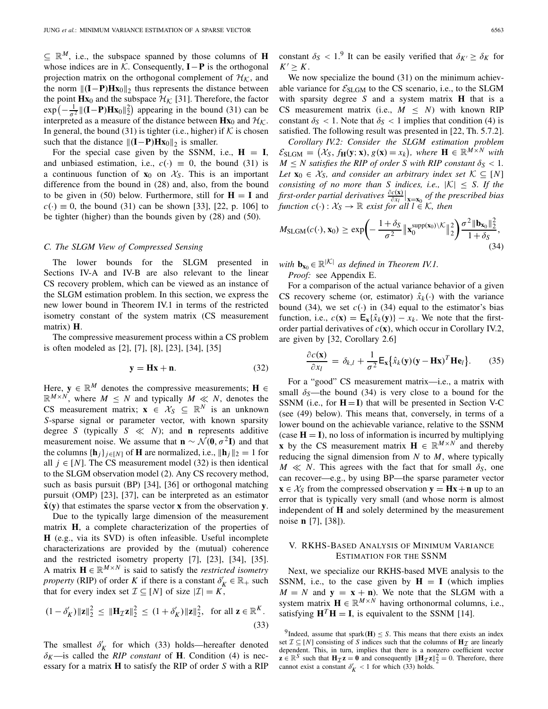$\subset \mathbb{R}^M$ , i.e., the subspace spanned by those columns of **H** whose indices are in *K*. Consequently, **I**−**P** is the orthogonal projection matrix on the orthogonal complement of  $H_K$ , and the norm  $\|(\mathbf{I}-\mathbf{P})\mathbf{H}\mathbf{x}_0\|_2$  thus represents the distance between the point  $\mathbf{Hx}_0$  and the subspace  $\mathcal{H}_{\mathcal{K}}$  [31]. Therefore, the factor  $\exp(-\frac{1}{\sigma^2} ||(\mathbf{I} - \mathbf{P})\mathbf{H}\mathbf{x}_0||_2^2)$  appearing in the bound (31) can be interpreted as a measure of the distance between  $\mathbf{Hx}_0$  and  $\mathcal{H}_\mathcal{K}$ . In general, the bound (31) is tighter (i.e., higher) if  $K$  is chosen such that the distance  $\|$ (**I**−**P**)**Hx**<sub>0</sub> $\|$ <sub>2</sub> is smaller.

For the special case given by the SSNM, i.e.,  $H = I$ , and unbiased estimation, i.e.,  $c(\cdot) \equiv 0$ , the bound (31) is a continuous function of  $\mathbf{x}_0$  on  $\mathcal{X}_s$ . This is an important difference from the bound in (28) and, also, from the bound to be given in (50) below. Furthermore, still for  $H = I$  and  $c(\cdot) \equiv 0$ , the bound (31) can be shown [33], [22, p. 106] to be tighter (higher) than the bounds given by (28) and (50).

#### *C. The SLGM View of Compressed Sensing*

The lower bounds for the SLGM presented in Sections IV-A and IV-B are also relevant to the linear CS recovery problem, which can be viewed as an instance of the SLGM estimation problem. In this section, we express the new lower bound in Theorem IV.1 in terms of the restricted isometry constant of the system matrix (CS measurement matrix) **H**.

The compressive measurement process within a CS problem is often modeled as [2], [7], [8], [23], [34], [35]

$$
y = Hx + n. \tag{32}
$$

Here,  $y \in \mathbb{R}^M$  denotes the compressive measurements; **H**  $\in$  $\mathbb{R}^{M \times N}$ , where  $M \leq N$  and typically  $M \ll N$ , denotes the CS measurement matrix;  $\mathbf{x} \in \mathcal{X}_S \subseteq \mathbb{R}^N$  is an unknown *S*-sparse signal or parameter vector, with known sparsity degree *S* (typically  $S \ll N$ ); and **n** represents additive measurement noise. We assume that  $\mathbf{n} \sim \mathcal{N}(\mathbf{0}, \sigma^2 \mathbf{I})$  and that the columns  $\{\mathbf{h}_i\}_{i\in[N]}$  of **H** are normalized, i.e.,  $\|\mathbf{h}_i\|_2 = 1$  for all  $j \in [N]$ . The CS measurement model (32) is then identical to the SLGM observation model (2). Any CS recovery method, such as basis pursuit (BP) [34], [36] or orthogonal matching pursuit (OMP) [23], [37], can be interpreted as an estimator  $\hat{\mathbf{x}}(\mathbf{y})$  that estimates the sparse vector **x** from the observation **y**.

Due to the typically large dimension of the measurement matrix **H**, a complete characterization of the properties of **H** (e.g., via its SVD) is often infeasible. Useful incomplete characterizations are provided by the (mutual) coherence and the restricted isometry property [7], [23], [34], [35]. A matrix  $\mathbf{H} \in \mathbb{R}^{M \times N}$  is said to satisfy the *restricted isometry property* (RIP) of order *K* if there is a constant  $\delta_K \in \mathbb{R}_+$  such that for every index set  $\mathcal{I} \subseteq [N]$  of size  $|\mathcal{I}| = K$ ,

$$
(1 - \delta'_K) \|\mathbf{z}\|_2^2 \le \|\mathbf{H}_{\mathcal{I}} \mathbf{z}\|_2^2 \le (1 + \delta'_K) \|\mathbf{z}\|_2^2, \text{ for all } \mathbf{z} \in \mathbb{R}^K.
$$
\n(33)

The smallest  $\delta'_K$  for which (33) holds—hereafter denoted  $\delta_K$ —is called the *RIP constant* of **H**. Condition (4) is necessary for a matrix **H** to satisfy the RIP of order *S* with a RIP constant  $\delta_S < 1$ .<sup>9</sup> It can be easily verified that  $\delta_{K'} \ge \delta_K$  for  $K' > K$ .

We now specialize the bound (31) on the minimum achievable variance for  $\mathcal{E}_{SLGM}$  to the CS scenario, i.e., to the SLGM with sparsity degree *S* and a system matrix **H** that is a CS measurement matrix (i.e.,  $M \leq N$ ) with known RIP constant  $\delta_S$  < 1. Note that  $\delta_S$  < 1 implies that condition (4) is satisfied. The following result was presented in [22, Th. 5.7.2].

*Corollary IV.2: Consider the SLGM estimation problem*  $\mathcal{E}_{\text{SLGM}} = (\mathcal{X}_S, f_{\text{H}}(\textbf{y}; \textbf{x}), g(\textbf{x}) = x_k), \text{ where } \textbf{H} \in \mathbb{R}^{M \times N} \text{ with }$  $M \leq N$  satisfies the RIP of order S with RIP constant  $\delta_S < 1$ . *Let*  $\mathbf{x}_0 \in \mathcal{X}_S$ , and consider an arbitrary index set  $\mathcal{K} \subseteq [N]$ *consisting of no more than S indices, i.e.,*  $|K| \leq S$ . If the *first-order partial derivatives* <sup>∂</sup>*c*(**x**) ∂*xl* **<sup>x</sup>**=**x**<sup>0</sup> *of the prescribed bias function*  $c(\cdot): \mathcal{X}_S \to \mathbb{R}$  *exist for all*  $l \in \mathcal{K}$ *, then* 

$$
M_{\text{SLGM}}(c(\cdot), \mathbf{x}_0) \ge \exp\left(-\frac{1+\delta_S}{\sigma^2} \left\|\mathbf{x}_0^{\text{supp}(\mathbf{x}_0)\setminus\mathcal{K}}\right\|_2^2\right) \frac{\sigma^2 \left\|\mathbf{b}_{\mathbf{x}_0}\right\|_2^2}{1+\delta_S},\tag{34}
$$

*with*  $\mathbf{b}_{\mathbf{x}_0} \in \mathbb{R}^{|\mathcal{K}|}$  *as defined in Theorem IV.1.* 

*Proof:* see Appendix E.

For a comparison of the actual variance behavior of a given CS recovery scheme (or, estimator)  $\hat{x}_k(\cdot)$  with the variance bound (34), we set  $c(\cdot)$  in (34) equal to the estimator's bias function, i.e.,  $c(\mathbf{x}) = \mathbf{E}_{\mathbf{x}}\{\hat{x}_k(\mathbf{y})\} - x_k$ . We note that the firstorder partial derivatives of  $c(\mathbf{x})$ , which occur in Corollary IV.2, are given by [32, Corollary 2.6]

$$
\frac{\partial c(\mathbf{x})}{\partial x_l} = \delta_{k,l} + \frac{1}{\sigma^2} \mathbf{E}_{\mathbf{x}} \{ \hat{x}_k(\mathbf{y}) (\mathbf{y} - \mathbf{H}\mathbf{x})^T \mathbf{H} \mathbf{e}_l \}.
$$
 (35)

For a "good" CS measurement matrix—i.e., a matrix with small  $\delta_S$ —the bound (34) is very close to a bound for the SSNM (i.e., for  $H = I$ ) that will be presented in Section V-C (see (49) below). This means that, conversely, in terms of a lower bound on the achievable variance, relative to the SSNM (case  $H = I$ ), no loss of information is incurred by multiplying **x** by the CS measurement matrix  $\mathbf{H} \in \mathbb{R}^{M \times N}$  and thereby reducing the signal dimension from *N* to *M*, where typically  $M \ll N$ . This agrees with the fact that for small  $\delta_S$ , one can recover—e.g., by using BP—the sparse parameter vector  $\mathbf{x} \in \mathcal{X}_S$  from the compressed observation  $\mathbf{y} = \mathbf{H}\mathbf{x} + \mathbf{n}$  up to an error that is typically very small (and whose norm is almost independent of **H** and solely determined by the measurement noise **n** [7], [38]).

# V. RKHS-BASED ANALYSIS OF MINIMUM VARIANCE ESTIMATION FOR THE SSNM

Next, we specialize our RKHS-based MVE analysis to the SSNM, i.e., to the case given by  $H = I$  (which implies  $M = N$  and  $y = x + n$ . We note that the SLGM with a system matrix  $\mathbf{H} \in \mathbb{R}^{M \times N}$  having orthonormal columns, i.e., satisfying  $H^T H = I$ , is equivalent to the SSNM [14].

<sup>&</sup>lt;sup>9</sup>Indeed, assume that spark( $H$ )  $\leq$  *S*. This means that there exists an index set  $\mathcal{I} \subseteq [N]$  consisting of *S* indices such that the columns of  $\mathbf{H}_{\mathcal{I}}$  are linearly dependent. This, in turn, implies that there is a nonzero coefficient vector  $\mathbf{z} \in \mathbb{R}^S$  such that  $\mathbf{H}_{\mathcal{I}} \mathbf{z} = \mathbf{0}$  and consequently  $\|\mathbf{H}_{\mathcal{I}} \mathbf{z}\|_2^2 = 0$ . Therefore, there cannot exist a constant  $\delta'_K < 1$  for which (33) holds.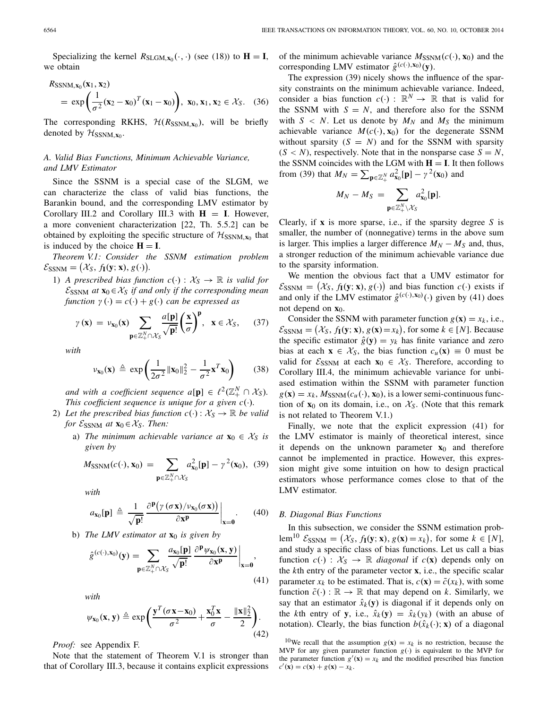Specializing the kernel  $R_{SLGM, x_0}(\cdot, \cdot)$  (see (18)) to  $H = I$ , we obtain

$$
R_{\text{SSNM}, \mathbf{x}_0}(\mathbf{x}_1, \mathbf{x}_2)
$$
  
=  $\exp\left(\frac{1}{\sigma^2}(\mathbf{x}_2 - \mathbf{x}_0)^T(\mathbf{x}_1 - \mathbf{x}_0)\right), \mathbf{x}_0, \mathbf{x}_1, \mathbf{x}_2 \in \mathcal{X}_S.$  (36)

The corresponding RKHS,  $H(R_{SSNM, x_0})$ , will be briefly denoted by  $H_{SSNM, x_0}$ .

# *A. Valid Bias Functions, Minimum Achievable Variance, and LMV Estimator*

Since the SSNM is a special case of the SLGM, we can characterize the class of valid bias functions, the Barankin bound, and the corresponding LMV estimator by Corollary III.2 and Corollary III.3 with  $H = I$ . However, a more convenient characterization [22, Th. 5.5.2] can be obtained by exploiting the specific structure of  $H_{SSNM, x_0}$  that is induced by the choice  $H = I$ .

*Theorem V.1: Consider the SSNM estimation problem*  $\mathcal{E}_{SSNM} = (\mathcal{X}_S, f_{\mathbf{I}}(\mathbf{y}; \mathbf{x}), g(\cdot)).$ 

1) *A prescribed bias function*  $c(\cdot): \mathcal{X}_S \to \mathbb{R}$  *is valid for*  $\mathcal{E}_{SSNM}$  *at*  $\mathbf{x}_0 \in \mathcal{X}_S$  *if and only if the corresponding mean function*  $\gamma(\cdot) = c(\cdot) + g(\cdot)$  *can be expressed as* 

$$
\gamma(\mathbf{x}) = \nu_{\mathbf{x}_0}(\mathbf{x}) \sum_{\mathbf{p} \in \mathbb{Z}_+^N \cap \mathcal{X}_S} \frac{a[\mathbf{p}]}{\sqrt{\mathbf{p}!}} \left(\frac{\mathbf{x}}{\sigma}\right)^{\mathbf{p}}, \ \ \mathbf{x} \in \mathcal{X}_S, \qquad (37)
$$

*with*

$$
\nu_{\mathbf{x}_0}(\mathbf{x}) \triangleq \exp\left(\frac{1}{2\sigma^2} \|\mathbf{x}_0\|_2^2 - \frac{1}{\sigma^2} \mathbf{x}^T \mathbf{x}_0\right) \tag{38}
$$

*and with a coefficient sequence a*[**p**]  $\in \ell^2(\mathbb{Z}_+^N \cap \mathcal{X}_S)$ . *This coefficient sequence is unique for a given c(* $\cdot$ *).* 

- 2) Let the prescribed bias function  $c(\cdot): \mathcal{X}_S \to \mathbb{R}$  be valid *for*  $\mathcal{E}_{SSNM}$  *at*  $\mathbf{x}_0 \in \mathcal{X}_S$ *. Then:* 
	- a) *The minimum achievable variance at*  $\mathbf{x}_0 \in \mathcal{X}_S$  *is given by*

$$
M_{\text{SSNM}}(c(\cdot), \mathbf{x}_0) = \sum_{\mathbf{p} \in \mathbb{Z}_+^N \cap \mathcal{X}_S} a_{\mathbf{x}_0}^2[\mathbf{p}] - \gamma^2(\mathbf{x}_0), \tag{39}
$$

*with*

$$
a_{\mathbf{x}_0}[\mathbf{p}] \triangleq \frac{1}{\sqrt{\mathbf{p}!}} \frac{\partial^{\mathbf{p}} (\gamma (\sigma \mathbf{x}) / v_{\mathbf{x}_0}(\sigma \mathbf{x}))}{\partial \mathbf{x} \mathbf{p}} \bigg|_{\mathbf{x} = \mathbf{0}}.
$$
 (40)

b) *The LMV estimator at* **x**<sup>0</sup> *is given by*

$$
\hat{g}^{(c(\cdot),\mathbf{x}_0)}(\mathbf{y}) = \sum_{\mathbf{p}\in\mathbb{Z}_+^N\cap\mathcal{X}_S} \frac{a_{\mathbf{x}_0}[\mathbf{p}]}{\sqrt{\mathbf{p}!}} \frac{\partial^{\mathbf{p}} \psi_{\mathbf{x}_0}(\mathbf{x}, \mathbf{y})}{\partial \mathbf{x}^{\mathbf{p}}} \bigg|_{\mathbf{x}=\mathbf{0}},
$$
\n(41)

*with*

$$
\psi_{\mathbf{x}_0}(\mathbf{x}, \mathbf{y}) \triangleq \exp\left(\frac{\mathbf{y}^T(\sigma \mathbf{x} - \mathbf{x}_0)}{\sigma^2} + \frac{\mathbf{x}_0^T \mathbf{x}}{\sigma} - \frac{\|\mathbf{x}\|_2^2}{2}\right). \tag{42}
$$

*Proof:* see Appendix F.

Note that the statement of Theorem V.1 is stronger than that of Corollary III.3, because it contains explicit expressions of the minimum achievable variance  $M_{\text{SSNM}}(c(\cdot), \mathbf{x}_0)$  and the corresponding LMV estimator  $\hat{g}^{(c(\cdot),\mathbf{x}_0)}(\mathbf{y})$ .

The expression (39) nicely shows the influence of the sparsity constraints on the minimum achievable variance. Indeed, consider a bias function  $c(\cdot) : \mathbb{R}^N \to \mathbb{R}$  that is valid for the SSNM with  $S = N$ , and therefore also for the SSNM with  $S < N$ . Let us denote by  $M_N$  and  $M_S$  the minimum achievable variance  $M(c(\cdot), \mathbf{x}_0)$  for the degenerate SSNM without sparsity  $(S = N)$  and for the SSNM with sparsity  $(S < N)$ , respectively. Note that in the nonsparse case  $S = N$ , the SSNM coincides with the LGM with  $H = I$ . It then follows from (39) that  $M_N = \sum_{\mathbf{p} \in \mathbb{Z}_+^N} a_{\mathbf{x}_0}^2[\mathbf{p}] - \gamma^2(\mathbf{x}_0)$  and

$$
M_N - M_S = \sum_{\mathbf{p} \in \mathbb{Z}_+^N \setminus \mathcal{X}_S} a_{\mathbf{x}_0}^2[\mathbf{p}].
$$

Clearly, if **x** is more sparse, i.e., if the sparsity degree *S* is smaller, the number of (nonnegative) terms in the above sum is larger. This implies a larger difference  $M_N - M_S$  and, thus, a stronger reduction of the minimum achievable variance due to the sparsity information.

We mention the obvious fact that a UMV estimator for  $\mathcal{E}_{SSNM} = (\mathcal{X}_S, f_{\mathbf{I}}(\mathbf{y}; \mathbf{x}), g(\cdot))$  and bias function  $c(\cdot)$  exists if and only if the LMV estimator  $\hat{g}^{(c(\cdot),\mathbf{x}_0)}(\cdot)$  given by (41) does not depend on **x**0.

Consider the SSNM with parameter function  $g(\mathbf{x}) = x_k$ , i.e.,  $\mathcal{E}_{SSNM} = (\mathcal{X}_S, f_{\mathbf{I}}(\mathbf{y}; \mathbf{x}), g(\mathbf{x}) = x_k)$ , for some  $k \in [N]$ . Because the specific estimator  $\hat{g}(\mathbf{y}) = y_k$  has finite variance and zero bias at each  $\mathbf{x} \in \mathcal{X}_S$ , the bias function  $c_u(\mathbf{x}) \equiv 0$  must be valid for  $\mathcal{E}_{SSNM}$  at each  $\mathbf{x}_0 \in \mathcal{X}_S$ . Therefore, according to Corollary III.4, the minimum achievable variance for unbiased estimation within the SSNM with parameter function  $g(\mathbf{x}) = x_k$ ,  $M_{\text{SSNM}}(c_u(\cdot), \mathbf{x}_0)$ , is a lower semi-continuous function of  $\mathbf{x}_0$  on its domain, i.e., on  $\mathcal{X}_S$ . (Note that this remark is not related to Theorem V.1.)

Finally, we note that the explicit expression (41) for the LMV estimator is mainly of theoretical interest, since it depends on the unknown parameter  $\mathbf{x}_0$  and therefore cannot be implemented in practice. However, this expression might give some intuition on how to design practical estimators whose performance comes close to that of the LMV estimator.

#### *B. Diagonal Bias Functions*

In this subsection, we consider the SSNM estimation problem<sup>10</sup>  $\mathcal{E}_{SSNM} = (\mathcal{X}_S, f_{\mathbf{I}}(\mathbf{y}; \mathbf{x}), g(\mathbf{x}) = x_k)$ , for some  $k \in [N]$ , and study a specific class of bias functions. Let us call a bias function  $c(\cdot) : \mathcal{X}_S \to \mathbb{R}$  *diagonal* if  $c(\mathbf{x})$  depends only on the *k*th entry of the parameter vector **x**, i.e., the specific scalar parameter  $x_k$  to be estimated. That is,  $c(\mathbf{x}) = \tilde{c}(x_k)$ , with some function  $\tilde{c}(\cdot) : \mathbb{R} \to \mathbb{R}$  that may depend on *k*. Similarly, we say that an estimator  $\hat{x}_k(y)$  is diagonal if it depends only on the *k*th entry of **y**, i.e.,  $\hat{x}_k(y) = \hat{x}_k(y_k)$  (with an abuse of notation). Clearly, the bias function  $b(\hat{x}_k(\cdot); \mathbf{x})$  of a diagonal

<sup>10</sup>We recall that the assumption  $g(\mathbf{x}) = x_k$  is no restriction, because the MVP for any given parameter function  $g(.)$  is equivalent to the MVP for the parameter function  $g'(\mathbf{x}) = x_k$  and the modified prescribed bias function  $c'(\mathbf{x}) = c(\mathbf{x}) + g(\mathbf{x}) - x_k$ .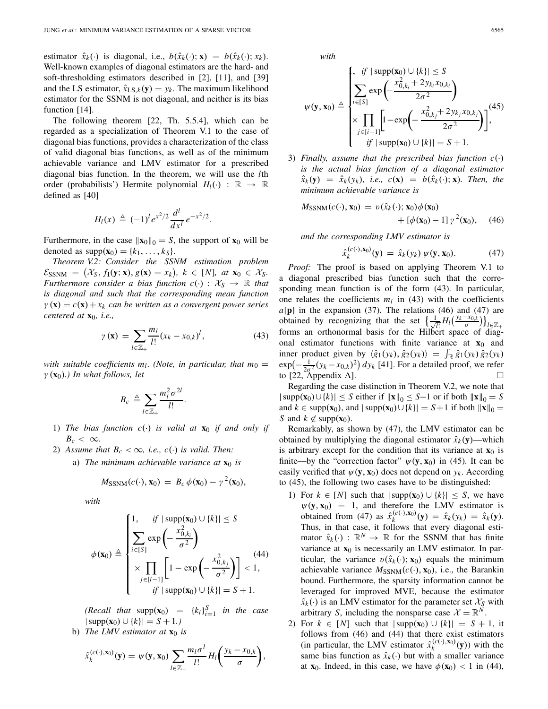estimator  $\hat{x}_k(\cdot)$  is diagonal, i.e.,  $b(\hat{x}_k(\cdot); \mathbf{x}) = b(\hat{x}_k(\cdot); x_k)$ . Well-known examples of diagonal estimators are the hard- and soft-thresholding estimators described in [2], [11], and [39] and the LS estimator,  $\hat{x}_{LS,k}(\mathbf{y}) = y_k$ . The maximum likelihood estimator for the SSNM is not diagonal, and neither is its bias function [14].

The following theorem [22, Th. 5.5.4], which can be regarded as a specialization of Theorem V.1 to the case of diagonal bias functions, provides a characterization of the class of valid diagonal bias functions, as well as of the minimum achievable variance and LMV estimator for a prescribed diagonal bias function. In the theorem, we will use the *l*th order (probabilists') Hermite polynomial  $H_l(\cdot) : \mathbb{R} \to \mathbb{R}$ defined as [40]

$$
H_l(x) \triangleq (-1)^l e^{x^2/2} \frac{d^l}{dx^l} e^{-x^2/2}.
$$

Furthermore, in the case  $\|\mathbf{x}_0\|_0 = S$ , the support of  $\mathbf{x}_0$  will be denoted as  $supp(x_0) = \{k_1, ..., k_S\}.$ 

*Theorem V.2: Consider the SSNM estimation problem*  $\mathcal{E}_{\text{SSNM}} = (\mathcal{X}_S, f_{\text{I}}(\textbf{y}; \textbf{x}), g(\textbf{x}) = x_k), k \in [N], \text{ at } \textbf{x}_0 \in \mathcal{X}_S.$ *Furthermore consider a bias function*  $c(\cdot) : \mathcal{X}_S \to \mathbb{R}$  that *is diagonal and such that the corresponding mean function*  $\gamma(\mathbf{x}) = c(\mathbf{x}) + x_k$  *can be written as a convergent power series centered at* **x**0*, i.e.,*

$$
\gamma(\mathbf{x}) = \sum_{l \in \mathbb{Z}_+} \frac{m_l}{l!} (x_k - x_{0,k})^l, \tag{43}
$$

*with suitable coefficients m<sub>l</sub>. (Note, in particular, that*  $m_0 =$ γ (**x**0)*.) In what follows, let*

$$
B_c \triangleq \sum_{l \in \mathbb{Z}_+} \frac{m_l^2 \sigma^{2l}}{l!}.
$$

- 1) The bias function  $c(\cdot)$  is valid at  $\mathbf{x}_0$  if and only if  $B_c < \infty$ .
- 2) Assume that  $B_c < \infty$ , *i.e.*,  $c(\cdot)$  *is valid. Then:* 
	- a) *The minimum achievable variance at*  $\mathbf{x}_0$  *is*

$$
M_{\text{SSNM}}(c(\cdot), \mathbf{x}_0) = B_c \phi(\mathbf{x}_0) - \gamma^2(\mathbf{x}_0),
$$

*with*

$$
\phi(\mathbf{x}_0) \triangleq \begin{cases}\n1, & \text{if } |\operatorname{supp}(\mathbf{x}_0) \cup \{k\}| \leq S \\
\sum_{i \in [S]} \exp\left(-\frac{x_{0,k_i}^2}{\sigma^2}\right) \\
\times \prod_{j \in [i-1]} \left[1 - \exp\left(-\frac{x_{0,k_j}^2}{\sigma^2}\right)\right] < 1, \\
\text{if } |\operatorname{supp}(\mathbf{x}_0) \cup \{k\}| = S + 1.\n\end{cases} (44)
$$

 $(Recall that supp(**x**<sub>0</sub>) = {k<sub>i</sub>}<sub>i=1</sub><sup>S</sup> in the case)$ |supp(**x**0) ∪ {*k*}| = *S* + 1*.)*

b) *The LMV estimator at*  $\mathbf{x}_0$  *is* 

$$
\hat{x}_{k}^{(c(\cdot),\mathbf{x}_{0})}(\mathbf{y}) = \psi(\mathbf{y},\mathbf{x}_{0}) \sum_{l \in \mathbb{Z}_{+}} \frac{m_{l} \sigma^{l}}{l!} H_{l} \left( \frac{y_{k} - x_{0,k}}{\sigma} \right),
$$

*with*

ψ(**y**, **x**0) -⎧ ⎪⎪⎪⎪⎪⎪⎪⎪⎪⎨ ⎪⎪⎪⎪⎪⎪⎪⎪⎪⎩ 1, *if* |supp(**x**0) ∪ {*k*}| ≤ *S i*∈[*S*] exp −*x* 2 0,*ki* + 2*yki x*0,*ki* 2σ<sup>2</sup> × *j*∈[*i*−1] 1−exp − *x* 2 0,*k j* + 2*yk <sup>j</sup> x*0,*<sup>k</sup> <sup>j</sup>* 2σ<sup>2</sup> , *if* |supp(**x**0) ∪ {*k*}| = *S* + 1. (45)

3) *Finally, assume that the prescribed bias function c*(·) *is the actual bias function of a diagonal estimator*  $\hat{x}_k(y) = \hat{x}_k(y_k)$ , *i.e.,*  $c(x) = b(\hat{x}_k(\cdot); x)$ *. Then, the minimum achievable variance is*

$$
M_{\text{SSNM}}(c(\cdot), \mathbf{x}_0) = v(\hat{x}_k(\cdot); \mathbf{x}_0) \phi(\mathbf{x}_0)
$$
  
+ 
$$
[\phi(\mathbf{x}_0) - 1] \gamma^2(\mathbf{x}_0), \quad (46)
$$

*and the corresponding LMV estimator is*

$$
\hat{x}_{k}^{(c(\cdot),\mathbf{x}_{0})}(\mathbf{y}) = \hat{x}_{k}(y_{k}) \psi(\mathbf{y},\mathbf{x}_{0}). \tag{47}
$$

*Proof:* The proof is based on applying Theorem V.1 to a diagonal prescribed bias function such that the corresponding mean function is of the form (43). In particular, one relates the coefficients  $m_l$  in (43) with the coefficients  $a[p]$  in the expansion (37). The relations (46) and (47) are obtained by recognizing that the set  $\frac{1}{\sqrt{2}}$  $\frac{1}{l!}H_l\left(\frac{y_k-x_{0,k}}{\sigma}\right)\Big)_{l\in\mathbb{Z}_+}$ forms an orthonormal basis for the Hilbert space of diagonal estimator functions with finite variance at  $\mathbf{x}_0$  and inner product given by  $\langle \hat{g}_1(y_k), \hat{g}_2(y_k) \rangle = \int_{\mathbb{R}} \hat{g}_1(y_k) \hat{g}_2(y_k)$  $\exp\left(-\frac{1}{2\sigma^2}(y_k - x_{0,k})^2\right) dy_k$  [41]. For a detailed proof, we refer to  $[22, \text{Appendix A}]$ .

Regarding the case distinction in Theorem V.2, we note that |supp(**x**<sub>0</sub>)∪{ $k$ }| ≤ *S* either if  $||\mathbf{x}||_0$  ≤ *S*−1 or if both  $||\mathbf{x}||_0 = S$ and *k* ∈ supp(**x**<sub>0</sub>), and  $|\supp(x_0) \cup \{k\}| = S + 1$  if both  $||x||_0 =$ *S* and  $k \notin \text{supp}(\mathbf{x}_0)$ .

Remarkably, as shown by (47), the LMV estimator can be obtained by multiplying the diagonal estimator  $\hat{x}_k(y)$ —which is arbitrary except for the condition that its variance at  $x_0$  is finite—by the "correction factor"  $\psi$ (**y**, **x**<sub>0</sub>) in (45). It can be easily verified that  $\psi$ (**y**, **x**<sub>0</sub>) does not depend on  $y_k$ . According to (45), the following two cases have to be distinguished:

- 1) For  $k \in [N]$  such that  $|\text{supp}(\mathbf{x}_0) \cup \{k\}| \leq S$ , we have  $\psi(\mathbf{y}, \mathbf{x}_0) = 1$ , and therefore the LMV estimator is obtained from (47) as  $\hat{x}_k^{(c(\cdot), \mathbf{x}_0)}(\mathbf{y}) = \hat{x}_k(y_k) = \hat{x}_k(\mathbf{y}).$ Thus, in that case, it follows that every diagonal estimator  $\hat{x}_k(\cdot)$ :  $\mathbb{R}^N \to \mathbb{R}$  for the SSNM that has finite variance at  $\mathbf{x}_0$  is necessarily an LMV estimator. In particular, the variance  $v(\hat{x}_k(\cdot); \mathbf{x}_0)$  equals the minimum achievable variance  $M_{SSNM}(c(\cdot), \mathbf{x}_0)$ , i.e., the Barankin bound. Furthermore, the sparsity information cannot be leveraged for improved MVE, because the estimator  $\hat{x}_k(\cdot)$  is an LMV estimator for the parameter set  $\mathcal{X}_S$  with arbitrary *S*, including the nonsparse case  $\mathcal{X} = \mathbb{R}^N$ .
- 2) For  $k \in [N]$  such that  $|\text{supp}(\mathbf{x}_0) \cup \{k\}| = S + 1$ , it follows from (46) and (44) that there exist estimators (in particular, the LMV estimator  $\hat{x}_{k}^{(c(\cdot),\mathbf{x}_{0})}(\mathbf{y})$ ) with the same bias function as  $\hat{x}_k(\cdot)$  but with a smaller variance at **x**<sub>0</sub>. Indeed, in this case, we have  $\phi(\mathbf{x}_0) < 1$  in (44),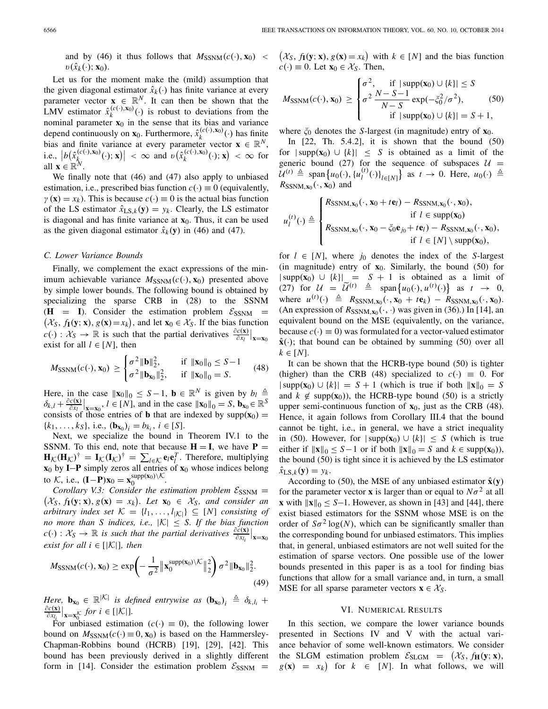and by (46) it thus follows that  $M_{SSNM}(c(\cdot), \mathbf{x}_0)$  <  $v(\hat{x}_k(\cdot); \mathbf{x}_0)$ .

Let us for the moment make the (mild) assumption that the given diagonal estimator  $\hat{x}_k(\cdot)$  has finite variance at every parameter vector  $\mathbf{x} \in \mathbb{R}^N$ . It can then be shown that the LMV estimator  $\hat{x}_{k}^{(c(\cdot),\mathbf{x}_{0})}(\cdot)$  is robust to deviations from the nominal parameter **x**<sup>0</sup> in the sense that its bias and variance depend continuously on  $\mathbf{x}_0$ . Furthermore,  $\hat{\mathbf{x}}_k^{(c(\cdot),\mathbf{x}_0)}(\cdot)$  has finite bias and finite variance at every parameter vector  $\mathbf{x} \in \mathbb{R}^N$ , i.e.,  $|b(\hat{x}_{k}^{(c(\cdot),\mathbf{x}_{0})}(\cdot);\mathbf{x})| < \infty$  and  $v(\hat{x}_{k}^{(c(\cdot),\mathbf{x}_{0})}(\cdot);\mathbf{x}) < \infty$  for all  $\mathbf{x} \in \mathbb{R}^N$ .

We finally note that (46) and (47) also apply to unbiased estimation, i.e., prescribed bias function  $c(\cdot) \equiv 0$  (equivalently,  $\gamma(\mathbf{x}) = x_k$ ). This is because  $c(\cdot) \equiv 0$  is the actual bias function of the LS estimator  $\hat{x}_{LS,k}(y) = y_k$ . Clearly, the LS estimator is diagonal and has finite variance at **x**0. Thus, it can be used as the given diagonal estimator  $\hat{x}_k(y)$  in (46) and (47).

#### *C. Lower Variance Bounds*

Finally, we complement the exact expressions of the minimum achievable variance  $M_{SSNM}(c(\cdot), \mathbf{x}_0)$  presented above by simple lower bounds. The following bound is obtained by specializing the sparse CRB in (28) to the SSNM (**H** = **I**). Consider the estimation problem  $\mathcal{E}_{SSNM}$  =  $(\mathcal{X}_S, f_1(\mathbf{y}; \mathbf{x}), g(\mathbf{x}) = x_k)$ , and let  $\mathbf{x}_0 \in \mathcal{X}_S$ . If the bias function  $(\mathcal{X}_S, f_{\mathbf{I}}(\mathbf{y}; \mathbf{x}), g(\mathbf{x}) = x_k)$ , and let  $\mathbf{x}_0 \in \mathcal{X}_S$ . If the bias function *c*(·) :  $\mathcal{X}_S$  → ℝ is such that the partial derivatives  $\frac{\partial c(\mathbf{x})}{\partial x_l}\Big|_{\mathbf{x}=\mathbf{x}_0}$ exist for all  $l \in [N]$ , then

$$
M_{\text{SSNM}}(c(\cdot), \mathbf{x}_0) \ge \begin{cases} \sigma^2 \|\mathbf{b}\|_2^2, & \text{if } \|\mathbf{x}_0\|_0 \le S - 1\\ \sigma^2 \|\mathbf{b}_{\mathbf{x}_0}\|_2^2, & \text{if } \|\mathbf{x}_0\|_0 = S. \end{cases}
$$
(48)

Here, in the case  $\|\mathbf{x}_0\|_0 \leq S-1$ ,  $\mathbf{b} \in \mathbb{R}^N$  is given by  $b_l \triangleq$  $\delta_{k,l} + \frac{\partial c(\mathbf{x})}{\partial x_l} \big|_{\mathbf{x} = \mathbf{x}_0}, l \in [N]$ , and in the case  $\|\mathbf{x}_0\|_0 = S$ ,  $\mathbf{b}_{\mathbf{x}_0} \in \mathbb{R}^S$ consists of those entries of **b** that are indexed by  $supp(x_0)$  =  ${k_1, \ldots, k_S}$ , i.e.,  $({\bf b}_{x_0})_i = b_{k_i}, i \in [S]$ .

Next, we specialize the bound in Theorem IV.1 to the SSNM. To this end, note that because  $H = I$ , we have  $P =$  $\mathbf{H}_{\mathcal{K}}(\mathbf{H}_{\mathcal{K}})^{\dagger} = \mathbf{I}_{\mathcal{K}}(\mathbf{I}_{\mathcal{K}})^{\dagger} = \sum_{l \in \mathcal{K}} \mathbf{e}_l \mathbf{e}_l^T$ . Therefore, multiplying **x**<sup>0</sup> by **I**−**P** simply zeros all entries of **x**<sup>0</sup> whose indices belong to *K*, i.e.,  $(\mathbf{I} - \mathbf{P})\mathbf{x}_0 = \mathbf{x}_0^{\text{supp}(\mathbf{x}_0)\setminus\mathcal{K}}$ .

*Corollary V.3: Consider the estimation problem*  $\mathcal{E}_{SSNM} = (\mathcal{X}_S, f_1(\mathbf{y}; \mathbf{x}), g(\mathbf{x}) = x_k)$ *. Let*  $\mathbf{x}_0 \in \mathcal{X}_S$ *, and consider an*  $(X_S, f_I(y; x), g(x) = x_k)$ . Let  $x_0 \in X_S$ , and consider an *arbitrary index set*  $K = \{l_1, \ldots, l_{|\mathcal{K}|}\} \subseteq [N]$  *consisting of no more than S indices, i.e.,*  $|K| \leq S$ *. If the bias function c*(·) :  $\mathcal{X}_S$  → ℝ *is such that the partial derivatives*  $\frac{\partial c(\mathbf{x})}{\partial x_{l_i}}|_{\mathbf{x}=\mathbf{x}_0}$ *exist for all i*  $\in$  [ $|\mathcal{K}|$ ]*, then* 

$$
M_{\text{SSNM}}(c(\cdot), \mathbf{x}_0) \ge \exp\left(-\frac{1}{\sigma^2} \|\mathbf{x}_0^{\text{supp}(\mathbf{x}_0) \setminus \mathcal{K}}\|_2^2\right) \sigma^2 \|\mathbf{b}_{\mathbf{x}_0}\|_2^2. \tag{49}
$$

 $Here, \mathbf{b}_{\mathbf{x}_0} \in \mathbb{R}^{|\mathcal{K}|}$  *is defined entrywise as*  $(\mathbf{b}_{\mathbf{x}_0})_i \triangleq \delta_{k,l_i} + \delta_{k,l_i}$ ∂*c*(**x**)  $\frac{\partial c(\mathbf{x})}{\partial x_l} \bigg|_{\mathbf{x} = \mathbf{x}_0 \mathcal{K}}$  for  $i \in [|\mathcal{K}|]$ .

For unbiased estimation  $(c(\cdot) \equiv 0)$ , the following lower bound on  $M_{SSNM}(c(\cdot) \equiv 0, x_0)$  is based on the Hammersley-Chapman-Robbins bound (HCRB) [19], [29], [42]. This bound has been previously derived in a slightly different form in [14]. Consider the estimation problem  $\mathcal{E}_{SSNM}$  =  $(X_S, f_1(y; x), g(x) = x_k)$  with  $k \in [N]$  and the bias function *c*(⋅) ≡ 0. Let  $\mathbf{x}_0 \in \mathcal{X}_S$ . Then,

$$
M_{\text{SSNM}}(c(\cdot), \mathbf{x}_0) \ge \begin{cases} \sigma^2, & \text{if } |\,\text{supp}(\mathbf{x}_0) \cup \{k\}| \le S \\ \sigma^2 \frac{N - S - 1}{N - S} \exp(-\xi_0^2/\sigma^2), & (50) \\ & \text{if } |\,\text{supp}(\mathbf{x}_0) \cup \{k\}| = S + 1, \end{cases}
$$

where  $\xi_0$  denotes the *S*-largest (in magnitude) entry of  $\mathbf{x}_0$ .

In  $[22, Th. 5.4.2]$ , it is shown that the bound  $(50)$ for  $|\text{supp}(x_0) \cup \{k\}| \leq S$  is obtained as a limit of the generic bound (27) for the sequence of subspaces  $U =$  $U^{(t)} \triangleq$  span  $\{u_0(\cdot), \{u_l^{(t)}(\cdot)\}_{l \in [N]}\}$  as  $t \to 0$ . Here,  $u_0(\cdot) \triangleq$  $R_{SSNM, \mathbf{x}_0}(\cdot, \mathbf{x}_0)$  and

$$
u_l^{(t)}(\cdot) \triangleq \begin{cases} R_{SSNM, x_0}(\cdot, \mathbf{x}_0 + t\mathbf{e}_l) - R_{SSNM, x_0}(\cdot, \mathbf{x}_0), \\ \text{if } l \in \text{supp}(\mathbf{x}_0) \\ R_{SSNM, x_0}(\cdot, \mathbf{x}_0 - \zeta_0 \mathbf{e}_{j_0} + t\mathbf{e}_l) - R_{SSNM, x_0}(\cdot, \mathbf{x}_0), \\ \text{if } l \in [N] \setminus \text{supp}(\mathbf{x}_0), \end{cases}
$$

for  $l \in [N]$ , where  $j_0$  denotes the index of the *S*-largest (in magnitude) entry of  $\mathbf{x}_0$ . Similarly, the bound (50) for |supp(**x**0) ∪ {*k*}| = *S* + 1 is obtained as a limit of (27) for  $\mathcal{U} = \widetilde{\mathcal{U}}^{(t)} \triangleq \text{span}\{u_0(\cdot), u^{(t)}(\cdot)\}$  as  $t \to 0$ , where  $u^{(t)}(\cdot) \triangleq R_{\text{SSNM},\mathbf{x}_0}(\cdot,\mathbf{x}_0 + t\mathbf{e}_k) - R_{\text{SSNM},\mathbf{x}_0}(\cdot,\mathbf{x}_0).$ (An expression of  $R_{SSNM, x_0}(\cdot, \cdot)$  was given in (36).) In [14], an equivalent bound on the MSE (equivalently, on the variance, because  $c(\cdot) \equiv 0$ ) was formulated for a vector-valued estimator  $\hat{\mathbf{x}}(\cdot)$ ; that bound can be obtained by summing (50) over all  $k \in [N]$ .

It can be shown that the HCRB-type bound (50) is tighter (higher) than the CRB (48) specialized to  $c(\cdot) \equiv 0$ . For  $|\text{supp}(\mathbf{x}_0) \cup \{k\}| = S + 1$  (which is true if both  $\|\mathbf{x}\|_0 = S$ and  $k \notin \text{supp}(\mathbf{x}_0)$ , the HCRB-type bound (50) is a strictly upper semi-continuous function of  $\mathbf{x}_0$ , just as the CRB (48). Hence, it again follows from Corollary III.4 that the bound cannot be tight, i.e., in general, we have a strict inequality in (50). However, for |supp(**x**0) ∪ {*k*}| ≤ *S* (which is true either if  $\|\mathbf{x}\|_0 \leq S - 1$  or if both  $\|\mathbf{x}\|_0 = S$  and  $k \in \text{supp}(\mathbf{x}_0)$ ), the bound (50) is tight since it is achieved by the LS estimator  $\hat{x}_{LS,k}(\mathbf{y}) = y_k.$ 

According to (50), the MSE of any unbiased estimator  $\hat{\mathbf{x}}(\mathbf{y})$ for the parameter vector **x** is larger than or equal to  $N\sigma^2$  at all **x** with  $||\mathbf{x}||_0$  ≤ *S*−1. However, as shown in [43] and [44], there exist biased estimators for the SSNM whose MSE is on the order of  $S\sigma^2 \log(N)$ , which can be significantly smaller than the corresponding bound for unbiased estimators. This implies that, in general, unbiased estimators are not well suited for the estimation of sparse vectors. One possible use of the lower bounds presented in this paper is as a tool for finding bias functions that allow for a small variance and, in turn, a small MSE for all sparse parameter vectors  $\mathbf{x} \in \mathcal{X}_S$ .

#### VI. NUMERICAL RESULTS

In this section, we compare the lower variance bounds presented in Sections IV and V with the actual variance behavior of some well-known estimators. We consider the SLGM estimation problem  $\mathcal{E}_{\text{SLGM}} = (\mathcal{X}_S, f_{\text{H}}(\mathbf{y}; \mathbf{x}))$  $g(\mathbf{x}) = x_k$  for  $k \in [N]$ . In what follows, we will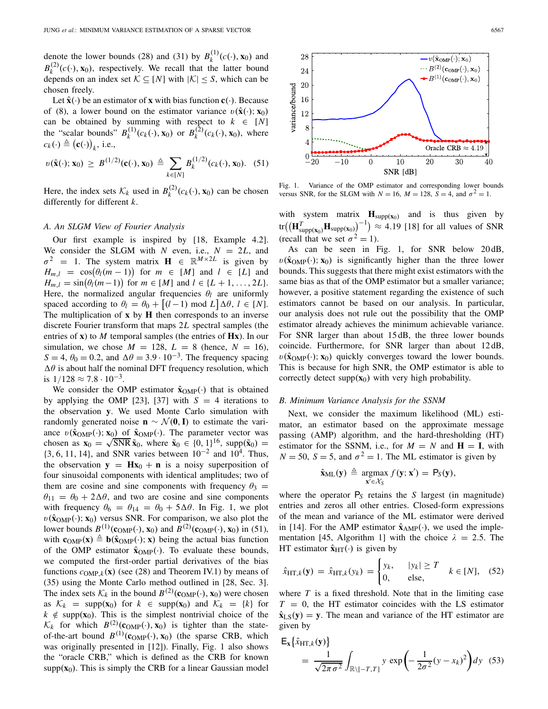denote the lower bounds (28) and (31) by  $B_k^{(1)}(c(\cdot), \mathbf{x}_0)$  and  $B_k^{(2)}(c(\cdot), \mathbf{x}_0)$ , respectively. We recall that the latter bound depends on an index set  $K \subseteq [N]$  with  $|K| \leq S$ , which can be chosen freely.

Let  $\hat{\mathbf{x}}(\cdot)$  be an estimator of **x** with bias function  $\mathbf{c}(\cdot)$ . Because of (8), a lower bound on the estimator variance  $v(\hat{\mathbf{x}}(\cdot); \mathbf{x}_0)$ can be obtained by summing with respect to  $k \in [N]$ the "scalar bounds"  $B_k^{(1)}(c_k(\cdot), \mathbf{x}_0)$  or  $B_k^{(2)}(c_k(\cdot), \mathbf{x}_0)$ , where  $c_k(\cdot) \triangleq (\mathbf{c}(\cdot))_k$ , i.e.,

$$
v(\hat{\mathbf{x}}(\cdot); \mathbf{x}_0) \geq B^{(1/2)}(\mathbf{c}(\cdot), \mathbf{x}_0) \triangleq \sum_{k \in [N]} B_k^{(1/2)}(c_k(\cdot), \mathbf{x}_0). \quad (51)
$$

Here, the index sets  $K_k$  used in  $B_k^{(2)}(c_k(\cdot), \mathbf{x}_0)$  can be chosen differently for different *k*.

## *A. An SLGM View of Fourier Analysis*

Our first example is inspired by [18, Example 4.2]. We consider the SLGM with  $N$  even, i.e.,  $N = 2L$ , and  $\sigma^2$  = 1. The system matrix **H**  $\in \mathbb{R}^{M \times 2L}$  is given by  $H_{m,l} = \cos(\theta_l(m-1))$  for  $m \in [M]$  and  $l \in [L]$  and  $H_{m,l} = \sin(\theta_l(m-1))$  for  $m \in [M]$  and  $l \in \{L+1, ..., 2L\}$ . Here, the normalized angular frequencies  $\theta_l$  are uniformly spaced according to  $\theta_l = \theta_0 + \left[ (l-1) \mod L \right] \Delta \theta$ ,  $l \in [N]$ . The multiplication of **x** by **H** then corresponds to an inverse discrete Fourier transform that maps 2*L* spectral samples (the entries of **x**) to *M* temporal samples (the entries of **Hx**). In our simulation, we chose  $M = 128$ ,  $L = 8$  (hence,  $N = 16$ ),  $S = 4$ ,  $\theta_0 = 0.2$ , and  $\Delta\theta = 3.9 \cdot 10^{-3}$ . The frequency spacing  $\Delta\theta$  is about half the nominal DFT frequency resolution, which is  $1/128 \approx 7.8 \cdot 10^{-3}$ .

We consider the OMP estimator  $\hat{x}_{OMP}(\cdot)$  that is obtained by applying the OMP [23], [37] with  $S = 4$  iterations to the observation **y**. We used Monte Carlo simulation with randomly generated noise  $\mathbf{n} \sim \mathcal{N}(\mathbf{0}, \mathbf{I})$  to estimate the variance  $v(\hat{\mathbf{x}}_{OMP}(\cdot); \mathbf{x}_0)$  of  $\hat{\mathbf{x}}_{OMP}(\cdot)$ . The parameter vector was chosen as  $\mathbf{x}_0 = \sqrt{\text{SNR}} \tilde{\mathbf{x}}_0$ , where  $\tilde{\mathbf{x}}_0 \in \{0, 1\}^{16}$ , supp $(\tilde{\mathbf{x}}_0)$  =  $\{3, 6, 11, 14\}$ , and SNR varies between  $10^{-2}$  and  $10^{4}$ . Thus, the observation  $y = Hx_0 + n$  is a noisy superposition of four sinusoidal components with identical amplitudes; two of them are cosine and sine components with frequency  $\theta_3$  =  $\theta_{11} = \theta_0 + 2\Delta\theta$ , and two are cosine and sine components with frequency  $\theta_6 = \theta_{14} = \theta_0 + 5\Delta\theta$ . In Fig. 1, we plot  $v(\hat{\mathbf{x}}_{OMP}(\cdot); \mathbf{x}_0)$  versus SNR. For comparison, we also plot the lower bounds  $B^{(1)}(\mathbf{c}_{\text{OMP}}(\cdot), \mathbf{x}_0)$  and  $B^{(2)}(\mathbf{c}_{\text{OMP}}(\cdot), \mathbf{x}_0)$  in (51), with  $c_{OMP}(x) \triangleq b(\hat{x}_{OMP}(\cdot); x)$  being the actual bias function of the OMP estimator  $\hat{\mathbf{x}}_{OMP}(\cdot)$ . To evaluate these bounds, we computed the first-order partial derivatives of the bias functions  $c_{\text{OMP},k}(\mathbf{x})$  (see (28) and Theorem IV.1) by means of (35) using the Monte Carlo method outlined in [28, Sec. 3]. The index sets  $K_k$  in the bound  $B^{(2)}(\text{comp}(\cdot), \textbf{x}_0)$  were chosen as  $K_k$  = supp(**x**<sub>0</sub>) for  $k \in \text{supp}(\mathbf{x}_0)$  and  $K_k = \{k\}$  for  $k \notin \text{supp}(\mathbf{x}_0)$ . This is the simplest nontrivial choice of the  $K_k$  for which  $B^{(2)}(\text{COMP}(\cdot), \textbf{x}_0)$  is tighter than the stateof-the-art bound  $B^{(1)}(\mathbf{c}_{\text{OMP}}(\cdot), \mathbf{x}_0)$  (the sparse CRB, which was originally presented in [12]). Finally, Fig. 1 also shows the "oracle CRB," which is defined as the CRB for known  $supp(x_0)$ . This is simply the CRB for a linear Gaussian model



Fig. 1. Variance of the OMP estimator and corresponding lower bounds versus SNR, for the SLGM with  $N = 16$ ,  $M = 128$ ,  $S = 4$ , and  $\sigma^2 = 1$ .

with system matrix  $\mathbf{H}_{\text{supp}(\mathbf{x}_0)}$  and is thus given by  $tr((\mathbf{H}_{\text{supp}(\mathbf{x}_0)}^T \mathbf{H}_{\text{supp}(\mathbf{x}_0)})^{-1}) \approx 4.19$  [18] for all values of SNR (recall that we set  $\sigma^2 = 1$ ).

As can be seen in Fig. 1, for SNR below 20 dB,  $v(\hat{\mathbf{x}}_{OMP}(\cdot); \mathbf{x}_0)$  is significantly higher than the three lower bounds. This suggests that there might exist estimators with the same bias as that of the OMP estimator but a smaller variance; however, a positive statement regarding the existence of such estimators cannot be based on our analysis. In particular, our analysis does not rule out the possibility that the OMP estimator already achieves the minimum achievable variance. For SNR larger than about 15 dB, the three lower bounds coincide. Furthermore, for SNR larger than about 12 dB,  $v(\hat{\mathbf{x}}_{\text{OMP}}(\cdot); \mathbf{x}_0)$  quickly converges toward the lower bounds. This is because for high SNR, the OMP estimator is able to correctly detect supp $(x_0)$  with very high probability.

#### *B. Minimum Variance Analysis for the SSNM*

Next, we consider the maximum likelihood (ML) estimator, an estimator based on the approximate message passing (AMP) algorithm, and the hard-thresholding (HT) estimator for the SSNM, i.e., for  $M = N$  and  $H = I$ , with  $N = 50$ ,  $S = 5$ , and  $\sigma^2 = 1$ . The ML estimator is given by

$$
\hat{\mathbf{x}}_{\text{ML}}(\mathbf{y}) \triangleq \underset{\mathbf{x}' \in \mathcal{X}_S}{\text{argmax }} f(\mathbf{y}; \mathbf{x}') = \mathsf{P}_S(\mathbf{y}),
$$

where the operator  $P_S$  retains the *S* largest (in magnitude) entries and zeros all other entries. Closed-form expressions of the mean and variance of the ML estimator were derived in [14]. For the AMP estimator  $\hat{\mathbf{x}}_{\text{AMP}}(\cdot)$ , we used the implementation [45, Algorithm 1] with the choice  $\lambda = 2.5$ . The HT estimator  $\hat{\mathbf{x}}_{\text{HT}}(\cdot)$  is given by

$$
\hat{x}_{\text{HT},k}(\mathbf{y}) = \hat{x}_{\text{HT},k}(y_k) = \begin{cases} y_k, & |y_k| \geq T \\ 0, & \text{else,} \end{cases} \quad k \in [N], \quad (52)
$$

where *T* is a fixed threshold. Note that in the limiting case  $T = 0$ , the HT estimator coincides with the LS estimator  $\hat{\mathbf{x}}_{LS}(\mathbf{y}) = \mathbf{y}$ . The mean and variance of the HT estimator are given by

$$
\mathsf{E}_{\mathbf{x}}\{\hat{x}_{\mathrm{HT},k}(\mathbf{y})\} = \frac{1}{\sqrt{2\pi\sigma^2}} \int_{\mathbb{R}\backslash[-T,T]} y \exp\left(-\frac{1}{2\sigma^2}(y-x_k)^2\right) dy \tag{53}
$$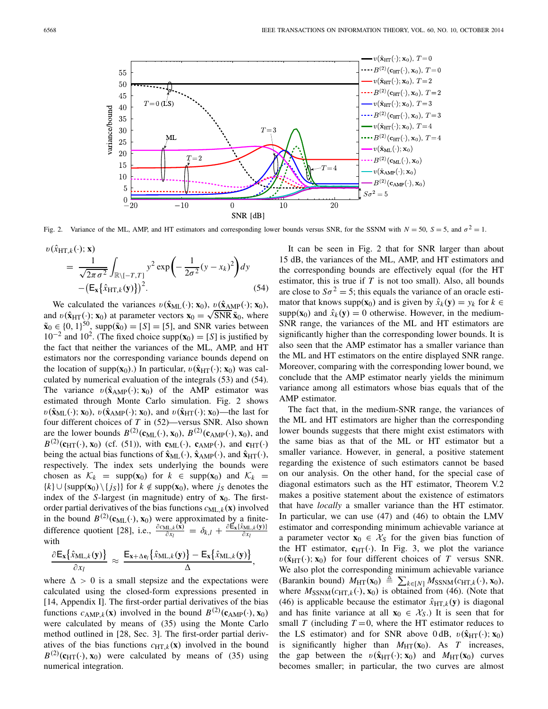

Fig. 2. Variance of the ML, AMP, and HT estimators and corresponding lower bounds versus SNR, for the SSNM with  $N = 50$ ,  $S = 5$ , and  $\sigma^2 = 1$ .

$$
v(\hat{x}_{\text{HT},k}(\cdot); \mathbf{x}) = \frac{1}{\sqrt{2\pi\sigma^2}} \int_{\mathbb{R}\backslash [-T,T]} y^2 \exp\left(-\frac{1}{2\sigma^2} (y - x_k)^2\right) dy - \left(\mathbb{E}_{\mathbf{x}} \{\hat{x}_{\text{HT},k}(\mathbf{y})\}\right)^2.
$$
 (54)

We calculated the variances  $v(\hat{\mathbf{x}}_{ML}(\cdot); \mathbf{x}_0)$ ,  $v(\hat{\mathbf{x}}_{AMP}(\cdot); \mathbf{x}_0)$ , and  $v(\hat{\mathbf{x}}_{\text{HT}}(\cdot); \mathbf{x}_0)$  at parameter vectors  $\mathbf{x}_0 = \sqrt{\text{SNR}} \tilde{\mathbf{x}}_0$ , where  $\tilde{\mathbf{x}}_0 \in \{0, 1\}^{50}$ , supp $(\tilde{\mathbf{x}}_0) = [S] = [5]$ , and SNR varies between 10<sup>-2</sup> and 10<sup>2</sup>. (The fixed choice supp( $\mathbf{x}_0$ ) = [*S*] is justified by the fact that neither the variances of the ML, AMP, and HT estimators nor the corresponding variance bounds depend on the location of supp( $\mathbf{x}_0$ ).) In particular,  $v(\hat{\mathbf{x}}_{\text{HT}}(\cdot); \mathbf{x}_0)$  was calculated by numerical evaluation of the integrals (53) and (54). The variance  $v(\hat{\mathbf{x}}_{\text{AMP}}(\cdot); \mathbf{x}_0)$  of the AMP estimator was estimated through Monte Carlo simulation. Fig. 2 shows  $v(\hat{\mathbf{x}}_{ML}(\cdot); \mathbf{x}_0)$ ,  $v(\hat{\mathbf{x}}_{AMP}(\cdot); \mathbf{x}_0)$ , and  $v(\hat{\mathbf{x}}_{HT}(\cdot); \mathbf{x}_0)$ —the last for four different choices of *T* in (52)—versus SNR. Also shown are the lower bounds  $B^{(2)}(\mathbf{c}_{ML}(\cdot), \mathbf{x}_0)$ ,  $B^{(2)}(\mathbf{c}_{AMP}(\cdot), \mathbf{x}_0)$ , and  $B^{(2)}(\mathbf{c}_{\text{HT}}(\cdot), \mathbf{x}_0)$  (cf. (51)), with  $\mathbf{c}_{\text{ML}}(\cdot)$ ,  $\mathbf{c}_{\text{AMP}}(\cdot)$ , and  $\mathbf{c}_{\text{HT}}(\cdot)$ being the actual bias functions of  $\mathbf{\hat{x}}_{ML}(\cdot)$ ,  $\mathbf{\hat{x}}_{AMP}(\cdot)$ , and  $\mathbf{\hat{x}}_{HT}(\cdot)$ , respectively. The index sets underlying the bounds were chosen as  $K_k$  = supp(**x**<sub>0</sub>) for  $k \in \text{supp}(\mathbf{x}_0)$  and  $K_k$  = { $k$ }∪{supp(**x**<sub>0</sub>)\{*js*}} for  $k \notin \text{supp}(\mathbf{x}_0)$ , where *j<sub>S</sub>* denotes the index of the *S*-largest (in magnitude) entry of  $\mathbf{x}_0$ . The firstorder partial derivatives of the bias functions  $c_{ML,k}(\mathbf{x})$  involved in the bound  $B^{(2)}(\mathbf{c}_{ML}(\cdot), \mathbf{x}_0)$  were approximated by a finitedifference quotient [28], i.e.,  $\frac{\partial c_{ML,k}(\hat{\mathbf{x}})}{\partial x_l} = \delta_{k,l} + \frac{\partial \mathbf{E}_{\mathbf{x}}\{\hat{x}_{ML,k}(\mathbf{y})\}}{\partial x_l}$ with

$$
\frac{\partial \mathsf{E}_x\{\hat{x}_{\mathrm{ML},k}(\mathbf{y})\}}{\partial x_l} \approx \frac{\mathsf{E}_{\mathbf{x}+\Delta\mathbf{e}_l}\{\hat{x}_{\mathrm{ML},k}(\mathbf{y})\} - \mathsf{E}_{\mathbf{x}}\{\hat{x}_{\mathrm{ML},k}(\mathbf{y})\}}{\Delta},
$$

where  $\Delta > 0$  is a small stepsize and the expectations were calculated using the closed-form expressions presented in [14, Appendix I]. The first-order partial derivatives of the bias functions  $c_{\text{AMP},k}(\mathbf{x})$  involved in the bound  $B^{(2)}(\mathbf{c}_{\text{AMP}}(\cdot), \mathbf{x}_0)$ were calculated by means of (35) using the Monte Carlo method outlined in [28, Sec. 3]. The first-order partial derivatives of the bias functions  $c_{\text{HT},k}(\mathbf{x})$  involved in the bound  $B^{(2)}(\mathbf{c}_{\text{HT}}(\cdot), \mathbf{x}_0)$  were calculated by means of (35) using numerical integration.

It can be seen in Fig. 2 that for SNR larger than about 15 dB, the variances of the ML, AMP, and HT estimators and the corresponding bounds are effectively equal (for the HT estimator, this is true if  $T$  is not too small). Also, all bounds are close to  $S\sigma^2 = 5$ ; this equals the variance of an oracle estimator that knows supp( $\mathbf{x}_0$ ) and is given by  $\hat{x}_k(\mathbf{y}) = y_k$  for  $k \in$ supp( $\mathbf{x}_0$ ) and  $\hat{x}_k(\mathbf{y}) = 0$  otherwise. However, in the medium-SNR range, the variances of the ML and HT estimators are significantly higher than the corresponding lower bounds. It is also seen that the AMP estimator has a smaller variance than the ML and HT estimators on the entire displayed SNR range. Moreover, comparing with the corresponding lower bound, we conclude that the AMP estimator nearly yields the minimum variance among all estimators whose bias equals that of the AMP estimator.

The fact that, in the medium-SNR range, the variances of the ML and HT estimators are higher than the corresponding lower bounds suggests that there might exist estimators with the same bias as that of the ML or HT estimator but a smaller variance. However, in general, a positive statement regarding the existence of such estimators cannot be based on our analysis. On the other hand, for the special case of diagonal estimators such as the HT estimator, Theorem V.2 makes a positive statement about the existence of estimators that have *locally* a smaller variance than the HT estimator. In particular, we can use (47) and (46) to obtain the LMV estimator and corresponding minimum achievable variance at a parameter vector  $\mathbf{x}_0 \in \mathcal{X}_S$  for the given bias function of the HT estimator,  $c_{HT}(\cdot)$ . In Fig. 3, we plot the variance  $v(\hat{\mathbf{x}}_{\text{HT}}(\cdot); \mathbf{x}_0)$  for four different choices of *T* versus SNR. We also plot the corresponding minimum achievable variance  $(M_{\text{HT}}(\mathbf{x}_0) \triangleq \sum_{k \in [N]} M_{\text{SSNM}}(c_{\text{HT},k}(\cdot), \mathbf{x}_0),$ where  $M_{SSNM}(c_{\text{HT},k}(\cdot), \mathbf{x}_0)$  is obtained from (46). (Note that (46) is applicable because the estimator  $\hat{x}_{\text{HT},k}(\mathbf{y})$  is diagonal and has finite variance at all  $\mathbf{x}_0 \in \mathcal{X}_S$ .) It is seen that for small *T* (including  $T = 0$ , where the HT estimator reduces to the LS estimator) and for SNR above 0 dB,  $v(\hat{\mathbf{x}}_{\text{HT}}(\cdot); \mathbf{x}_0)$ is significantly higher than  $M_{\text{HT}}(\mathbf{x}_0)$ . As *T* increases, the gap between the  $v(\hat{\mathbf{x}}_{\text{HT}}(\cdot); \mathbf{x}_0)$  and  $M_{\text{HT}}(\mathbf{x}_0)$  curves becomes smaller; in particular, the two curves are almost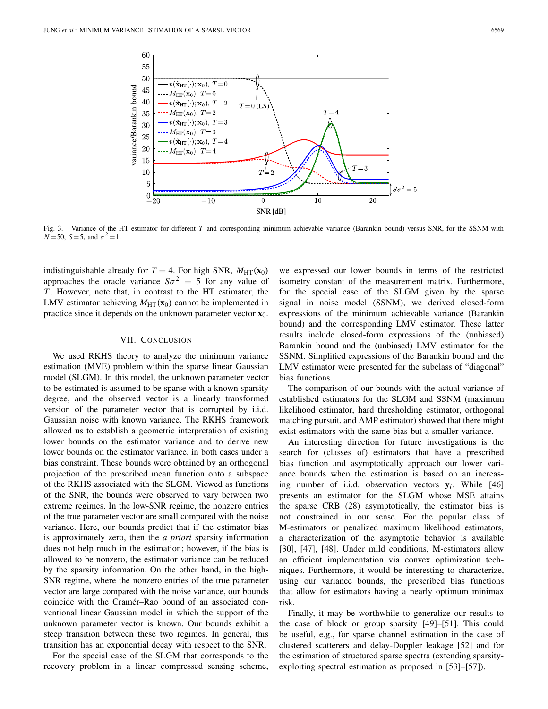

Fig. 3. Variance of the HT estimator for different *T* and corresponding minimum achievable variance (Barankin bound) versus SNR, for the SSNM with  $N = 50$ ,  $S = 5$ , and  $\sigma^2 = 1$ .

indistinguishable already for  $T = 4$ . For high SNR,  $M_{\text{HT}}(\mathbf{x}_0)$ approaches the oracle variance  $S\sigma^2 = 5$  for any value of *T*. However, note that, in contrast to the HT estimator, the LMV estimator achieving  $M_{\text{HT}}(\mathbf{x}_0)$  cannot be implemented in practice since it depends on the unknown parameter vector **x**0.

#### VII. CONCLUSION

We used RKHS theory to analyze the minimum variance estimation (MVE) problem within the sparse linear Gaussian model (SLGM). In this model, the unknown parameter vector to be estimated is assumed to be sparse with a known sparsity degree, and the observed vector is a linearly transformed version of the parameter vector that is corrupted by i.i.d. Gaussian noise with known variance. The RKHS framework allowed us to establish a geometric interpretation of existing lower bounds on the estimator variance and to derive new lower bounds on the estimator variance, in both cases under a bias constraint. These bounds were obtained by an orthogonal projection of the prescribed mean function onto a subspace of the RKHS associated with the SLGM. Viewed as functions of the SNR, the bounds were observed to vary between two extreme regimes. In the low-SNR regime, the nonzero entries of the true parameter vector are small compared with the noise variance. Here, our bounds predict that if the estimator bias is approximately zero, then the *a priori* sparsity information does not help much in the estimation; however, if the bias is allowed to be nonzero, the estimator variance can be reduced by the sparsity information. On the other hand, in the high-SNR regime, where the nonzero entries of the true parameter vector are large compared with the noise variance, our bounds coincide with the Cramér–Rao bound of an associated conventional linear Gaussian model in which the support of the unknown parameter vector is known. Our bounds exhibit a steep transition between these two regimes. In general, this transition has an exponential decay with respect to the SNR.

For the special case of the SLGM that corresponds to the recovery problem in a linear compressed sensing scheme,

we expressed our lower bounds in terms of the restricted isometry constant of the measurement matrix. Furthermore, for the special case of the SLGM given by the sparse signal in noise model (SSNM), we derived closed-form expressions of the minimum achievable variance (Barankin bound) and the corresponding LMV estimator. These latter results include closed-form expressions of the (unbiased) Barankin bound and the (unbiased) LMV estimator for the SSNM. Simplified expressions of the Barankin bound and the LMV estimator were presented for the subclass of "diagonal" bias functions.

The comparison of our bounds with the actual variance of established estimators for the SLGM and SSNM (maximum likelihood estimator, hard thresholding estimator, orthogonal matching pursuit, and AMP estimator) showed that there might exist estimators with the same bias but a smaller variance.

An interesting direction for future investigations is the search for (classes of) estimators that have a prescribed bias function and asymptotically approach our lower variance bounds when the estimation is based on an increasing number of i.i.d. observation vectors  $y_i$ . While [46] presents an estimator for the SLGM whose MSE attains the sparse CRB (28) asymptotically, the estimator bias is not constrained in our sense. For the popular class of M-estimators or penalized maximum likelihood estimators, a characterization of the asymptotic behavior is available [30], [47], [48]. Under mild conditions, M-estimators allow an efficient implementation via convex optimization techniques. Furthermore, it would be interesting to characterize, using our variance bounds, the prescribed bias functions that allow for estimators having a nearly optimum minimax risk.

Finally, it may be worthwhile to generalize our results to the case of block or group sparsity [49]–[51]. This could be useful, e.g., for sparse channel estimation in the case of clustered scatterers and delay-Doppler leakage [52] and for the estimation of structured sparse spectra (extending sparsityexploiting spectral estimation as proposed in [53]–[57]).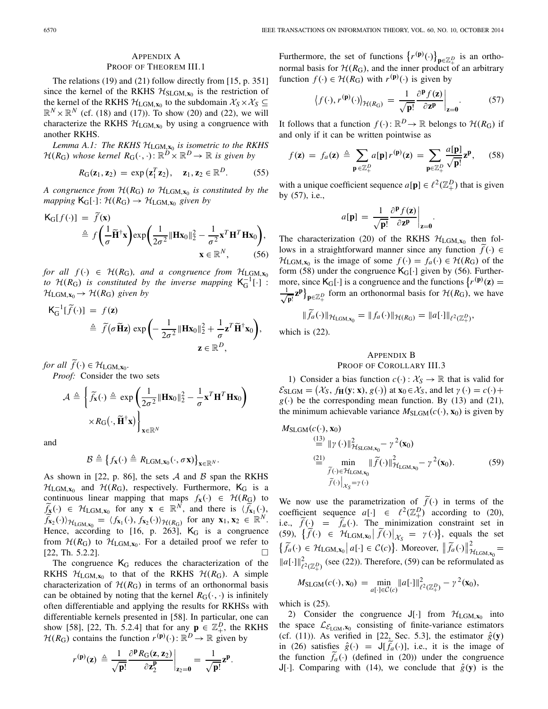# APPENDIX A PROOF OF THEOREM III.1

The relations (19) and (21) follow directly from [15, p. 351] since the kernel of the RKHS  $H_{SLGM,x_0}$  is the restriction of the kernel of the RKHS  $\mathcal{H}_{LGM, x_0}$  to the subdomain  $\mathcal{X}_S \times \mathcal{X}_S \subseteq$ 

 $\mathbb{R}^N \times \mathbb{R}^N$  (cf. (18) and (17)). To show (20) and (22), we will characterize the RKHS  $H_{LGM, x_0}$  by using a congruence with another RKHS. *Lemma A.1: The RKHS H*LGM,**x**<sup>0</sup> *is isometric to the RKHS*

 $H(R_G)$  *whose kernel*  $R_G(\cdot, \cdot): \mathbb{R}^D \times \mathbb{R}^D \to \mathbb{R}$  *is given by* 

$$
R_{\mathbf{G}}(\mathbf{z}_1, \mathbf{z}_2) = \exp\left(\mathbf{z}_1^T \mathbf{z}_2\right), \quad \mathbf{z}_1, \mathbf{z}_2 \in \mathbb{R}^D. \tag{55}
$$

*A congruence from*  $H(R_G)$  *to*  $H_{LGM, x_0}$  *is constituted by the mapping*  $K_G[\cdot]: \mathcal{H}(R_G) \to \mathcal{H}_{LGM,x_0}$  *given by* 

$$
\mathsf{K}_{\mathrm{G}}[f(\cdot)] = \tilde{f}(\mathbf{x}) \n\triangleq f\left(\frac{1}{\sigma}\tilde{\mathbf{H}}^{\dagger}\mathbf{x}\right) \exp\left(\frac{1}{2\sigma^2} \|\mathbf{H}\mathbf{x}_0\|_2^2 - \frac{1}{\sigma^2} \mathbf{x}^T \mathbf{H}^T \mathbf{H}\mathbf{x}_0\right), \n\mathbf{x} \in \mathbb{R}^N, \qquad (56)
$$

*for all*  $f(\cdot) \in \mathcal{H}(R_G)$ *, and a congruence from*  $\mathcal{H}_{\text{LGM},x_0}$ *to*  $H(R_G)$  *is constituted by the inverse mapping*  $K_G^{-1}[\cdot]$ :  $\mathcal{H}_{\text{LGM},\mathbf{x}_0} \rightarrow \mathcal{H}(R_{\text{G}})$  *given by* 

$$
\mathsf{K}_{\mathsf{G}}^{-1}[\widetilde{f}(\cdot)] = f(\mathbf{z})
$$
\n
$$
\triangleq \widetilde{f}(\sigma \widetilde{\mathbf{H}} \mathbf{z}) \exp\left(-\frac{1}{2\sigma^2} \|\mathbf{H} \mathbf{x}_0\|_2^2 + \frac{1}{\sigma} \mathbf{z}^T \widetilde{\mathbf{H}}^{\dagger} \mathbf{x}_0\right),
$$
\n
$$
\mathbf{z} \in \mathbb{R}^D,
$$

*for all*  $\widetilde{f}(\cdot) \in \mathcal{H}_{\text{LGM.x}_0}$ .

*Proof:* Consider the two sets

$$
\mathcal{A} \triangleq \left\{ \widetilde{f}_{\mathbf{x}}(\cdot) \triangleq \exp\left(\frac{1}{2\sigma^2} \|\mathbf{H}\mathbf{x}_0\|_2^2 - \frac{1}{\sigma} \mathbf{x}^T \mathbf{H}^T \mathbf{H}\mathbf{x}_0 \right) \times R_{\mathbf{G}}(\cdot, \widetilde{\mathbf{H}}^{\dagger} \mathbf{x}) \right\}_{\mathbf{x} \in \mathbb{R}^N}
$$

and

$$
\mathcal{B} \triangleq \left\{ f_{\mathbf{x}}(\cdot) \triangleq R_{\text{LGM},\mathbf{x}_0}(\cdot, \sigma \mathbf{x}) \right\}_{\mathbf{x} \in \mathbb{R}^N}.
$$

As shown in [22, p. 86], the sets *A* and *B* span the RKHS  $H_{\text{LGM},x_0}$  and  $H(R_G)$ , respectively. Furthermore,  $K_G$  is a continuous linear mapping that maps  $f_{\mathbf{x}}(\cdot) \in \mathcal{H}(R_{\mathbf{G}})$  to  $\widetilde{f}_{\mathbf{x}}(\cdot) \in \mathcal{H}_{\text{LGM},\mathbf{x}_0}$  for any  $\mathbf{x} \in \mathbb{R}^N$ , and there is  $\langle \widetilde{f}_{\mathbf{x}_1}(\cdot), \widetilde{f}_{\mathbf{x}_2}(\cdot) \rangle$  $\widetilde{f}_{\mathbf{x}_2}(\cdot)\right|_{\mathcal{H}_{\text{LGM},\mathbf{x}_0}} = \langle f_{\mathbf{x}_1}(\cdot), f_{\mathbf{x}_2}(\cdot)\rangle_{\mathcal{H}(R_G)}$  for any  $\mathbf{x}_1, \mathbf{x}_2 \in \mathbb{R}^N$ . Hence, according to [16, p. 263],  $K_G$  is a congruence from  $\mathcal{H}(R_G)$  to  $\mathcal{H}_{LGM,x_0}$ . For a detailed proof we refer to [22, Th. 5.2.2]. [22, Th. 5.2.2].

The congruence  $K_G$  reduces the characterization of the RKHS  $H_{LGM, x_0}$  to that of the RKHS  $H(R_G)$ . A simple characterization of  $H(R<sub>G</sub>)$  in terms of an orthonormal basis can be obtained by noting that the kernel  $R_G(\cdot, \cdot)$  is infinitely often differentiable and applying the results for RKHSs with differentiable kernels presented in [58]. In particular, one can show [58], [22, Th. 5.2.4] that for any  $p \in \mathbb{Z}_+^D$ , the RKHS  $H(R_G)$  contains the function  $r^{(p)}(\cdot)$ :  $\mathbb{R}^D \to \mathbb{R}$  given by

$$
r^{(\mathbf{p})}(\mathbf{z}) \triangleq \frac{1}{\sqrt{\mathbf{p}!}} \frac{\partial^{\mathbf{p}} R_{\mathrm{G}}(\mathbf{z}, \mathbf{z}_2)}{\partial \mathbf{z}_2^{\mathbf{p}}} \bigg|_{\mathbf{z}_2 = \mathbf{0}} = \frac{1}{\sqrt{\mathbf{p}!}} \mathbf{z}^{\mathbf{p}}.
$$

Furthermore, the set of functions  $\{r^{(\mathbf{p})}(\cdot)\}_{\mathbf{p}\in\mathbb{Z}_{+}^D}$  is an orthonormal basis for  $H(R_G)$ , and the inner product of an arbitrary function  $f(\cdot) \in \mathcal{H}(R_G)$  with  $r^{(\mathbf{p})}(\cdot)$  is given by

$$
\langle f(\cdot), r^{(\mathbf{p})}(\cdot) \rangle_{\mathcal{H}(R_{\mathbf{G}})} = \frac{1}{\sqrt{\mathbf{p}!}} \frac{\partial^{\mathbf{p}} f(\mathbf{z})}{\partial \mathbf{z}^{\mathbf{p}}} \bigg|_{\mathbf{z} = \mathbf{0}}.
$$
 (57)

.

It follows that a function  $f(\cdot): \mathbb{R}^D \to \mathbb{R}$  belongs to  $\mathcal{H}(R_G)$  if and only if it can be written pointwise as

$$
f(\mathbf{z}) = f_a(\mathbf{z}) \triangleq \sum_{\mathbf{p} \in \mathbb{Z}_+^D} a[\mathbf{p}] r^{(\mathbf{p})}(\mathbf{z}) = \sum_{\mathbf{p} \in \mathbb{Z}_+^D} \frac{a[\mathbf{p}]}{\sqrt{\mathbf{p}!}} \mathbf{z}^{\mathbf{p}}, \quad (58)
$$

with a unique coefficient sequence  $a[\mathbf{p}] \in \ell^2(\mathbb{Z}_+^D)$  that is given by (57), i.e.,

$$
a[\mathbf{p}] = \frac{1}{\sqrt{\mathbf{p}!}} \frac{\partial^{\mathbf{p}} f(\mathbf{z})}{\partial \mathbf{z}^{\mathbf{p}}} \bigg|_{\mathbf{z} = \mathbf{0}}
$$

The characterization (20) of the RKHS  $H_{\text{LGM},x_0}$  then follows in a straightforward manner since any function  $f(·)$  ∈  $\mathcal{H}_{\text{LGM},\mathbf{x}_0}$  is the image of some  $f(\cdot) = f_a(\cdot) \in \mathcal{H}(R_G)$  of the form (58) under the congruence  $K_G[\cdot]$  given by (56). Furthermore, since  $K_G[\cdot]$  is a congruence and the functions  $\{r^{(p)}(z) =$ √ 1  $\mathbf{p}$ <sup>[2</sub>p]</sup> $\mathbf{p} \in \mathbb{Z}_+^p$  form an orthonormal basis for  $\mathcal{H}(R_G)$ , we have

$$
\|\hat{f}_a(\cdot)\|_{\mathcal{H}_{\text{LGM},x_0}} = \|f_a(\cdot)\|_{\mathcal{H}(R_G)} = \|a[\cdot]\|_{\ell^2(\mathbb{Z}_+^D)},
$$

which is (22).

# APPENDIX B PROOF OF COROLLARY III.3

1) Consider a bias function  $c(\cdot): \mathcal{X}_S \to \mathbb{R}$  that is valid for  $\mathcal{E}_{\text{SLGM}} = (\mathcal{X}_S, f_{\text{H}}(\textbf{y}; \textbf{x}), g(\cdot))$  at  $\textbf{x}_0 \in \mathcal{X}_S$ , and let  $\gamma(\cdot) = c(\cdot) +$  $g(\cdot)$  be the corresponding mean function. By (13) and (21), the minimum achievable variance  $M_{SLGM}(c(\cdot), \mathbf{x}_0)$  is given by

$$
M_{\text{SLGM}}(c(\cdot), \mathbf{x}_0)
$$
  
\n
$$
\stackrel{(13)}{=} ||\gamma(\cdot)||^2_{\mathcal{H}_{\text{SLGM}, \mathbf{x}_0}} - \gamma^2(\mathbf{x}_0)
$$
  
\n
$$
\stackrel{(21)}{=} \min_{\tilde{f}(\cdot) \in \mathcal{H}_{\text{LGM}, \mathbf{x}_0}} ||\tilde{f}(\cdot)||^2_{\mathcal{H}_{\text{LGM}, \mathbf{x}_0}} - \gamma^2(\mathbf{x}_0).
$$
 (59)  
\n
$$
\tilde{f}(\cdot)|_{\mathcal{X}_S} = \gamma(\cdot)
$$

We now use the parametrization of  $\tilde{f}(\cdot)$  in terms of the coefficient sequence  $a[\cdot] \in \ell^2(\mathbb{Z}_+^D)$  according to (20), i.e.,  $\tilde{f}(\cdot) = \tilde{f}_a(\cdot)$ . The minimization constraint set in (59),  $\left\{ \tilde{f}(\cdot) \in \mathcal{H}_{\text{LGM},\mathbf{x}_0} \middle| \tilde{f}(\cdot) \middle|_{\mathcal{X}_S} = \gamma(\cdot) \right\}$ , equals the set  $\{\tilde{f}_a(\cdot) \in \mathcal{H}_{\text{LGM},\mathbf{x}_0} \mid a[\cdot] \in \mathcal{C}(c)\}.$  Moreover,  $\|\tilde{f}_a(\cdot)\|$ 2  $\frac{z}{\mathcal{H}_{\text{LGM},\mathbf{x}_0}} =$  $||a[\cdot]||^2_{\ell^2(\mathbb{Z}_+^D)}$  (see (22)). Therefore, (59) can be reformulated as

$$
M_{\text{SLGM}}(c(\cdot), \mathbf{x}_0) = \min_{a[\cdot] \in \mathcal{C}(c)} \|a[\cdot]\|_{\ell^2(\mathbb{Z}_+^D)}^2 - \gamma^2(\mathbf{x}_0),
$$

which is (25).

2) Consider the congruence  $J[\cdot]$  from  $\mathcal{H}_{LGM, x_0}$  into the space  $\mathcal{L}_{\mathcal{E}_{\text{LGM}},\mathbf{x}_0}$  consisting of finite-variance estimators (cf. (11)). As verified in [22, Sec. 5.3], the estimator  $\hat{g}(\mathbf{y})$ in (26) satisfies  $\hat{g}(\cdot) = J[\tilde{f}_a(\cdot)],$  i.e., it is the image of the function  $f_a(\cdot)$  (defined in (20)) under the congruence J[.]. Comparing with (14), we conclude that  $\hat{g}(\mathbf{y})$  is the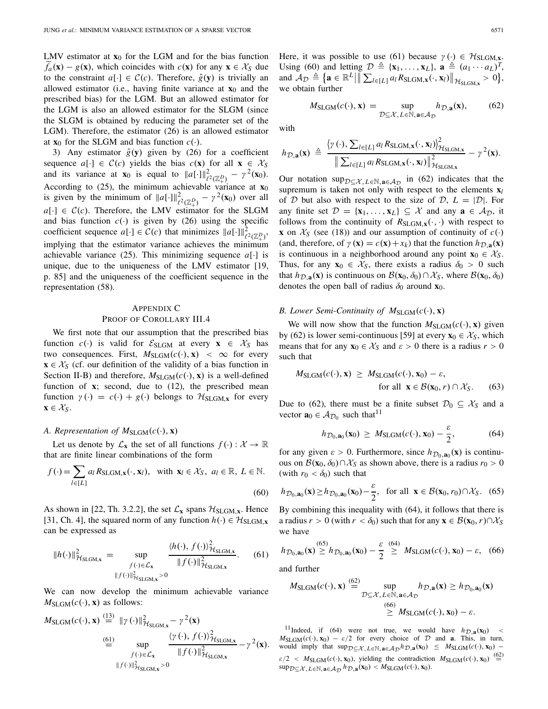LMV estimator at  $\mathbf{x}_0$  for the LGM and for the bias function  $f_a(\mathbf{x}) - g(\mathbf{x})$ , which coincides with  $c(\mathbf{x})$  for any  $\mathbf{x} \in \mathcal{X}_S$  due to the constraint  $a[\cdot] \in C(c)$ . Therefore,  $\hat{g}(\mathbf{y})$  is trivially an allowed estimator (i.e., having finite variance at  $x_0$  and the prescribed bias) for the LGM. But an allowed estimator for the LGM is also an allowed estimator for the SLGM (since the SLGM is obtained by reducing the parameter set of the LGM). Therefore, the estimator (26) is an allowed estimator at  $\mathbf{x}_0$  for the SLGM and bias function  $c(\cdot)$ .

3) Any estimator  $\hat{g}$ (y) given by (26) for a coefficient sequence  $a[\cdot] \in C(c)$  yields the bias  $c(\mathbf{x})$  for all  $\mathbf{x} \in \mathcal{X}_S$ and its variance at **x**<sub>0</sub> is equal to  $||a[ \cdot ||_{\ell^2(\mathbb{Z}_+^D)}^2 - \gamma^2(\mathbf{x}_0).$ According to (25), the minimum achievable variance at  $\mathbf{x}_0$ is given by the minimum of  $||a[\cdot]||^2_{\ell^2(\mathbb{Z}_+^D)} - \gamma^2(\mathbf{x}_0)$  over all  $a[\cdot] \in \mathcal{C}(c)$ . Therefore, the LMV estimator for the SLGM and bias function  $c(\cdot)$  is given by (26) using the specific coefficient sequence  $a[\cdot] \in C(c)$  that minimizes  $||a[\cdot]||^2_{\ell^2(\mathbb{Z}_+^D)}$ , implying that the estimator variance achieves the minimum achievable variance (25). This minimizing sequence  $a[\cdot]$  is unique, due to the uniqueness of the LMV estimator [19, p. 85] and the uniqueness of the coefficient sequence in the representation (58).

# APPENDIX C PROOF OF COROLLARY III.4

We first note that our assumption that the prescribed bias function  $c(\cdot)$  is valid for  $\mathcal{E}_{SLGM}$  at every  $\mathbf{x} \in \mathcal{X}_S$  has two consequences. First,  $M_{SLGM}(c(\cdot), \mathbf{x}) < \infty$  for every  $\mathbf{x} \in \mathcal{X}_S$  (cf. our definition of the validity of a bias function in Section II-B) and therefore,  $M_{\text{SLGM}}(c(\cdot), \mathbf{x})$  is a well-defined function of  $x$ ; second, due to  $(12)$ , the prescribed mean function  $\gamma(\cdot) = c(\cdot) + g(\cdot)$  belongs to  $\mathcal{H}_{SLGM,x}$  for every  $\mathbf{x} \in \mathcal{X}_S$ .

#### *A. Representation of*  $M_{SLGM}(c(\cdot), \mathbf{x})$

Let us denote by  $\mathcal{L}_\mathbf{X}$  the set of all functions  $f(\cdot): \mathcal{X} \to \mathbb{R}$ that are finite linear combinations of the form

$$
f(\cdot) = \sum_{l \in [L]} a_l R_{\text{SLGM}, \mathbf{x}}(\cdot, \mathbf{x}_l), \text{ with } \mathbf{x}_l \in \mathcal{X}_S, a_l \in \mathbb{R}, L \in \mathbb{N}. \tag{60}
$$

As shown in [22, Th. 3.2.2], the set  $\mathcal{L}_x$  spans  $\mathcal{H}_{SLGM,x}$ . Hence [31, Ch. 4], the squared norm of any function  $h(\cdot) \in \mathcal{H}_{SLGM, x}$ can be expressed as

$$
||h(\cdot)||_{\mathcal{H}_{\text{SLGM,x}}}^2 = \sup_{\substack{f(\cdot) \in \mathcal{L}_{\mathbf{x}} \\ ||f(\cdot)||_{\mathcal{H}_{\text{SLGM,x}}}^2 > 0}} \frac{\langle h(\cdot), f(\cdot) \rangle_{\mathcal{H}_{\text{SLGM,x}}}^2}{||f(\cdot)||_{\mathcal{H}_{\text{SLGM,x}}}^2}.
$$
 (61)

We can now develop the minimum achievable variance  $M_{\text{SLGM}}(c(\cdot), \mathbf{x})$  as follows:

$$
M_{\text{SLGM}}(c(\cdot), \mathbf{x}) \stackrel{(13)}{=} \|\gamma(\cdot)\|_{\mathcal{H}_{\text{SLGM}, \mathbf{x}}}^2 - \gamma^2(\mathbf{x})
$$
  
\n
$$
\stackrel{(61)}{=} \sup_{\substack{f(\cdot) \in \mathcal{L}_{\mathbf{x}}} \atop \|f(\cdot)\|_{\mathcal{H}_{\text{SLGM}, \mathbf{x}}}^2 - \gamma^2(\mathbf{x})} \frac{\langle \gamma(\cdot), f(\cdot) \rangle_{\mathcal{H}_{\text{SLGM}, \mathbf{x}}}^2}{\|f(\cdot)\|_{\mathcal{H}_{\text{SLGM}, \mathbf{x}}}^2 - \gamma^2(\mathbf{x})}.
$$

Here, it was possible to use (61) because  $\gamma(\cdot) \in \mathcal{H}_{SLGM,x}$ . Using (60) and letting  $\mathcal{D} \triangleq {\mathbf{x}_1, \ldots, \mathbf{x}_L}$ ,  $\mathbf{a} \triangleq (a_1 \cdots a_L)^T$ , and  $\overline{A}_{\mathcal{D}} \triangleq {\mathbf{a} \in \mathbb{R}^L \mid \left\| \sum_{l \in [L]} a_l R_{\text{SLGM},\mathbf{x}}(\cdot, \mathbf{x}_l) \right\|_{\mathcal{H}_{\text{SLGM},\mathbf{x}}} > 0},$ we obtain further

$$
M_{\text{SLGM}}(c(\cdot), \mathbf{x}) = \sup_{\mathcal{D} \subseteq \mathcal{X}, L \in \mathbb{N}, \mathbf{a} \in \mathcal{A}_{\mathcal{D}}} h_{\mathcal{D}, \mathbf{a}}(\mathbf{x}),\tag{62}
$$

with

$$
h_{\mathcal{D},\mathbf{a}}(\mathbf{x}) \triangleq \frac{\left\langle \gamma(\cdot), \sum_{l\in[L]} a_l R_{\text{SLGM},\mathbf{x}}(\cdot,\mathbf{x}_l) \right\rangle^2_{\mathcal{H}_{\text{SLGM},\mathbf{x}}}}{\left\| \sum_{l\in[L]} a_l R_{\text{SLGM},\mathbf{x}}(\cdot,\mathbf{x}_l) \right\|^2_{\mathcal{H}_{\text{SLGM},\mathbf{x}}}} - \gamma^2(\mathbf{x}).
$$

Our notation sup $p_{\text{max}}$ ,  $L \in \mathbb{N}$ ,  $a \in A_{\text{max}}$  in (62) indicates that the supremum is taken not only with respect to the elements **x***<sup>l</sup>* of *D* but also with respect to the size of *D*,  $L = |D|$ . For any finite set  $\mathcal{D} = {\mathbf{x}_1, ..., \mathbf{x}_L} \subseteq \mathcal{X}$  and any  $\mathbf{a} \in \mathcal{A}_{\mathcal{D}}$ , it follows from the continuity of  $R_{SLGM,x}(\cdot,\cdot)$  with respect to **x** on  $X_s$  (see (18)) and our assumption of continuity of  $c(\cdot)$ (and, therefore, of  $\gamma(\mathbf{x}) = c(\mathbf{x}) + x_k$ ) that the function  $h_{\mathcal{D},\mathbf{a}}(\mathbf{x})$ is continuous in a neighborhood around any point  $\mathbf{x}_0 \in \mathcal{X}_S$ . Thus, for any  $\mathbf{x}_0 \in \mathcal{X}_S$ , there exists a radius  $\delta_0 > 0$  such that  $h_{\mathcal{D},\mathbf{a}}(\mathbf{x})$  is continuous on  $\mathcal{B}(\mathbf{x}_0, \delta_0) \cap \mathcal{X}_S$ , where  $\mathcal{B}(\mathbf{x}_0, \delta_0)$ denotes the open ball of radius  $\delta_0$  around **x**<sub>0</sub>.

# *B. Lower Semi-Continuity of*  $M_{SLGM}(c(\cdot), \mathbf{x})$

We will now show that the function  $M_{SLGM}(c(\cdot), \mathbf{x})$  given by (62) is lower semi-continuous [59] at every  $\mathbf{x}_0 \in \mathcal{X}_S$ , which means that for any  $\mathbf{x}_0 \in \mathcal{X}_S$  and  $\varepsilon > 0$  there is a radius  $r > 0$ such that

$$
M_{\text{SLGM}}(c(\cdot), \mathbf{x}) \geq M_{\text{SLGM}}(c(\cdot), \mathbf{x}_0) - \varepsilon,
$$
  
for all  $\mathbf{x} \in \mathcal{B}(\mathbf{x}_0, r) \cap \mathcal{X}_S.$  (63)

Due to (62), there must be a finite subset  $\mathcal{D}_0 \subseteq \mathcal{X}_S$  and a vector  $\mathbf{a}_0 \in \mathcal{A}_{\mathcal{D}_0}$  such that<sup>11</sup>

$$
h_{\mathcal{D}_0,\mathbf{a}_0}(\mathbf{x}_0) \geq M_{\text{SLGM}}(c(\cdot),\mathbf{x}_0) - \frac{\varepsilon}{2},\tag{64}
$$

for any given  $\varepsilon > 0$ . Furthermore, since  $h_{\mathcal{D}_0, \mathbf{a}_0}(\mathbf{x})$  is continuous on *B*(**x**<sub>0</sub>, *δ*<sub>0</sub>)∩*Xs* as shown above, there is a radius *r*<sub>0</sub> > 0 (with  $r_0 < \delta_0$ ) such that

$$
h_{\mathcal{D}_0,\mathbf{a}_0}(\mathbf{x}) \ge h_{\mathcal{D}_0,\mathbf{a}_0}(\mathbf{x}_0) - \frac{\varepsilon}{2}
$$
, for all  $\mathbf{x} \in \mathcal{B}(\mathbf{x}_0,r_0) \cap \mathcal{X}_S$ . (65)

By combining this inequality with (64), it follows that there is a radius  $r > 0$  (with  $r < \delta_0$ ) such that for any  $\mathbf{x} \in \mathcal{B}(\mathbf{x}_0, r) \cap \mathcal{X}_S$ we have

$$
h_{\mathcal{D}_0,\mathbf{a}_0}(\mathbf{x}) \stackrel{(65)}{\geq} h_{\mathcal{D}_0,\mathbf{a}_0}(\mathbf{x}_0) - \frac{\varepsilon}{2} \stackrel{(64)}{\geq} M_{\text{SLGM}}(c(\cdot),\mathbf{x}_0) - \varepsilon, \tag{66}
$$

and further

$$
M_{\text{SLGM}}(c(\cdot), \mathbf{x}) \stackrel{(62)}{=} \sup_{\mathcal{D} \subseteq \mathcal{X}, L \in \mathbb{N}, \mathbf{a} \in \mathcal{A}_{\mathcal{D}}} h_{\mathcal{D}, \mathbf{a}}(\mathbf{x}) \ge h_{\mathcal{D}_0, \mathbf{a}_0}(\mathbf{x})
$$
  

$$
\stackrel{(66)}{\ge} M_{\text{SLGM}}(c(\cdot), \mathbf{x}_0) - \varepsilon.
$$

<sup>11</sup>Indeed, if (64) were not true, we would have  $h_{\mathcal{D},\mathbf{a}}(\mathbf{x}_0) < M_{\text{SLGM}}(c(\cdot), \mathbf{x}_0) - \varepsilon/2$  for every choice of *D* and **a**. This, in turn, would imply that  $\sup_{D \subseteq \mathcal{X}, L \in \mathbb{N}, \mathbf{a} \in \mathcal{A}_{D}} h_{D, \mathbf{a}}(\mathbf{x}_0) \leq M_{\text{SLGM}}(c(\cdot), \mathbf{x}_0) \varepsilon/2$  <  $M_{\text{SLGM}}(c(\cdot), \mathbf{x}_0)$ , yielding the contradiction  $M_{\text{SLGM}}(c(\cdot), \mathbf{x}_0) \stackrel{(62)}{=}$ sup<sub>*D*⊆*X*, *L*∈N, **a**∈*A*<sub>*D*</sub>  $^h$ *D*, **a**</sub>(**x**<sub>0</sub>) < *M*<sub>SLGM</sub>(*c*(·), **x**<sub>0</sub>).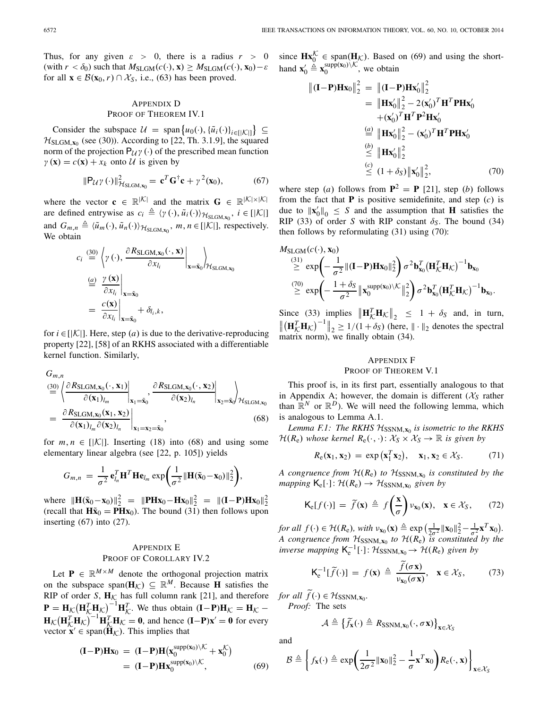Thus, for any given  $\varepsilon > 0$ , there is a radius  $r > 0$  $(\text{with } r < \delta_0)$  such that  $M_{\text{SLGM}}(c(\cdot), \mathbf{x}) \geq M_{\text{SLGM}}(c(\cdot), \mathbf{x}_0) - \varepsilon$ for all  $\mathbf{x} \in \mathcal{B}(\mathbf{x}_0, r) \cap \mathcal{X}_S$ , i.e., (63) has been proved.

## APPENDIX D PROOF OF THEOREM IV.1

Consider the subspace  $\mathcal{U} = \text{span}\{u_0(\cdot), \{\tilde{u}_i(\cdot)\}_{i \in [|\mathcal{K}|]}\}\subseteq$  $H<sub>SLGM,x0</sub>$  (see (30)). According to [22, Th. 3.1.9], the squared norm of the projection  $P_{\mathcal{U}} \gamma(\cdot)$  of the prescribed mean function  $\gamma(\mathbf{x}) = c(\mathbf{x}) + x_k$  onto *U* is given by

$$
\|P_{\mathcal{U}}\gamma(\cdot)\|_{\mathcal{H}_{SLGM,x_0}}^2 = \mathbf{c}^T \mathbf{G}^\dagger \mathbf{c} + \gamma^2(\mathbf{x}_0),\tag{67}
$$

where the vector **c**  $\in \mathbb{R}^{|\mathcal{K}|}$  and the matrix  $G \in \mathbb{R}^{|\mathcal{K}| \times |\mathcal{K}|}$ are defined entrywise as  $c_i \triangleq \langle \gamma(\cdot), \tilde{u}_i(\cdot) \rangle_{\mathcal{H}_{\text{SLGM},x_0}}, i \in [|\mathcal{K}|]$ and  $G_{m,n} \triangleq \langle \tilde{u}_m(\cdot), \tilde{u}_n(\cdot) \rangle_{\mathcal{H}_{\text{SLGM},x_0}}, m, n \in [|\mathcal{K}|]$ , respectively. We obtain

$$
c_i \stackrel{\text{(30)}}{=} \left\langle \gamma(\cdot), \frac{\partial R_{\text{SLGM}, \mathbf{x}_0}(\cdot, \mathbf{x})}{\partial x_{l_i}} \right|_{\mathbf{x} = \tilde{\mathbf{x}}_0} \right\rangle_{\mathcal{H}_{\text{SLGM}, \mathbf{x}_0}}
$$

$$
\stackrel{\text{(a)}}{=} \left. \frac{\gamma(\mathbf{x})}{\partial x_{l_i}} \right|_{\mathbf{x} = \tilde{\mathbf{x}}_0}
$$

$$
= \left. \frac{c(\mathbf{x})}{\partial x_{l_i}} \right|_{\mathbf{x} = \tilde{\mathbf{x}}_0} + \delta_{l_i, k},
$$

for  $i \in [K]$ . Here, step (*a*) is due to the derivative-reproducing property [22], [58] of an RKHS associated with a differentiable kernel function. Similarly,

$$
G_{m,n} \stackrel{\text{(30)}}{=} \left\langle \frac{\partial R_{\text{SLGM},\mathbf{x}_0}(\cdot,\mathbf{x}_1)}{\partial(\mathbf{x}_1)_{l_m}} \bigg|_{\mathbf{x}_1=\hat{\mathbf{x}}_0}, \frac{\partial R_{\text{SLGM},\mathbf{x}_0}(\cdot,\mathbf{x}_2)}{\partial(\mathbf{x}_2)_{l_n}} \bigg|_{\mathbf{x}_2=\hat{\mathbf{x}}_0} \right\rangle_{\mathcal{H}_{\text{SLGM},\mathbf{x}_0}} = \left. \frac{\partial R_{\text{SLGM},\mathbf{x}_0}(\mathbf{x}_1,\mathbf{x}_2)}{\partial(\mathbf{x}_1)_{l_m} \partial(\mathbf{x}_2)_{l_n}} \right|_{\mathbf{x}_1=\mathbf{x}_2=\hat{\mathbf{x}}_0},
$$
(68)

for  $m, n \in [K]$ . Inserting (18) into (68) and using some elementary linear algebra (see [22, p. 105]) yields

$$
G_{m,n} = \frac{1}{\sigma^2} \mathbf{e}_{l_n}^T \mathbf{H}^T \mathbf{H} \mathbf{e}_{l_m} \exp \bigg( \frac{1}{\sigma^2} \|\mathbf{H}(\tilde{\mathbf{x}}_0 - \mathbf{x}_0)\|_2^2 \bigg),
$$

where  $\|\mathbf{H}(\mathbf{\tilde{x}}_0 - \mathbf{x}_0)\|_2^2 = \|\mathbf{P} \mathbf{H} \mathbf{x}_0 - \mathbf{H} \mathbf{x}_0\|_2^2 = \|( \mathbf{I} - \mathbf{P}) \mathbf{H} \mathbf{x}_0\|_2^2$ (recall that  $\mathbf{H}\tilde{\mathbf{x}}_0 = \mathbf{P}\mathbf{H}\mathbf{x}_0$ ). The bound (31) then follows upon inserting (67) into (27).

# APPENDIX E PROOF OF COROLLARY IV.2

Let  $P \in \mathbb{R}^{M \times M}$  denote the orthogonal projection matrix on the subspace span( $\mathbf{H}_{\mathcal{K}}$ )  $\subseteq \mathbb{R}^M$ . Because **H** satisfies the RIP of order *S*,  $H_K$  has full column rank [21], and therefore  $\mathbf{P} = \mathbf{H}_{\mathcal{K}} (\mathbf{H}_{\mathcal{K}}^T \mathbf{H}_{\mathcal{K}})^{-1} \mathbf{H}_{\mathcal{K}}^T$ . We thus obtain  $(\mathbf{I} - \mathbf{P}) \mathbf{H}_{\mathcal{K}} = \mathbf{H}_{\mathcal{K}} - \mathbf{H}_{\mathcal{K}}$  $H_K (H_K^T H_K)^{-1} H_K^T H_K = 0$ , and hence  $(I-P)x' = 0$  for every vector  $\mathbf{x}' \in \text{span}(\mathbf{H}_{\mathcal{K}})$ . This implies that

$$
(\mathbf{I} - \mathbf{P}) \mathbf{H} \mathbf{x}_0 = (\mathbf{I} - \mathbf{P}) \mathbf{H} (\mathbf{x}_0^{\text{supp}(\mathbf{x}_0) \setminus \mathcal{K}} + \mathbf{x}_0^{\mathcal{K}})
$$
  
= (\mathbf{I} - \mathbf{P}) \mathbf{H} \mathbf{x}\_0^{\text{supp}(\mathbf{x}\_0) \setminus \mathcal{K}}, (69)

since  $\mathbf{Hx}_{0}^{\mathcal{K}} \in \text{span}(\mathbf{H}_{\mathcal{K}})$ . Based on (69) and using the shorthand  $\mathbf{x}'_0 \triangleq \mathbf{x}_0^{\text{supp}(\mathbf{x}_0)\setminus\mathcal{K}}$ , we obtain

$$
\|(\mathbf{I} - \mathbf{P})\mathbf{H}\mathbf{x}_0\|_2^2 = \|(\mathbf{I} - \mathbf{P})\mathbf{H}\mathbf{x}'_0\|_2^2
$$
  
\n
$$
= \|\mathbf{H}\mathbf{x}'_0\|_2^2 - 2(\mathbf{x}'_0)^T \mathbf{H}^T \mathbf{P} \mathbf{H}\mathbf{x}'_0
$$
  
\n
$$
+(\mathbf{x}'_0)^T \mathbf{H}^T \mathbf{P}^2 \mathbf{H}\mathbf{x}'_0
$$
  
\n
$$
\stackrel{(a)}{=} \|\mathbf{H}\mathbf{x}'_0\|_2^2 - (\mathbf{x}'_0)^T \mathbf{H}^T \mathbf{P} \mathbf{H}\mathbf{x}'_0
$$
  
\n
$$
\stackrel{(b)}{\leq} \|\mathbf{H}\mathbf{x}'_0\|_2^2
$$
  
\n
$$
\stackrel{(c)}{\leq} (1 + \delta_S) \|\mathbf{x}'_0\|_2^2, \tag{70}
$$

where step (*a*) follows from  $P^2 = P$  [21], step (*b*) follows from the fact that **P** is positive semidefinite, and step (*c*) is due to  $\|\mathbf{x}'_0\|_0 \leq S$  and the assumption that **H** satisfies the RIP (33) of order *S* with RIP constant  $\delta_S$ . The bound (34) then follows by reformulating (31) using (70):

$$
\begin{aligned}\n&\text{M}_{\text{SLGM}}(c(\cdot), \mathbf{x}_0) \\
&\geq \exp\left(-\frac{1}{\sigma^2} \|(\mathbf{I} - \mathbf{P}) \mathbf{H} \mathbf{x}_0\|_2^2\right) \sigma^2 \mathbf{b}_{\mathbf{x}_0}^T \left(\mathbf{H}_{\mathcal{K}}^T \mathbf{H}_{\mathcal{K}}\right)^{-1} \mathbf{b}_{\mathbf{x}_0} \\
&\geq \exp\left(-\frac{1 + \delta_S}{\sigma^2} \|\mathbf{x}_0^{\text{supp}(\mathbf{x}_0) \setminus \mathcal{K}}\|_2^2\right) \sigma^2 \mathbf{b}_{\mathbf{x}_0}^T \left(\mathbf{H}_{\mathcal{K}}^T \mathbf{H}_{\mathcal{K}}\right)^{-1} \mathbf{b}_{\mathbf{x}_0}.\n\end{aligned}
$$

Since (33) implies  $\|\mathbf{H}_{\mathcal{K}}^T \mathbf{H}_{\mathcal{K}}\|_2 \leq 1 + \delta_S$  and, in turn,  $\left\| \left( \mathbf{H}_{\mathcal{K}}^T \mathbf{H}_{\mathcal{K}} \right)^{-1} \right\|_2 \ge 1/(1+\delta_S)$  (here,  $\|\cdot\|_2$  denotes the spectral matrix norm), we finally obtain (34).

# APPENDIX F PROOF OF THEOREM V.1

This proof is, in its first part, essentially analogous to that in Appendix A; however, the domain is different  $(X<sub>S</sub>$  rather than  $\mathbb{R}^N$  or  $\mathbb{R}^D$ ). We will need the following lemma, which is analogous to Lemma A.1.

*Lemma F.1: The RKHS*  $H_{SSNM, x_0}$  *is isometric to the RKHS H*( $R_e$ ) *whose kernel*  $R_e(\cdot, \cdot): \mathcal{X}_S \times \mathcal{X}_S \rightarrow \mathbb{R}$  *is given by* 

$$
R_{e}(\mathbf{x}_{1}, \mathbf{x}_{2}) = \exp(\mathbf{x}_{1}^{T} \mathbf{x}_{2}), \quad \mathbf{x}_{1}, \mathbf{x}_{2} \in \mathcal{X}_{S}. \tag{71}
$$

*A congruence from*  $H(R_e)$  *to*  $H_{SSNM, x_0}$  *is constituted by the mapping*  $K_e[\cdot]: \mathcal{H}(R_e) \rightarrow \mathcal{H}_{SSNM, x_0}$  *given by* 

$$
\mathsf{K}_{\mathsf{e}}[f(\cdot)] = \widetilde{f}(\mathbf{x}) \triangleq f\left(\frac{\mathbf{x}}{\sigma}\right) \nu_{\mathbf{x}_0}(\mathbf{x}), \quad \mathbf{x} \in \mathcal{X}_S, \qquad (72)
$$

*for all*  $f(\cdot) \in \mathcal{H}(R_e)$ , *with*  $v_{\mathbf{x}_0}(\mathbf{x}) \triangleq \exp\left(\frac{1}{2\sigma^2} ||\mathbf{x}_0||_2^2 - \frac{1}{\sigma^2} \mathbf{x}^T \mathbf{x}_0\right)$ . *A congruence from*  $H_{SSNM, x_0}$  *to*  $H(R_e)$  *is constituted by the inverse mapping*  $\mathsf{K}_{e}^{-1}[\cdot]: \mathcal{H}_{\text{SSNM},\mathbf{x}_0} \rightarrow \mathcal{H}(R_e)$  given by

$$
\mathsf{K}_{\mathrm{e}}^{-1}[\widetilde{f}(\cdot)] = f(\mathbf{x}) \triangleq \frac{\widetilde{f}(\sigma \mathbf{x})}{\nu_{\mathbf{x}_0}(\sigma \mathbf{x})}, \quad \mathbf{x} \in \mathcal{X}_S, \tag{73}
$$

*for all*  $\widetilde{f}(\cdot) \in \mathcal{H}_{SSNM, x_0}$ *. Proof:* The sets

$$
\mathcal{A} \triangleq \left\{ \widetilde{f}_{\mathbf{x}}(\cdot) \triangleq R_{\text{SSNM},\mathbf{x}_0}(\cdot, \sigma \mathbf{x}) \right\}_{\mathbf{x} \in \mathcal{X}_{\mathcal{S}}}
$$

and

$$
\mathcal{B} \triangleq \left\{ f_{\mathbf{x}}(\cdot) \triangleq \exp\left(\frac{1}{2\sigma^2} \|\mathbf{x}_0\|_2^2 - \frac{1}{\sigma} \mathbf{x}^T \mathbf{x}_0\right) R_{\mathbf{e}}(\cdot, \mathbf{x}) \right\}_{\mathbf{x} \in \mathcal{X}_S}
$$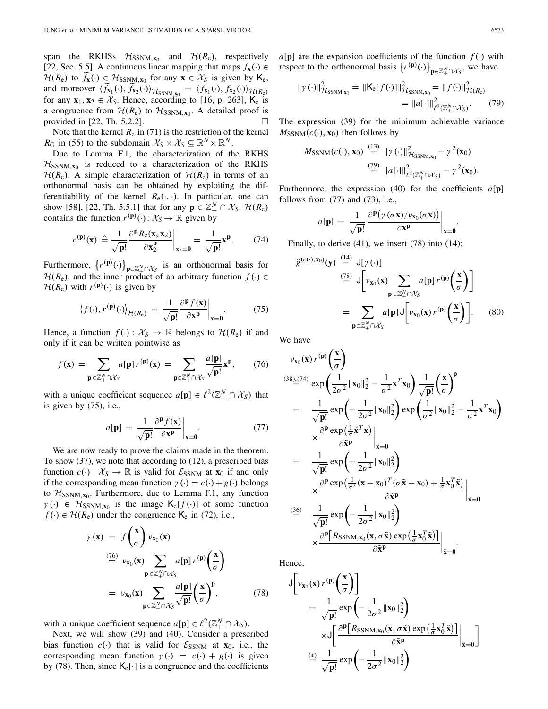span the RKHSs  $H_{SSNM, x_0}$  and  $H(R_e)$ , respectively [22, Sec. 5.5]. A continuous linear mapping that maps  $f_{\mathbf{x}}(\cdot) \in$ *H*(*R*<sub>e</sub>) to *f***x**(·) ∈ *H*<sub>SSNM,**x**<sub>0</sub></sub> for any **x** ∈  $X$ <sup>*S*</sup> is given by **K**<sub>e</sub>, and moreover  $\langle f_{\mathbf{x}_1}(\cdot), f_{\mathbf{x}_2}(\cdot) \rangle_{\mathcal{H}_{SSNM, \mathbf{x}_0}} = \langle f_{\mathbf{x}_1}(\cdot), f_{\mathbf{x}_2}(\cdot) \rangle_{\mathcal{H}(R_e)}$ for any  $\mathbf{x}_1, \mathbf{x}_2 \in \mathcal{X}_S$ . Hence, according to [16, p. 263],  $\mathsf{K}_e$  is a congruence from  $H(R_e)$  to  $H_{SSNM,x_0}$ . A detailed proof is provided in [22, Th. 5.2.2]. provided in [22, Th. 5.2.2].

Note that the kernel  $R_e$  in (71) is the restriction of the kernel *R*<sub>G</sub> in (55) to the subdomain  $\mathcal{X}_S \times \mathcal{X}_S \subseteq \mathbb{R}^N \times \mathbb{R}^N$ .

Due to Lemma F.1, the characterization of the RKHS  $H_{SSNM, x_0}$  is reduced to a characterization of the RKHS  $H(R_e)$ . A simple characterization of  $H(R_e)$  in terms of an orthonormal basis can be obtained by exploiting the differentiability of the kernel  $R_e(\cdot, \cdot)$ . In particular, one can show [58], [22, Th. 5.5.1] that for any  $\mathbf{p} \in \mathbb{Z}_+^N \cap \mathcal{X}_S$ ,  $\mathcal{H}(R_e)$ contains the function  $r^{(\mathbf{p})}(\cdot)$ :  $\mathcal{X}_S \to \mathbb{R}$  given by

$$
r^{(\mathbf{p})}(\mathbf{x}) \triangleq \frac{1}{\sqrt{\mathbf{p}!}} \frac{\partial^{\mathbf{p}} R_{\mathbf{e}}(\mathbf{x}, \mathbf{x}_2)}{\partial \mathbf{x}_2^{\mathbf{p}}} \bigg|_{\mathbf{x}_2 = \mathbf{0}} = \frac{1}{\sqrt{\mathbf{p}!}} \mathbf{x}^{\mathbf{p}}. \tag{74}
$$

Furthermore,  $\{r^{(\mathbf{p})}(\cdot)\}_{\mathbf{p}\in\mathbb{Z}_{+}^{N}\cap\mathcal{X}_{S}}$  is an orthonormal basis for  $H(R_e)$ , and the inner product of an arbitrary function  $f(\cdot) \in$  $H(R_e)$  with  $r^{(p)}(.)$  is given by

$$
\left\langle f(\cdot), r^{(\mathbf{p})}(\cdot) \right\rangle_{\mathcal{H}(R_{\mathbf{e}})} = \frac{1}{\sqrt{\mathbf{p}!}} \frac{\partial^{\mathbf{p}} f(\mathbf{x})}{\partial \mathbf{x}^{\mathbf{p}}} \bigg|_{\mathbf{x} = \mathbf{0}}.
$$
 (75)

Hence, a function  $f(\cdot): \mathcal{X}_S \to \mathbb{R}$  belongs to  $\mathcal{H}(R_e)$  if and only if it can be written pointwise as

$$
f(\mathbf{x}) = \sum_{\mathbf{p} \in \mathbb{Z}_+^N \cap \mathcal{X}_S} a[\mathbf{p}] r^{(\mathbf{p})}(\mathbf{x}) = \sum_{\mathbf{p} \in \mathbb{Z}_+^N \cap \mathcal{X}_S} \frac{a[\mathbf{p}]}{\sqrt{\mathbf{p}!}} \mathbf{x}^{\mathbf{p}},\qquad(76)
$$

with a unique coefficient sequence  $a[\mathbf{p}] \in \ell^2(\mathbb{Z}_+^N \cap \mathcal{X}_S)$  that is given by (75), i.e.,

$$
a[\mathbf{p}] = \frac{1}{\sqrt{\mathbf{p}!}} \frac{\partial^{\mathbf{p}} f(\mathbf{x})}{\partial \mathbf{x}^{\mathbf{p}}} \bigg|_{\mathbf{x} = \mathbf{0}}.
$$
 (77)

We are now ready to prove the claims made in the theorem. To show (37), we note that according to (12), a prescribed bias function  $c(\cdot) : \mathcal{X}_S \to \mathbb{R}$  is valid for  $\mathcal{E}_{SSNM}$  at  $\mathbf{x}_0$  if and only if the corresponding mean function  $\gamma(\cdot) = c(\cdot) + g(\cdot)$  belongs to  $H_{SSNM, x_0}$ . Furthermore, due to Lemma F.1, any function  $\gamma(\cdot) \in \mathcal{H}_{SSNM, x_0}$  is the image  $\mathsf{K}_{\text{e}}[f(\cdot)]$  of some function  $f(\cdot) \in \mathcal{H}(R_e)$  under the congruence  $\mathsf{K}_e$  in (72), i.e.,

$$
\gamma(\mathbf{x}) = f\left(\frac{\mathbf{x}}{\sigma}\right) \nu_{\mathbf{x}_0}(\mathbf{x})
$$
  
\n
$$
\stackrel{(76)}{=} \nu_{\mathbf{x}_0}(\mathbf{x}) \sum_{\mathbf{p} \in \mathbb{Z}_+^N \cap \mathcal{X}_S} a[\mathbf{p}] r^{(\mathbf{p})} \left(\frac{\mathbf{x}}{\sigma}\right)
$$
  
\n
$$
= \nu_{\mathbf{x}_0}(\mathbf{x}) \sum_{\mathbf{p} \in \mathbb{Z}_+^N \cap \mathcal{X}_S} \frac{a[\mathbf{p}]}{\sqrt{\mathbf{p}!}} \left(\frac{\mathbf{x}}{\sigma}\right)^{\mathbf{p}}, \qquad (78)
$$

with a unique coefficient sequence  $a[\mathbf{p}] \in \ell^2(\mathbb{Z}_+^N \cap \mathcal{X}_S)$ .

Next, we will show (39) and (40). Consider a prescribed bias function  $c(\cdot)$  that is valid for  $\mathcal{E}_{SSNM}$  at  $\mathbf{x}_0$ , i.e., the corresponding mean function  $\gamma(\cdot) = c(\cdot) + g(\cdot)$  is given by (78). Then, since  $K_e[\cdot]$  is a congruence and the coefficients  $a[\mathbf{p}]$  are the expansion coefficients of the function  $f(\cdot)$  with respect to the orthonormal basis  $\{r^{(\mathbf{p})}(\cdot)\}_{\mathbf{p}\in\mathbb{Z}_{+}^{N}\cap\mathcal{X}_{S}}$ , we have

$$
\|\gamma(\cdot)\|_{\mathcal{H}_{SSNM,x_0}}^2 = \|K_e[f(\cdot)]\|_{\mathcal{H}_{SSNM,x_0}}^2 = \|f(\cdot)\|_{\mathcal{H}(R_e)}^2
$$
  
= 
$$
\|a[\cdot]\|_{\ell^2(\mathbb{Z}_+^N \cap \mathcal{X}_S)}^2.
$$
 (79)

The expression (39) for the minimum achievable variance  $M_{SSNM}(c(\cdot), \mathbf{x}_0)$  then follows by

$$
M_{\text{SSNM}}(c(\cdot), \mathbf{x}_0) \stackrel{(13)}{=} {\|\gamma(\cdot)\|}^2_{\mathcal{H}_{\text{SSNM}, \mathbf{x}_0}} - {\gamma^2(\mathbf{x}_0)}
$$
  

$$
\stackrel{(79)}{=} {\|a[\cdot]\|}^2_{\ell^2(\mathbb{Z}_+^N \cap \mathcal{X}_S)} - {\gamma^2(\mathbf{x}_0)}.
$$

Furthermore, the expression (40) for the coefficients *a*[**p**] follows from  $(77)$  and  $(73)$ , i.e.,

$$
a[\mathbf{p}] = \frac{1}{\sqrt{\mathbf{p}!}} \frac{\partial^{\mathbf{p}} (\gamma (\sigma \mathbf{x}) / v_{\mathbf{x}_0}(\sigma \mathbf{x}))}{\partial \mathbf{x}^{\mathbf{p}}} \bigg|_{\mathbf{x} = \mathbf{0}}
$$

.

Finally, to derive  $(41)$ , we insert  $(78)$  into  $(14)$ :

$$
\hat{g}^{(c(\cdot), \mathbf{x}_0)}(\mathbf{y}) \stackrel{(14)}{=} J[\gamma(\cdot)]
$$
\n
$$
\stackrel{(78)}{=} J\left[\nu_{\mathbf{x}_0}(\mathbf{x}) \sum_{\mathbf{p} \in \mathbb{Z}_+^N \cap \mathcal{X}_S} a[\mathbf{p}] r^{(\mathbf{p})} \left(\frac{\mathbf{x}}{\sigma}\right) \right]
$$
\n
$$
= \sum_{\mathbf{p} \in \mathbb{Z}_+^N \cap \mathcal{X}_S} a[\mathbf{p}] J\left[\nu_{\mathbf{x}_0}(\mathbf{x}) r^{(\mathbf{p})} \left(\frac{\mathbf{x}}{\sigma}\right) \right]. \tag{80}
$$

We have

$$
v_{\mathbf{x}_0}(\mathbf{x}) r^{(\mathbf{p})} \left(\frac{\mathbf{x}}{\sigma}\right)
$$
  
\n
$$
^{(38)\underline{.} (74)} \exp\left(\frac{1}{2\sigma^2} ||\mathbf{x}_0||_2^2 - \frac{1}{\sigma^2} \mathbf{x}^T \mathbf{x}_0\right) \frac{1}{\sqrt{\mathbf{p}!}} \left(\frac{\mathbf{x}}{\sigma}\right)^{\mathbf{p}}
$$
  
\n
$$
= \frac{1}{\sqrt{\mathbf{p}!}} \exp\left(-\frac{1}{2\sigma^2} ||\mathbf{x}_0||_2^2\right) \exp\left(\frac{1}{\sigma^2} ||\mathbf{x}_0||_2^2 - \frac{1}{\sigma^2} \mathbf{x}^T \mathbf{x}_0\right)
$$
  
\n
$$
\times \frac{\partial^{\mathbf{p}} \exp\left(\frac{1}{\sigma} \tilde{\mathbf{x}}^T \mathbf{x}\right)}{\partial \tilde{\mathbf{x}}^{\mathbf{p}}} \bigg|_{\tilde{\mathbf{x}} = 0}
$$
  
\n
$$
= \frac{1}{\sqrt{\mathbf{p}!}} \exp\left(-\frac{1}{2\sigma^2} ||\mathbf{x}_0||_2^2\right)
$$
  
\n
$$
\times \frac{\partial^{\mathbf{p}} \exp\left(\frac{1}{\sigma^2} (\mathbf{x} - \mathbf{x}_0)^T (\sigma \tilde{\mathbf{x}} - \mathbf{x}_0) + \frac{1}{\sigma} \mathbf{x}_0^T \tilde{\mathbf{x}}\right)}{\partial \tilde{\mathbf{x}}^{\mathbf{p}}} \bigg|_{\tilde{\mathbf{x}} = 0}
$$
  
\n
$$
\frac{(36)}{\omega^2} = \frac{1}{\sqrt{\mathbf{p}!}} \exp\left(-\frac{1}{2\sigma^2} ||\mathbf{x}_0||_2^2\right)
$$
  
\n
$$
\times \frac{\partial^{\mathbf{p}} [R_{SSNM, \mathbf{x}_0}(\mathbf{x}, \sigma \tilde{\mathbf{x}}) \exp\left(\frac{1}{\sigma} \mathbf{x}_0^T \tilde{\mathbf{x}}\right)}{\partial \tilde{\mathbf{x}}^{\mathbf{p}}} \bigg|_{\tilde{\mathbf{x}} = 0}.
$$

Hence,

$$
\begin{split} \mathsf{J} \bigg[ v_{\mathbf{x}_0}(\mathbf{x}) \, r^{(\mathbf{p})} \bigg( \frac{\mathbf{x}}{\sigma} \bigg) \bigg] \\ &= \frac{1}{\sqrt{\mathbf{p}!}} \exp \bigg( -\frac{1}{2\sigma^2} \|\mathbf{x}_0\|_2^2 \bigg) \\ &\times \mathsf{J} \bigg[ \frac{\partial \mathsf{P} \big[ R_{\text{SSNM},\mathbf{x}_0}(\mathbf{x},\sigma \tilde{\mathbf{x}}) \exp \big( \frac{1}{\sigma} \mathbf{x}_0^T \tilde{\mathbf{x}} \big) \big] \bigg|_{\tilde{\mathbf{x}} = \mathbf{0}} \bigg] \\ &\stackrel{(*)}{=} \frac{1}{\sqrt{\mathbf{p}!}} \exp \bigg( -\frac{1}{2\sigma^2} \|\mathbf{x}_0\|_2^2 \bigg) \end{split}
$$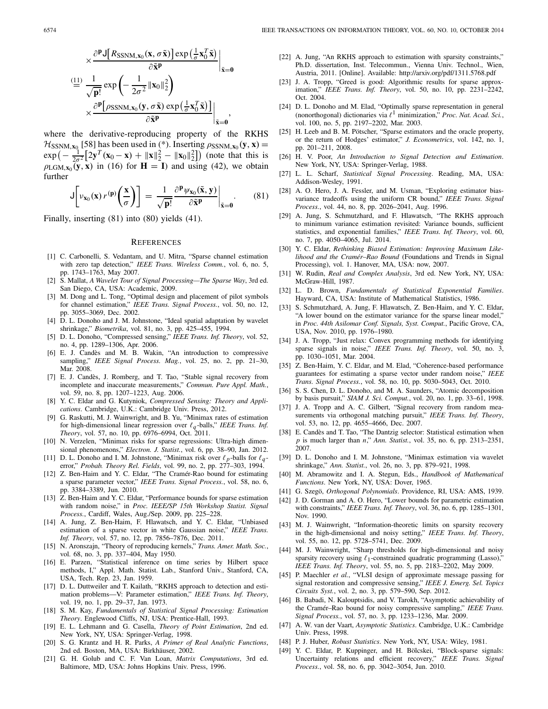where the derivative-reproducing property of the RKHS  $\mathcal{H}_{SSNM, x_0}$  [58] has been used in (\*). Inserting  $\rho_{SSNM, x_0}(\mathbf{y}, \mathbf{x}) =$  $\exp\left(-\frac{1}{2\sigma^2} \left[2y^T(\mathbf{x}_0 - \mathbf{x}) + ||\mathbf{x}||_2^2 - ||\mathbf{x}_0||_2^2\right]\right)$  (note that this is  $\rho_{\text{LGM},\mathbf{x}_0}(\mathbf{y}, \mathbf{x})$  in (16) for  $\mathbf{H} = \mathbf{I}$ ) and using (42), we obtain further

$$
\mathsf{J}\!\left[\nu_{\mathbf{x}_0}(\mathbf{x})\,r^{(\mathbf{p})}\!\left(\frac{\mathbf{x}}{\sigma}\right)\right] = \frac{1}{\sqrt{\mathbf{p}!}}\frac{\partial^{\mathbf{p}}\psi_{\mathbf{x}_0}(\tilde{\mathbf{x}},\mathbf{y})}{\partial \tilde{\mathbf{x}}^{\mathbf{p}}}\bigg|_{\tilde{\mathbf{x}}=\mathbf{0}}.\tag{81}
$$

Finally, inserting (81) into (80) yields (41).

#### **REFERENCES**

- [1] C. Carbonelli, S. Vedantam, and U. Mitra, "Sparse channel estimation with zero tap detection," *IEEE Trans. Wireless Comm.*, vol. 6, no. 5, pp. 1743–1763, May 2007.
- [2] S. Mallat, *A Wavelet Tour of Signal Processing—The Sparse Way*, 3rd ed. San Diego, CA, USA: Academic, 2009.
- [3] M. Dong and L. Tong, "Optimal design and placement of pilot symbols for channel estimation," *IEEE Trans. Signal Process.*, vol. 50, no. 12, pp. 3055–3069, Dec. 2002.
- [4] D. L. Donoho and J. M. Johnstone, "Ideal spatial adaptation by wavelet shrinkage," *Biometrika*, vol. 81, no. 3, pp. 425–455, 1994.
- [5] D. L. Donoho, "Compressed sensing," *IEEE Trans. Inf. Theory*, vol. 52, no. 4, pp. 1289–1306, Apr. 2006.
- [6] E. J. Candès and M. B. Wakin, "An introduction to compressive sampling," *IEEE Signal Process. Mag.*, vol. 25, no. 2, pp. 21–30, Mar. 2008.
- [7] E. J. Candès, J. Romberg, and T. Tao, "Stable signal recovery from incomplete and inaccurate measurements," *Commun. Pure Appl. Math.*, vol. 59, no. 8, pp. 1207–1223, Aug. 2006.
- [8] Y. C. Eldar and G. Kutyniok, *Compressed Sensing: Theory and Applications*. Cambridge, U.K.: Cambridge Univ. Press, 2012.
- [9] G. Raskutti, M. J. Wainwright, and B. Yu, "Minimax rates of estimation for high-dimensional linear regression over  $\ell_a$ -balls," *IEEE Trans. Inf. Theory*, vol. 57, no. 10, pp. 6976–6994, Oct. 2011.
- [10] N. Verzelen, "Minimax risks for sparse regressions: Ultra-high dimensional phenomenons," *Electron. J. Statist.*, vol. 6, pp. 38–90, Jan. 2012.
- [11] D. L. Donoho and I. M. Johnstone, "Minimax risk over  $\ell_p$ -balls for  $\ell_q$ error," *Probab. Theory Rel. Fields*, vol. 99, no. 2, pp. 277–303, 1994.
- [12] Z. Ben-Haim and Y. C. Eldar, "The Cramér-Rao bound for estimating a sparse parameter vector," *IEEE Trans. Signal Process.*, vol. 58, no. 6, pp. 3384–3389, Jun. 2010.
- [13] Z. Ben-Haim and Y. C. Eldar, "Performance bounds for sparse estimation with random noise," in *Proc. IEEE/SP 15th Workshop Statist. Signal Process.*, Cardiff, Wales, Aug./Sep. 2009, pp. 225–228.
- [14] A. Jung, Z. Ben-Haim, F. Hlawatsch, and Y. C. Eldar, "Unbiased estimation of a sparse vector in white Gaussian noise," *IEEE Trans. Inf. Theory*, vol. 57, no. 12, pp. 7856–7876, Dec. 2011.
- [15] N. Aronszajn, "Theory of reproducing kernels," *Trans. Amer. Math. Soc.*, vol. 68, no. 3, pp. 337–404, May 1950.
- [16] E. Parzen, "Statistical inference on time series by Hilbert space methods, I," Appl. Math. Statist. Lab., Stanford Univ., Stanford, CA, USA, Tech. Rep. 23, Jan. 1959.
- [17] D. L. Duttweiler and T. Kailath, "RKHS approach to detection and estimation problems—V: Parameter estimation," *IEEE Trans. Inf. Theory*, vol. 19, no. 1, pp. 29–37, Jan. 1973.
- [18] S. M. Kay, *Fundamentals of Statistical Signal Processing: Estimation Theory*. Englewood Cliffs, NJ, USA: Prentice-Hall, 1993.
- [19] E. L. Lehmann and G. Casella, *Theory of Point Estimation*, 2nd ed. New York, NY, USA: Springer-Verlag, 1998.
- [20] S. G. Krantz and H. R. Parks, *A Primer of Real Analytic Functions*, 2nd ed. Boston, MA, USA: Birkhäuser, 2002.
- [21] G. H. Golub and C. F. Van Loan, *Matrix Computations*, 3rd ed. Baltimore, MD, USA: Johns Hopkins Univ. Press, 1996.
- [22] A. Jung, "An RKHS approach to estimation with sparsity constraints," Ph.D. dissertation, Inst. Telecommun., Vienna Univ. Technol., Wien, Austria, 2011. [Online]. Available: http://arxiv.org/pdf/1311.5768.pdf
- [23] J. A. Tropp, "Greed is good: Algorithmic results for sparse approximation," *IEEE Trans. Inf. Theory*, vol. 50, no. 10, pp. 2231–2242, Oct. 2004.
- [24] D. L. Donoho and M. Elad, "Optimally sparse representation in general (nonorthogonal) dictionaries via  $\ell^1$  minimization," *Proc. Nat. Acad. Sci.*, vol. 100, no. 5, pp. 2197–2202, Mar. 2003.
- [25] H. Leeb and B. M. Pötscher, "Sparse estimators and the oracle property, or the return of Hodges' estimator," *J. Econometrics*, vol. 142, no. 1, pp. 201–211, 2008.
- [26] H. V. Poor, *An Introduction to Signal Detection and Estimation*. New York, NY, USA: Springer-Verlag, 1988.
- [27] L. L. Scharf, *Statistical Signal Processing*. Reading, MA, USA: Addison-Wesley, 1991.
- [28] A. O. Hero, J. A. Fessler, and M. Usman, "Exploring estimator biasvariance tradeoffs using the uniform CR bound," *IEEE Trans. Signal Process.*, vol. 44, no. 8, pp. 2026–2041, Aug. 1996.
- [29] A. Jung, S. Schmutzhard, and F. Hlawatsch, "The RKHS approach to minimum variance estimation revisited: Variance bounds, sufficient statistics, and exponential families," *IEEE Trans. Inf. Theory*, vol. 60, no. 7, pp. 4050–4065, Jul. 2014.
- [30] Y. C. Eldar, *Rethinking Biased Estimation: Improving Maximum Likelihood and the Cramér–Rao Bound* (Foundations and Trends in Signal Processing), vol. 1. Hanover, MA, USA: now, 2007.
- [31] W. Rudin, *Real and Complex Analysis*, 3rd ed. New York, NY, USA: McGraw-Hill, 1987.
- [32] L. D. Brown, *Fundamentals of Statistical Exponential Families*. Hayward, CA, USA: Institute of Mathematical Statistics, 1986.
- [33] S. Schmutzhard, A. Jung, F. Hlawatsch, Z. Ben-Haim, and Y. C. Eldar, "A lower bound on the estimator variance for the sparse linear model," in *Proc. 44th Asilomar Conf. Signals, Syst. Comput.*, Pacific Grove, CA, USA, Nov. 2010, pp. 1976–1980.
- [34] J. A. Tropp, "Just relax: Convex programming methods for identifying sparse signals in noise," *IEEE Trans. Inf. Theory*, vol. 50, no. 3, pp. 1030–1051, Mar. 2004.
- [35] Z. Ben-Haim, Y. C. Eldar, and M. Elad, "Coherence-based performance guarantees for estimating a sparse vector under random noise," *IEEE Trans. Signal Process.*, vol. 58, no. 10, pp. 5030–5043, Oct. 2010.
- [36] S. S. Chen, D. L. Donoho, and M. A. Saunders, "Atomic decomposition by basis pursuit," *SIAM J. Sci. Comput.*, vol. 20, no. 1, pp. 33–61, 1998.
- [37] J. A. Tropp and A. C. Gilbert, "Signal recovery from random measurements via orthogonal matching pursuit," *IEEE Trans. Inf. Theory*, vol. 53, no. 12, pp. 4655–4666, Dec. 2007.
- [38] E. Candès and T. Tao, "The Dantzig selector: Statistical estimation when *p* is much larger than *n*," *Ann. Statist.*, vol. 35, no. 6, pp. 2313–2351, 2007.
- [39] D. L. Donoho and I. M. Johnstone, "Minimax estimation via wavelet shrinkage," *Ann. Statist.*, vol. 26, no. 3, pp. 879–921, 1998.
- [40] M. Abramowitz and I. A. Stegun, Eds., *Handbook of Mathematical Functions*. New York, NY, USA: Dover, 1965.
- [41] G. Szegö, *Orthogonal Polynomials*. Providence, RI, USA: AMS, 1939.
- [42] J. D. Gorman and A. O. Hero, "Lower bounds for parametric estimation with constraints," *IEEE Trans. Inf. Theory*, vol. 36, no. 6, pp. 1285–1301, Nov. 1990.
- [43] M. J. Wainwright, "Information-theoretic limits on sparsity recovery in the high-dimensional and noisy setting," *IEEE Trans. Inf. Theory*, vol. 55, no. 12, pp. 5728–5741, Dec. 2009.
- [44] M. J. Wainwright, "Sharp thresholds for high-dimensional and noisy sparsity recovery using  $\ell_1$ -constrained quadratic programming (Lasso)," *IEEE Trans. Inf. Theory*, vol. 55, no. 5, pp. 2183–2202, May 2009.
- [45] P. Maechler *et al.*, "VLSI design of approximate message passing for signal restoration and compressive sensing," *IEEE J. Emerg. Sel. Topics Circuits Syst.*, vol. 2, no. 3, pp. 579–590, Sep. 2012.
- [46] B. Babadi, N. Kalouptsidis, and V. Tarokh, "Asymptotic achievability of the Cramér–Rao bound for noisy compressive sampling," *IEEE Trans. Signal Process.*, vol. 57, no. 3, pp. 1233–1236, Mar. 2009.
- [47] A. W. van der Vaart, *Asymptotic Statistics*. Cambridge, U.K.: Cambridge Univ. Press, 1998.
- [48] P. J. Huber, *Robust Statistics*. New York, NY, USA: Wiley, 1981.
- [49] Y. C. Eldar, P. Kuppinger, and H. Bölcskei, "Block-sparse signals: Uncertainty relations and efficient recovery," *IEEE Trans. Signal Process.*, vol. 58, no. 6, pp. 3042–3054, Jun. 2010.